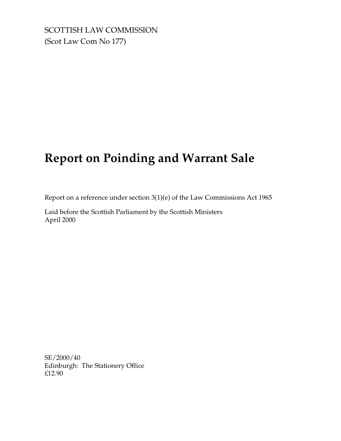SCOTTISH LAW COMMISSION (Scot Law Com No 177)

# **Report on Poinding and Warrant Sale**

Report on a reference under section 3(1)(e) of the Law Commissions Act 1965

Laid before the Scottish Parliament by the Scottish Ministers April 2000

SE/2000/40 Edinburgh: The Stationery Office £12.90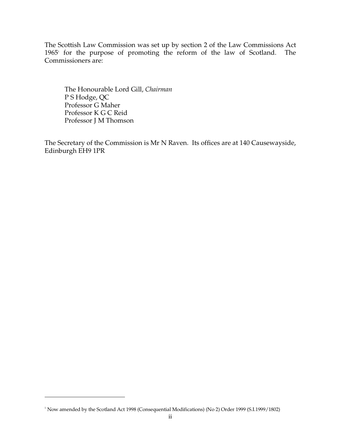The Scottish Law Commission was set up by section 2 of the Law Commissions Act 1965<sup>1</sup> for the purpose of promoting the reform of the law of Scotland. The Commissioners are:

The Honourable Lord Gill, *Chairman*  P S Hodge, QC Professor G Maher Professor K G C Reid Professor J M Thomson

The Secretary of the Commission is Mr N Raven. Its offices are at 140 Causewayside, Edinburgh EH9 1PR

<sup>&</sup>lt;sup>1</sup> Now amended by the Scotland Act 1998 (Consequential Modifications) (No 2) Order 1999 (S.I.1999/1802)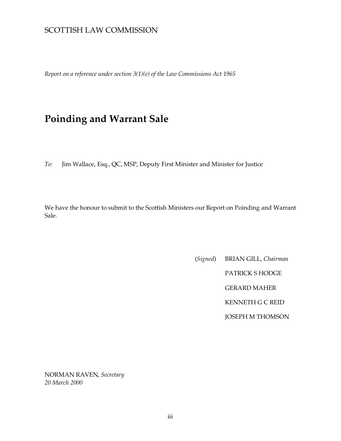# SCOTTISH LAW COMMISSION

*Report on a reference under section 3(1)(e) of the Law Commissions Act 1965* 

# **Poinding and Warrant Sale**

*To:* Jim Wallace, Esq., QC, MSP, Deputy First Minister and Minister for Justice

We have the honour to submit to the Scottish Ministers our Report on Poinding and Warrant Sale.

> (*Signed*) BRIAN GILL, *Chairman*  PATRICK S HODGE GERARD MAHER KENNETH G C REID JOSEPH M THOMSON

NORMAN RAVEN, *Secretary 20 March 2000*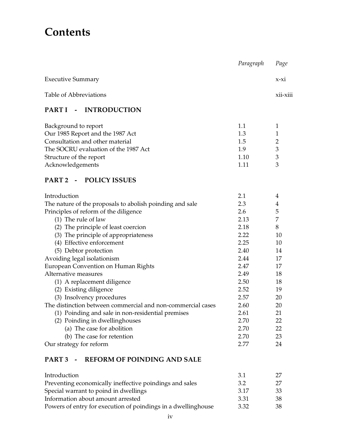# **Contents**

|                                                             | Paragraph | Page           |
|-------------------------------------------------------------|-----------|----------------|
| <b>Executive Summary</b>                                    |           | $x-xi$         |
| Table of Abbreviations                                      |           | xii-xiii       |
| - INTRODUCTION<br><b>PART I</b>                             |           |                |
| Background to report                                        | 1.1       | $\mathbf{1}$   |
| Our 1985 Report and the 1987 Act                            | 1.3       | 1              |
| Consultation and other material                             | 1.5       | $\overline{2}$ |
| The SOCRU evaluation of the 1987 Act                        | 1.9       | $\mathfrak{Z}$ |
| Structure of the report                                     | 1.10      | $\mathfrak{Z}$ |
| Acknowledgements                                            | 1.11      | 3              |
| PART 2 - POLICY ISSUES                                      |           |                |
| Introduction                                                | 2.1       | 4              |
| The nature of the proposals to abolish poinding and sale    | 2.3       | $\overline{4}$ |
| Principles of reform of the diligence                       | 2.6       | 5              |
| $(1)$ The rule of law                                       | 2.13      | 7              |
| (2) The principle of least coercion                         | 2.18      | 8              |
| (3) The principle of appropriateness                        | 2.22      | 10             |
| (4) Effective enforcement                                   | 2.25      | 10             |
| (5) Debtor protection                                       | 2.40      | 14             |
| Avoiding legal isolationism                                 | 2.44      | 17             |
| European Convention on Human Rights                         | 2.47      | 17             |
| Alternative measures                                        | 2.49      | 18             |
| (1) A replacement diligence                                 | 2.50      | 18             |
| (2) Existing diligence                                      | 2.52      | 19             |
| (3) Insolvency procedures                                   | 2.57      | 20             |
| The distinction between commercial and non-commercial cases | 2.60      | 20             |
| (1) Poinding and sale in non-residential premises           | 2.61      | 21             |
| (2) Poinding in dwellinghouses                              | 2.70      | 22             |
| (a) The case for abolition                                  | 2.70      | 22             |
| (b) The case for retention                                  | 2.70      | 23             |
| Our strategy for reform                                     | 2.77      | 24             |
| <b>REFORM OF POINDING AND SALE</b><br>PART 3 -              |           |                |
| Introduction                                                | 3.1       | 27             |
| Preventing economically ineffective poindings and sales     | 3.2       | 27             |
| Special warrant to poind in dwellings                       | 3.17      | 33             |
| Information about amount arrested                           | 3.31      | 38             |

Powers of entry for execution of poindings in a dwellinghouse 3.32  $38\,$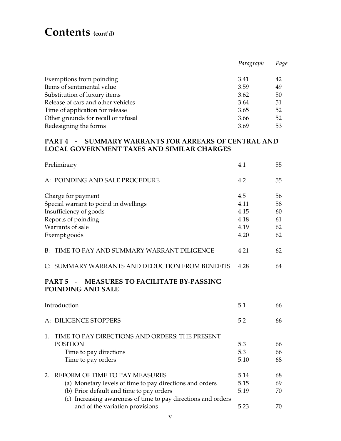# **Contents (cont'd)**

|                                     | Paragraph | Page |
|-------------------------------------|-----------|------|
|                                     |           |      |
| Exemptions from poinding            | 3.41      | 42   |
| Items of sentimental value          | 3.59      | 49   |
| Substitution of luxury items        | 3.62      | 50   |
| Release of cars and other vehicles  | 3.64      | 51   |
| Time of application for release     | 3.65      | 52   |
| Other grounds for recall or refusal | 3.66      | 52   |
| Redesigning the forms<br>3.69       |           | 53   |

# **PART 4 - SUMMARY WARRANTS FOR ARREARS OF CENTRAL AND LOCAL GOVERNMENT TAXES AND SIMILAR CHARGES**

| Preliminary                                                                                  | 4.1  | 55 |
|----------------------------------------------------------------------------------------------|------|----|
| A: POINDING AND SALE PROCEDURE                                                               | 4.2  | 55 |
| Charge for payment                                                                           |      | 56 |
| Special warrant to poind in dwellings                                                        | 4.11 | 58 |
| Insufficiency of goods                                                                       | 4.15 | 60 |
| Reports of poinding                                                                          | 4.18 | 61 |
| Warrants of sale                                                                             | 4.19 | 62 |
| Exempt goods                                                                                 |      | 62 |
| <b>B: TIME TO PAY AND SUMMARY WARRANT DILIGENCE</b>                                          | 4.21 | 62 |
| C: SUMMARY WARRANTS AND DEDUCTION FROM BENEFITS                                              | 4.28 | 64 |
| <b>MEASURES TO FACILITATE BY-PASSING</b><br>PART <sub>5</sub><br>$\sim$<br>POINDING AND SALE |      |    |
| Introduction                                                                                 | 5.1  | 66 |
| A: DILIGENCE STOPPERS                                                                        | 5.2  | 66 |
| TIME TO PAY DIRECTIONS AND ORDERS: THE PRESENT<br>1.                                         |      |    |
| <b>POSITION</b>                                                                              | 5.3  | 66 |
| Time to pay directions                                                                       | 5.3  | 66 |
| Time to pay orders                                                                           | 5.10 | 68 |
| REFORM OF TIME TO PAY MEASURES<br>2.                                                         | 5.14 | 68 |
| (a) Monetary levels of time to pay directions and orders                                     | 5.15 | 69 |
| (b) Prior default and time to pay orders                                                     | 5.19 | 70 |
| (c) Increasing awareness of time to pay directions and orders                                |      |    |
| and of the variation provisions                                                              | 5.23 | 70 |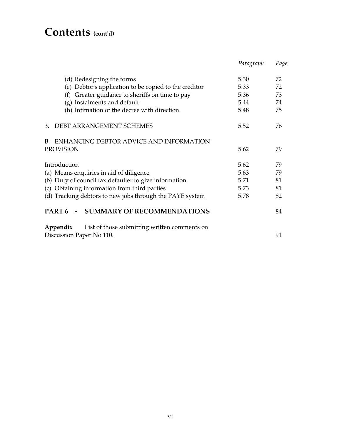# **Contents (cont'd)**

|                                                              | Paragraph | Page |
|--------------------------------------------------------------|-----------|------|
| (d) Redesigning the forms                                    | 5.30      | 72   |
| (e) Debtor's application to be copied to the creditor        | 5.33      | 72   |
| (f) Greater guidance to sheriffs on time to pay              | 5.36      | 73   |
| (g) Instalments and default                                  | 5.44      | 74   |
| (h) Intimation of the decree with direction                  | 5.48      | 75   |
| 3. DEBT ARRANGEMENT SCHEMES                                  | 5.52      | 76   |
| <b>B: ENHANCING DEBTOR ADVICE AND INFORMATION</b>            |           |      |
| <b>PROVISION</b>                                             | 5.62      | 79   |
| Introduction                                                 | 5.62      | 79   |
| (a) Means enquiries in aid of diligence                      | 5.63      | 79   |
| (b) Duty of council tax defaulter to give information        | 5.71      | 81   |
| (c) Obtaining information from third parties                 | 5.73      | 81   |
| (d) Tracking debtors to new jobs through the PAYE system     | 5.78      | 82   |
| PART <sub>6</sub><br>- SUMMARY OF RECOMMENDATIONS            |           | 84   |
| <b>Appendix</b> List of those submitting written comments on |           |      |
| Discussion Paper No 110.                                     |           | 91   |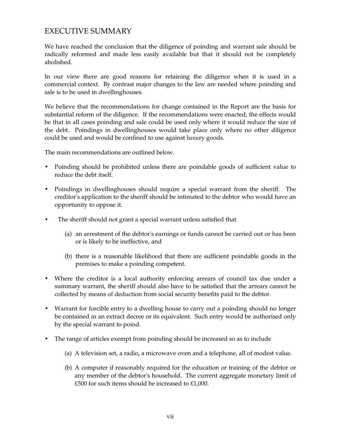# EXECUTIVE SUMMARY

We have reached the conclusion that the diligence of poinding and warrant sale should be radically reformed and made less easily available but that it should not be completely abolished.

In our view there are good reasons for retaining the diligence when it is used in a commercial context. By contrast major changes to the law are needed where poinding and sale is to be used in dwellinghouses.

We believe that the recommendations for change contained in the Report are the basis for substantial reform of the diligence. If the recommendations were enacted, the effects would be that in all cases poinding and sale could be used only where it would reduce the size of the debt. Poindings in dwellinghouses would take place only where no other diligence could be used and would be confined to use against luxury goods.

The main recommendations are outlined below.

- Poinding should be prohibited unless there are poindable goods of sufficient value to reduce the debt itself.
- Poindings in dwellinghouses should require a special warrant from the sheriff. The creditor's application to the sheriff should be intimated to the debtor who would have an opportunity to oppose it.
- The sheriff should not grant a special warrant unless satisfied that
	- (a) an arrestment of the debtor's earnings or funds cannot be carried out or has been or is likely to be ineffective, and
	- (b) there is a reasonable likelihood that there are sufficient poindable goods in the premises to make a poinding competent.
- Where the creditor is a local authority enforcing arrears of council tax due under a summary warrant, the sheriff should also have to be satisfied that the arrears cannot be collected by means of deduction from social security benefits paid to the debtor.
- Warrant for forcible entry to a dwelling house to carry out a poinding should no longer be contained in an extract decree or its equivalent. Such entry would be authorised only by the special warrant to poind.
- The range of articles exempt from poinding should be increased so as to include
	- (a) A television set, a radio, a microwave oven and a telephone, all of modest value.
	- (b) A computer if reasonably required for the education or training of the debtor or any member of the debtor's household. The current aggregate monetary limit of £500 for such items should be increased to £1,000.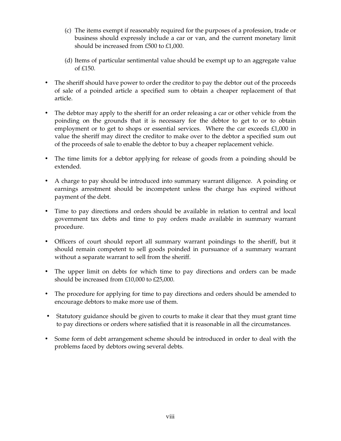- (c) The items exempt if reasonably required for the purposes of a profession, trade or business should expressly include a car or van, and the current monetary limit should be increased from £500 to £1,000.
- (d) Items of particular sentimental value should be exempt up to an aggregate value of £150.
- The sheriff should have power to order the creditor to pay the debtor out of the proceeds of sale of a poinded article a specified sum to obtain a cheaper replacement of that article.
- The debtor may apply to the sheriff for an order releasing a car or other vehicle from the poinding on the grounds that it is necessary for the debtor to get to or to obtain employment or to get to shops or essential services. Where the car exceeds £1,000 in value the sheriff may direct the creditor to make over to the debtor a specified sum out of the proceeds of sale to enable the debtor to buy a cheaper replacement vehicle.
- The time limits for a debtor applying for release of goods from a poinding should be extended.
- A charge to pay should be introduced into summary warrant diligence. A poinding or earnings arrestment should be incompetent unless the charge has expired without payment of the debt.
- Time to pay directions and orders should be available in relation to central and local government tax debts and time to pay orders made available in summary warrant procedure.
- Officers of court should report all summary warrant poindings to the sheriff, but it should remain competent to sell goods poinded in pursuance of a summary warrant without a separate warrant to sell from the sheriff.
- The upper limit on debts for which time to pay directions and orders can be made should be increased from £10,000 to £25,000.
- The procedure for applying for time to pay directions and orders should be amended to encourage debtors to make more use of them.
- Statutory guidance should be given to courts to make it clear that they must grant time to pay directions or orders where satisfied that it is reasonable in all the circumstances.
- Some form of debt arrangement scheme should be introduced in order to deal with the problems faced by debtors owing several debts.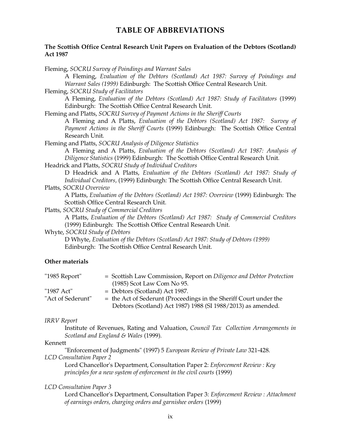# **TABLE OF ABBREVIATIONS**

#### **The Scottish Office Central Research Unit Papers on Evaluation of the Debtors (Scotland) Act 1987**

| Fleming, SOCRU Survey of Poindings and Warrant Sales                                                                |
|---------------------------------------------------------------------------------------------------------------------|
| A Fleming, Evaluation of the Debtors (Scotland) Act 1987: Survey of Poindings and                                   |
| Warrant Sales (1999) Edinburgh: The Scottish Office Central Research Unit.                                          |
| Fleming, SOCRU Study of Facilitators                                                                                |
| A Fleming, Evaluation of the Debtors (Scotland) Act 1987: Study of Facilitators (1999)                              |
| Edinburgh: The Scottish Office Central Research Unit.                                                               |
| Fleming and Platts, SOCRU Survey of Payment Actions in the Sheriff Courts                                           |
| A Fleming and A Platts, Evaluation of the Debtors (Scotland) Act 1987: Survey of                                    |
| Payment Actions in the Sheriff Courts (1999) Edinburgh: The Scottish Office Central                                 |
| Research Unit.                                                                                                      |
| Fleming and Platts, SOCRU Analysis of Diligence Statistics                                                          |
| A Fleming and A Platts, Evaluation of the Debtors (Scotland) Act 1987: Analysis of                                  |
| Diligence Statistics (1999) Edinburgh: The Scottish Office Central Research Unit.                                   |
| Headrick and Platts, SOCRU Study of Individual Creditors                                                            |
| D Headrick and A Platts, Evaluation of the Debtors (Scotland) Act 1987: Study of                                    |
| Individual Creditors, (1999) Edinburgh: The Scottish Office Central Research Unit.                                  |
| Platts, SOCRU Overview                                                                                              |
| A Platts, Evaluation of the Debtors (Scotland) Act 1987: Overview (1999) Edinburgh: The                             |
| Scottish Office Central Research Unit.                                                                              |
| Platts, SOCRU Study of Commercial Creditors                                                                         |
| A Platts, Evaluation of the Debtors (Scotland) Act 1987: Study of Commercial Creditors                              |
| (1999) Edinburgh: The Scottish Office Central Research Unit.                                                        |
| Whyte, SOCRU Study of Debtors                                                                                       |
| D Whyte, Evaluation of the Debtors (Scotland) Act 1987: Study of Debtors (1999)                                     |
| Edinburgh: The Scottish Office Central Research Unit.                                                               |
| Other materials                                                                                                     |
| "1985 Report"<br>= Scottish Law Commission, Report on Diligence and Debtor Protection<br>(1985) Scot Law Com No 95. |

|                   | $(1,0)$ because $\alpha$ .                                          |
|-------------------|---------------------------------------------------------------------|
| "1987 Act"        | $=$ Debtors (Scotland) Act 1987.                                    |
| "Act of Sederunt" | $=$ the Act of Sederunt (Proceedings in the Sheriff Court under the |
|                   | Debtors (Scotland) Act 1987) 1988 (SI 1988/2013) as amended.        |

#### *IRRV Report*

Institute of Revenues, Rating and Valuation, *Council Tax Collection Arrangements in Scotland and England & Wales* (1999).

#### Kennett

"Enforcement of Judgments" (1997) 5 *European Review of Private Law* 321-428. *LCD Consultation Paper 2* 

Lord Chancellor's Department, Consultation Paper 2: *Enforcement Review : Key principles for a new system of enforcement in the civil courts* (1999)

#### *LCD Consultation Paper 3*

Lord Chancellor's Department, Consultation Paper 3: *Enforcement Review : Attachment of earnings orders, charging orders and garnishee orders* (1999)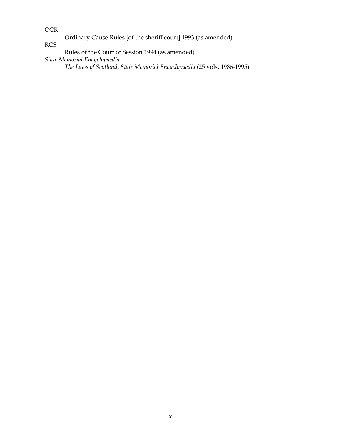OCR

Ordinary Cause Rules [of the sheriff court] 1993 (as amended).

RCS

Rules of the Court of Session 1994 (as amended).

*Stair Memorial Encyclopaedia* 

*The Laws of Scotland, Stair Memorial Encyclopaedia* (25 vols, 1986-1995).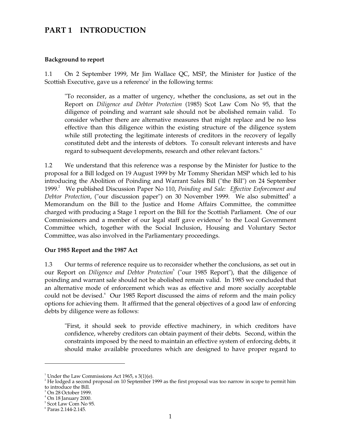# **PART 1 INTRODUCTION**

#### **Background to report**

1.1 On 2 September 1999, Mr Jim Wallace QC, MSP, the Minister for Justice of the Scottish Executive, gave us a reference<sup>1</sup> in the following terms:

"To reconsider, as a matter of urgency, whether the conclusions, as set out in the Report on *Diligence and Debtor Protection* (1985) Scot Law Com No 95, that the diligence of poinding and warrant sale should not be abolished remain valid. To consider whether there are alternative measures that might replace and be no less effective than this diligence within the existing structure of the diligence system while still protecting the legitimate interests of creditors in the recovery of legally constituted debt and the interests of debtors. To consult relevant interests and have regard to subsequent developments, research and other relevant factors."

1.2 We understand that this reference was a response by the Minister for Justice to the proposal for a Bill lodged on 19 August 1999 by Mr Tommy Sheridan MSP which led to his introducing the Abolition of Poinding and Warrant Sales Bill ("the Bill") on 24 September 1999. 2 We published Discussion Paper No 110, *Poinding and Sale: Effective Enforcement and*  Debtor Protection, ("our discussion paper") on 30 November 1999. We also submitted<sup>3</sup> a Memorandum on the Bill to the Justice and Home Affairs Committee, the committee charged with producing a Stage 1 report on the Bill for the Scottish Parliament. One of our Commissioners and a member of our legal staff gave evidence<sup>4</sup> to the Local Government Committee which, together with the Social Inclusion, Housing and Voluntary Sector Committee, was also involved in the Parliamentary proceedings.

#### **Our 1985 Report and the 1987 Act**

1.3 Our terms of reference require us to reconsider whether the conclusions, as set out in our Report on *Diligence and Debtor Protection*<sup>5</sup> ("our 1985 Report"), that the diligence of poinding and warrant sale should not be abolished remain valid. In 1985 we concluded that an alternative mode of enforcement which was as effective and more socially acceptable could not be devised. <sup>6</sup> Our 1985 Report discussed the aims of reform and the main policy options for achieving them. It affirmed that the general objectives of a good law of enforcing debts by diligence were as follows:

"First, it should seek to provide effective machinery, in which creditors have confidence, whereby creditors can obtain payment of their debts. Second, within the constraints imposed by the need to maintain an effective system of enforcing debts, it should make available procedures which are designed to have proper regard to

<sup>&</sup>lt;sup>1</sup> Under the Law Commissions Act 1965, s  $3(1)(e)$ .

 $2^2$  He lodged a second proposal on 10 September 1999 as the first proposal was too narrow in scope to permit him to introduce the Bill.

 $3$  On 28 October 1999.

 $4$  On 18 January 2000.

<sup>5</sup> Scot Law Com No 95.

<sup>6</sup> Paras 2.144-2.145.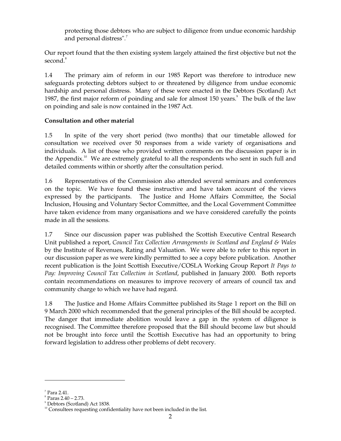protecting those debtors who are subject to diligence from undue economic hardship and personal distress".<sup>7</sup>

Our report found that the then existing system largely attained the first objective but not the second. 8

1.4 The primary aim of reform in our 1985 Report was therefore to introduce new safeguards protecting debtors subject to or threatened by diligence from undue economic hardship and personal distress. Many of these were enacted in the Debtors (Scotland) Act 1987, the first major reform of poinding and sale for almost 150 years.<sup>9</sup> The bulk of the law on poinding and sale is now contained in the 1987 Act.

# **Consultation and other material**

1.5 In spite of the very short period (two months) that our timetable allowed for consultation we received over 50 responses from a wide variety of organisations and individuals. A list of those who provided written comments on the discussion paper is in the Appendix.<sup>10</sup> We are extremely grateful to all the respondents who sent in such full and detailed comments within or shortly after the consultation period.

1.6 Representatives of the Commission also attended several seminars and conferences on the topic. We have found these instructive and have taken account of the views expressed by the participants. The Justice and Home Affairs Committee, the Social Inclusion, Housing and Voluntary Sector Committee, and the Local Government Committee have taken evidence from many organisations and we have considered carefully the points made in all the sessions.

1.7 Since our discussion paper was published the Scottish Executive Central Research Unit published a report, *Council Tax Collection Arrangements in Scotland and England & Wales*  by the Institute of Revenues, Rating and Valuation. We were able to refer to this report in our discussion paper as we were kindly permitted to see a copy before publication. Another recent publication is the Joint Scottish Executive/COSLA Working Group Report *It Pays to Pay: Improving Council Tax Collection in Scotland*, published in January 2000. Both reports contain recommendations on measures to improve recovery of arrears of council tax and community charge to which we have had regard.

1.8 The Justice and Home Affairs Committee published its Stage 1 report on the Bill on 9 March 2000 which recommended that the general principles of the Bill should be accepted. The danger that immediate abolition would leave a gap in the system of diligence is recognised. The Committee therefore proposed that the Bill should become law but should not be brought into force until the Scottish Executive has had an opportunity to bring forward legislation to address other problems of debt recovery.

 $\rm{7}$  Para 2.41.

 $^8$  Paras 2.40 – 2.73. 9 Debtors (Scotland) Act 1838.

 $10^1$  Consultees requesting confidentiality have not been included in the list.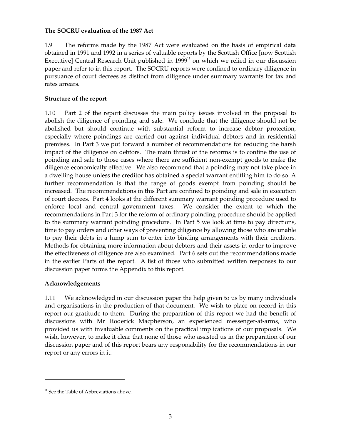## **The SOCRU evaluation of the 1987 Act**

1.9 The reforms made by the 1987 Act were evaluated on the basis of empirical data obtained in 1991 and 1992 in a series of valuable reports by the Scottish Office [now Scottish Executive] Central Research Unit published in 1999<sup>11</sup> on which we relied in our discussion paper and refer to in this report. The SOCRU reports were confined to ordinary diligence in pursuance of court decrees as distinct from diligence under summary warrants for tax and rates arrears.

## **Structure of the report**

1.10 Part 2 of the report discusses the main policy issues involved in the proposal to abolish the diligence of poinding and sale. We conclude that the diligence should not be abolished but should continue with substantial reform to increase debtor protection, especially where poindings are carried out against individual debtors and in residential premises. In Part 3 we put forward a number of recommendations for reducing the harsh impact of the diligence on debtors. The main thrust of the reforms is to confine the use of poinding and sale to those cases where there are sufficient non-exempt goods to make the diligence economically effective. We also recommend that a poinding may not take place in a dwelling house unless the creditor has obtained a special warrant entitling him to do so. A further recommendation is that the range of goods exempt from poinding should be increased. The recommendations in this Part are confined to poinding and sale in execution of court decrees. Part 4 looks at the different summary warrant poinding procedure used to enforce local and central government taxes. We consider the extent to which the recommendations in Part 3 for the reform of ordinary poinding procedure should be applied to the summary warrant poinding procedure. In Part 5 we look at time to pay directions, time to pay orders and other ways of preventing diligence by allowing those who are unable to pay their debts in a lump sum to enter into binding arrangements with their creditors. Methods for obtaining more information about debtors and their assets in order to improve the effectiveness of diligence are also examined. Part 6 sets out the recommendations made in the earlier Parts of the report. A list of those who submitted written responses to our discussion paper forms the Appendix to this report.

# **Acknowledgements**

1.11 We acknowledged in our discussion paper the help given to us by many individuals and organisations in the production of that document. We wish to place on record in this report our gratitude to them. During the preparation of this report we had the benefit of discussions with Mr Roderick Macpherson, an experienced messenger-at-arms, who provided us with invaluable comments on the practical implications of our proposals. We wish, however, to make it clear that none of those who assisted us in the preparation of our discussion paper and of this report bears any responsibility for the recommendations in our report or any errors in it.

 $11$  See the Table of Abbreviations above.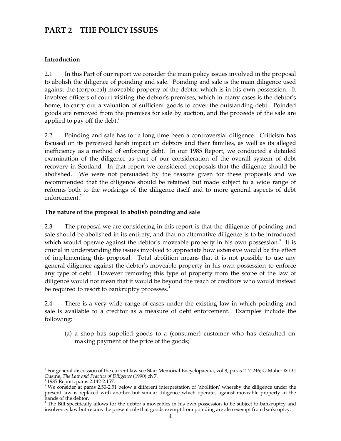# **PART 2 THE POLICY ISSUES**

## **Introduction**

2.1 In this Part of our report we consider the main policy issues involved in the proposal to abolish the diligence of poinding and sale. Poinding and sale is the main diligence used against the (corporeal) moveable property of the debtor which is in his own possession. It involves officers of court visiting the debtor's premises, which in many cases is the debtor's home, to carry out a valuation of sufficient goods to cover the outstanding debt. Poinded goods are removed from the premises for sale by auction, and the proceeds of the sale are applied to pay off the debt.<sup>1</sup>

2.2 Poinding and sale has for a long time been a controversial diligence. Criticism has focused on its perceived harsh impact on debtors and their families, as well as its alleged inefficiency as a method of enforcing debt. In our 1985 Report, we conducted a detailed examination of the diligence as part of our consideration of the overall system of debt recovery in Scotland. In that report we considered proposals that the diligence should be abolished. We were not persuaded by the reasons given for these proposals and we recommended that the diligence should be retained but made subject to a wide range of reforms both to the workings of the diligence itself and to more general aspects of debt enforcement. 2

## **The nature of the proposal to abolish poinding and sale**

2.3 The proposal we are considering in this report is that the diligence of poinding and sale should be abolished in its entirety, and that no alternative diligence is to be introduced which would operate against the debtor's moveable property in his own possession.<sup>3</sup> It is crucial in understanding the issues involved to appreciate how extensive would be the effect of implementing this proposal. Total abolition means that it is not possible to use any general diligence against the debtor's moveable property in his own possession to enforce any type of debt. However removing this type of property from the scope of the law of diligence would not mean that it would be beyond the reach of creditors who would instead be required to resort to bankruptcy processes.<sup>4</sup>

2.4 There is a very wide range of cases under the existing law in which poinding and sale is available to a creditor as a measure of debt enforcement. Examples include the following:

(a) a shop has supplied goods to a (consumer) customer who has defaulted on making payment of the price of the goods;

<sup>&</sup>lt;sup>1</sup> For general discussion of the current law see Stair Memorial Encyclopaedia, vol 8, paras 217-246; G Maher & D J Cusine, *The Law and Practice of Diligence* (1990) ch 7.

<sup>2 1985</sup> Report, paras 2.142-2.157.

<sup>&</sup>lt;sup>3</sup> We consider at paras 2.50-2.51 below a different interpretation of 'abolition' whereby the diligence under the present law is replaced with another but similar diligence which operates against moveable property in the

hands of the debtor.<br><sup>4</sup> The Bill specifically allows for the debtor's moveables in his own possession to be subject to bankruptcy and insolvency law but retains the present rule that goods exempt from poinding are also exempt from bankruptcy.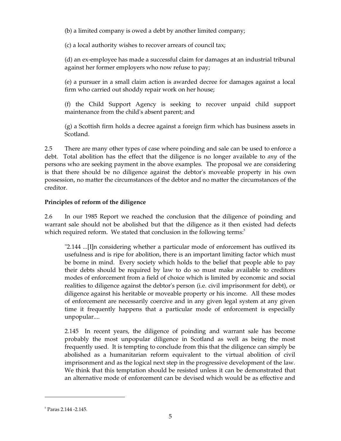(b) a limited company is owed a debt by another limited company;

(c) a local authority wishes to recover arrears of council tax;

(d) an ex-employee has made a successful claim for damages at an industrial tribunal against her former employers who now refuse to pay;

(e) a pursuer in a small claim action is awarded decree for damages against a local firm who carried out shoddy repair work on her house;

(f) the Child Support Agency is seeking to recover unpaid child support maintenance from the child's absent parent; and

(g) a Scottish firm holds a decree against a foreign firm which has business assets in Scotland.

2.5 There are many other types of case where poinding and sale can be used to enforce a debt. Total abolition has the effect that the diligence is no longer available to *any* of the persons who are seeking payment in the above examples. The proposal we are considering is that there should be no diligence against the debtor's moveable property in his own possession, no matter the circumstances of the debtor and no matter the circumstances of the creditor.

## **Principles of reform of the diligence**

2.6 In our 1985 Report we reached the conclusion that the diligence of poinding and warrant sale should not be abolished but that the diligence as it then existed had defects which required reform. We stated that conclusion in the following terms:<sup>5</sup>

"2.144 ...[I]n considering whether a particular mode of enforcement has outlived its usefulness and is ripe for abolition, there is an important limiting factor which must be borne in mind. Every society which holds to the belief that people able to pay their debts should be required by law to do so must make available to creditors modes of enforcement from a field of choice which is limited by economic and social realities to diligence against the debtor's person (i.e. civil imprisonment for debt), or diligence against his heritable or moveable property or his income. All these modes of enforcement are necessarily coercive and in any given legal system at any given time it frequently happens that a particular mode of enforcement is especially unpopular....

2.145 In recent years, the diligence of poinding and warrant sale has become probably the most unpopular diligence in Scotland as well as being the most frequently used. It is tempting to conclude from this that the diligence can simply be abolished as a humanitarian reform equivalent to the virtual abolition of civil imprisonment and as the logical next step in the progressive development of the law. We think that this temptation should be resisted unless it can be demonstrated that an alternative mode of enforcement can be devised which would be as effective and

 $<sup>5</sup>$  Paras 2.144 -2.145.</sup>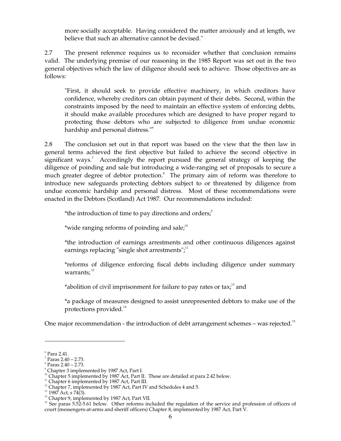more socially acceptable. Having considered the matter anxiously and at length, we believe that such an alternative cannot be devised."

2.7 The present reference requires us to reconsider whether that conclusion remains valid. The underlying premise of our reasoning in the 1985 Report was set out in the two general objectives which the law of diligence should seek to achieve. Those objectives are as follows:

"First, it should seek to provide effective machinery, in which creditors have confidence, whereby creditors can obtain payment of their debts. Second, within the constraints imposed by the need to maintain an effective system of enforcing debts, it should make available procedures which are designed to have proper regard to protecting those debtors who are subjected to diligence from undue economic hardship and personal distress." 6

2.8 The conclusion set out in that report was based on the view that the then law in general terms achieved the first objective but failed to achieve the second objective in significant ways.<sup>7</sup> Accordingly the report pursued the general strategy of keeping the diligence of poinding and sale but introducing a wide-ranging set of proposals to secure a much greater degree of debtor protection.<sup>8</sup> The primary aim of reform was therefore to introduce new safeguards protecting debtors subject to or threatened by diligence from undue economic hardship and personal distress. Most of these recommendations were enacted in the Debtors (Scotland) Act 1987. Our recommendations included:

\*the introduction of time to pay directions and orders;<sup>9</sup>

\*wide ranging reforms of poinding and sale;<sup>10</sup>

\*the introduction of earnings arrestments and other continuous diligences against earnings replacing "single shot arrestments";<sup>11</sup>

\*reforms of diligence enforcing fiscal debts including diligence under summary warrants;<sup>12</sup>

\*abolition of civil imprisonment for failure to pay rates or tax; $^{13}$  and

\*a package of measures designed to assist unrepresented debtors to make use of the protections provided. 14

One major recommendation - the introduction of debt arrangement schemes – was rejected.<sup>15</sup>

 $^{\circ}$  Para 2.41.

 $7$  Paras 2.40 – 2.73.

 $^8$  Paras 2.40 – 2.73.

<sup>&</sup>lt;sup>9</sup> Chapter 3 implemented by 1987 Act, Part I.

<sup>&</sup>lt;sup>10</sup> Chapter 5 implemented by 1987 Act, Part II. These are detailed at para 2.42 below.

<sup>&</sup>lt;sup>11</sup> Chapter 6 implemented by 1987 Act, Part III.

<sup>&</sup>lt;sup>12</sup> Chapter 7, implemented by 1987 Act, Part IV and Schedules 4 and 5.

<sup>&</sup>lt;sup>13</sup> 1987 Act, s 74(3).

<sup>&</sup>lt;sup>14</sup> Chapter 9, implemented by 1987 Act, Part VII.

<sup>&</sup>lt;sup>15</sup> See paras 5.52-5.61 below. Other reforms included the regulation of the service and profession of officers of court (messengers-at-arms and sheriff officers) Chapter 8, implemented by 1987 Act, Part V.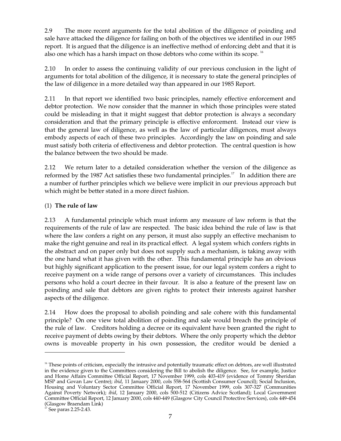2.9 The more recent arguments for the total abolition of the diligence of poinding and sale have attacked the diligence for failing on both of the objectives we identified in our 1985 report. It is argued that the diligence is an ineffective method of enforcing debt and that it is also one which has a harsh impact on those debtors who come within its scope.  $^{16}$ 

2.10 In order to assess the continuing validity of our previous conclusion in the light of arguments for total abolition of the diligence, it is necessary to state the general principles of the law of diligence in a more detailed way than appeared in our 1985 Report.

2.11 In that report we identified two basic principles, namely effective enforcement and debtor protection. We now consider that the manner in which those principles were stated could be misleading in that it might suggest that debtor protection is always a secondary consideration and that the primary principle is effective enforcement. Instead our view is that the general law of diligence, as well as the law of particular diligences, must always embody aspects of each of these two principles. Accordingly the law on poinding and sale must satisfy both criteria of effectiveness and debtor protection. The central question is how the balance between the two should be made.

2.12 We return later to a detailed consideration whether the version of the diligence as reformed by the 1987 Act satisfies these two fundamental principles.<sup>17</sup> In addition there are a number of further principles which we believe were implicit in our previous approach but which might be better stated in a more direct fashion.

# (1) **The rule of law**

2.13 A fundamental principle which must inform any measure of law reform is that the requirements of the rule of law are respected. The basic idea behind the rule of law is that where the law confers a right on any person, it must also supply an effective mechanism to make the right genuine and real in its practical effect. A legal system which confers rights in the abstract and on paper only but does not supply such a mechanism, is taking away with the one hand what it has given with the other. This fundamental principle has an obvious but highly significant application to the present issue, for our legal system confers a right to receive payment on a wide range of persons over a variety of circumstances. This includes persons who hold a court decree in their favour. It is also a feature of the present law on poinding and sale that debtors are given rights to protect their interests against harsher aspects of the diligence.

2.14 How does the proposal to abolish poinding and sale cohere with this fundamental principle? On one view total abolition of poinding and sale would breach the principle of the rule of law. Creditors holding a decree or its equivalent have been granted the right to receive payment of debts owing by their debtors. Where the only property which the debtor owns is moveable property in his own possession, the creditor would be denied a

<sup>&</sup>lt;sup>16</sup> These points of criticism, especially the intrusive and potentially traumatic effect on debtors, are well illustrated in the evidence given to the Committees considering the Bill to abolish the diligence. See, for example, Justice and Home Affairs Committee Official Report, 17 November 1999, cols 403-419 (evidence of Tommy Sheridan MSP and Govan Law Centre); *ibid*, 11 January 2000, cols 558-564 (Scottish Consumer Council); Social Inclusion, Housing and Voluntary Sector Committee Official Report, 17 November 1999, cols 307-327 (Communities Against Poverty Network); *ibid*, 12 January 2000, cols 500-512 (Citizens Advice Scotland); Local Government Committee Official Report, 12 January 2000, cols 440-449 (Glasgow City Council Protective Services), cols 449-454 (Glasgow Braendam Link) 17 See paras 2.25-2.43.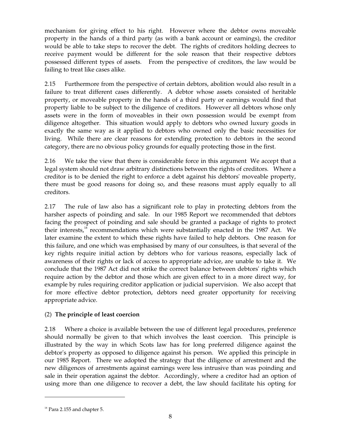mechanism for giving effect to his right. However where the debtor owns moveable property in the hands of a third party (as with a bank account or earnings), the creditor would be able to take steps to recover the debt. The rights of creditors holding decrees to receive payment would be different for the sole reason that their respective debtors possessed different types of assets. From the perspective of creditors, the law would be failing to treat like cases alike.

2.15 Furthermore from the perspective of certain debtors, abolition would also result in a failure to treat different cases differently. A debtor whose assets consisted of heritable property, or moveable property in the hands of a third party or earnings would find that property liable to be subject to the diligence of creditors. However all debtors whose only assets were in the form of moveables in their own possession would be exempt from diligence altogether. This situation would apply to debtors who owned luxury goods in exactly the same way as it applied to debtors who owned only the basic necessities for living. While there are clear reasons for extending protection to debtors in the second category, there are no obvious policy grounds for equally protecting those in the first.

2.16 We take the view that there is considerable force in this argument We accept that a legal system should not draw arbitrary distinctions between the rights of creditors. Where a creditor is to be denied the right to enforce a debt against his debtors' moveable property, there must be good reasons for doing so, and these reasons must apply equally to all creditors.

2.17 The rule of law also has a significant role to play in protecting debtors from the harsher aspects of poinding and sale. In our 1985 Report we recommended that debtors facing the prospect of poinding and sale should be granted a package of rights to protect their interests,<sup>18</sup> recommendations which were substantially enacted in the 1987 Act. We later examine the extent to which these rights have failed to help debtors. One reason for this failure, and one which was emphasised by many of our consultees, is that several of the key rights require initial action by debtors who for various reasons, especially lack of awareness of their rights or lack of access to appropriate advice, are unable to take it. We conclude that the 1987 Act did not strike the correct balance between debtors' rights which require action by the debtor and those which are given effect to in a more direct way, for example by rules requiring creditor application or judicial supervision. We also accept that for more effective debtor protection, debtors need greater opportunity for receiving appropriate advice.

# (2) **The principle of least coercion**

2.18 Where a choice is available between the use of different legal procedures, preference should normally be given to that which involves the least coercion. This principle is illustrated by the way in which Scots law has for long preferred diligence against the debtor's property as opposed to diligence against his person. We applied this principle in our 1985 Report. There we adopted the strategy that the diligence of arrestment and the new diligences of arrestments against earnings were less intrusive than was poinding and sale in their operation against the debtor. Accordingly, where a creditor had an option of using more than one diligence to recover a debt, the law should facilitate his opting for

 $18$  Para 2.155 and chapter 5.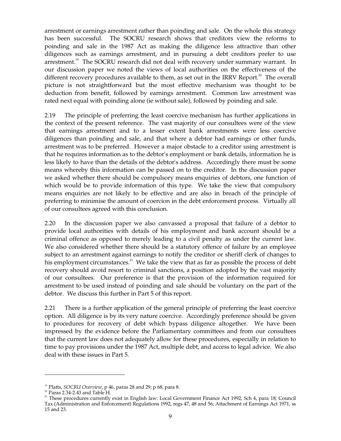arrestment or earnings arrestment rather than poinding and sale. On the whole this strategy has been successful. The SOCRU research shows that creditors view the reforms to poinding and sale in the 1987 Act as making the diligence less attractive than other diligences such as earnings arrestment, and in pursuing a debt creditors prefer to use arrestment.<sup>19</sup> The SOCRU research did not deal with recovery under summary warrant. In our discussion paper we noted the views of local authorities on the effectiveness of the different recovery procedures available to them, as set out in the IRRV Report.<sup>20</sup> The overall picture is not straightforward but the most effective mechanism was thought to be deduction from benefit, followed by earnings arrestment. Common law arrestment was rated next equal with poinding alone (ie without sale), followed by poinding and sale.

2.19 The principle of preferring the least coercive mechanism has further applications in the context of the present reference. The vast majority of our consultees were of the view that earnings arrestment and to a lesser extent bank arrestments were less coercive diligences than poinding and sale, and that where a debtor had earnings or other funds, arrestment was to be preferred. However a major obstacle to a creditor using arrestment is that he requires information as to the debtor's employment or bank details, information he is less likely to have than the details of the debtor's address. Accordingly there must be some means whereby this information can be passed on to the creditor. In the discussion paper we asked whether there should be compulsory means enquiries of debtors, one function of which would be to provide information of this type. We take the view that compulsory means enquiries are not likely to be effective and are also in breach of the principle of preferring to minimise the amount of coercion in the debt enforcement process. Virtually all of our consultees agreed with this conclusion.

2.20 In the discussion paper we also canvassed a proposal that failure of a debtor to provide local authorities with details of his employment and bank account should be a criminal offence as opposed to merely leading to a civil penalty as under the current law. We also considered whether there should be a statutory offence of failure by an employee subject to an arrestment against earnings to notify the creditor or sheriff clerk of changes to his employment circumstances.<sup>21</sup> We take the view that as far as possible the process of debt recovery should avoid resort to criminal sanctions, a position adopted by the vast majority of our consultees. Our preference is that the provision of the information required for arrestment to be used instead of poinding and sale should be voluntary on the part of the debtor. We discuss this further in Part 5 of this report.

2.21 There is a further application of the general principle of preferring the least coercive option. All diligence is by its very nature coercive. Accordingly preference should be given to procedures for recovery of debt which bypass diligence altogether. We have been impressed by the evidence before the Parliamentary committees and from our consultees that the current law does not adequately allow for these procedures, especially in relation to time to pay provisions under the 1987 Act, multiple debt, and access to legal advice. We also deal with these issues in Part 5.

<sup>&</sup>lt;sup>19</sup> Platts, *SOCRU Overview*, p 46, paras 28 and 29; p 68, para 8.<br><sup>20</sup> Paras 2.34-2.43 and Table H.<br><sup>21</sup> These procedures currently exist in English law: Local Government Finance Act 1992, Sch 4, para 18; Council Tax (Administration and Enforcement) Regulations 1992, regs 47, 48 and 56; Attachment of Earnings Act 1971, ss 15 and 23.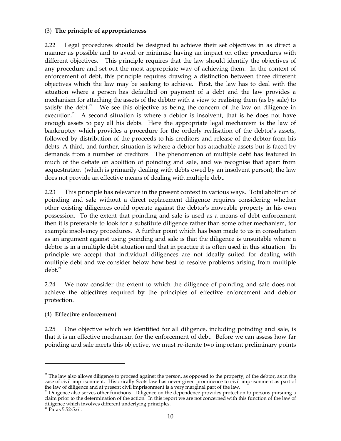## (3) **The principle of appropriateness**

2.22 Legal procedures should be designed to achieve their set objectives in as direct a manner as possible and to avoid or minimise having an impact on other procedures with different objectives. This principle requires that the law should identify the objectives of any procedure and set out the most appropriate way of achieving them. In the context of enforcement of debt, this principle requires drawing a distinction between three different objectives which the law may be seeking to achieve. First, the law has to deal with the situation where a person has defaulted on payment of a debt and the law provides a mechanism for attaching the assets of the debtor with a view to realising them (as by sale) to satisfy the debt. $2^2$  We see this objective as being the concern of the law on diligence in execution.<sup>23</sup> A second situation is where a debtor is insolvent, that is he does not have enough assets to pay all his debts. Here the appropriate legal mechanism is the law of bankruptcy which provides a procedure for the orderly realisation of the debtor's assets, followed by distribution of the proceeds to his creditors and release of the debtor from his debts. A third, and further, situation is where a debtor has attachable assets but is faced by demands from a number of creditors. The phenomenon of multiple debt has featured in much of the debate on abolition of poinding and sale, and we recognise that apart from sequestration (which is primarily dealing with debts owed by an insolvent person), the law does not provide an effective means of dealing with multiple debt.

2.23 This principle has relevance in the present context in various ways. Total abolition of poinding and sale without a direct replacement diligence requires considering whether other existing diligences could operate against the debtor's moveable property in his own possession. To the extent that poinding and sale is used as a means of debt enforcement then it is preferable to look for a substitute diligence rather than some other mechanism, for example insolvency procedures. A further point which has been made to us in consultation as an argument against using poinding and sale is that the diligence is unsuitable where a debtor is in a multiple debt situation and that in practice it is often used in this situation. In principle we accept that individual diligences are not ideally suited for dealing with multiple debt and we consider below how best to resolve problems arising from multiple debt. 24

2.24 We now consider the extent to which the diligence of poinding and sale does not achieve the objectives required by the principles of effective enforcement and debtor protection.

#### (4) **Effective enforcement**

2.25 One objective which we identified for all diligence, including poinding and sale, is that it is an effective mechanism for the enforcement of debt. Before we can assess how far poinding and sale meets this objective, we must re-iterate two important preliminary points

 $22$  The law also allows diligence to proceed against the person, as opposed to the property, of the debtor, as in the case of civil imprisonment. Historically Scots law has never given prominence to civil imprisonment as part of the law of diligence and at present civil imprisonment is a very marginal part of the law.<br><sup>23</sup> Diligence also serves other functions. Diligence on the dependence provides protection to persons pursuing a

claim prior to the determination of the action. In this report we are not concerned with this function of the law of diligence which involves different underlying principles.  $^{24}$  Paras 5.52-5.61.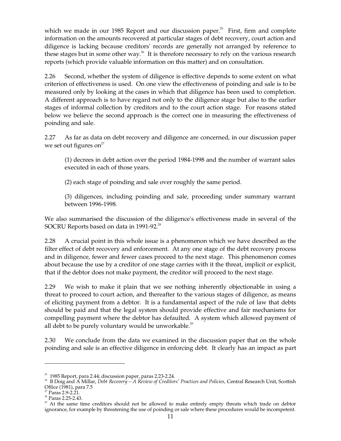which we made in our 1985 Report and our discussion paper.<sup>25</sup> First, firm and complete information on the amounts recovered at particular stages of debt recovery, court action and diligence is lacking because creditors' records are generally not arranged by reference to these stages but in some other way.<sup>26</sup> It is therefore necessary to rely on the various research reports (which provide valuable information on this matter) and on consultation.

2.26 Second, whether the system of diligence is effective depends to some extent on what criterion of effectiveness is used. On one view the effectiveness of poinding and sale is to be measured only by looking at the cases in which that diligence has been used to completion. A different approach is to have regard not only to the diligence stage but also to the earlier stages of informal collection by creditors and to the court action stage. For reasons stated below we believe the second approach is the correct one in measuring the effectiveness of poinding and sale.

2.27 As far as data on debt recovery and diligence are concerned, in our discussion paper we set out figures on<sup>27</sup>

(1) decrees in debt action over the period 1984-1998 and the number of warrant sales executed in each of those years.

(2) each stage of poinding and sale over roughly the same period.

(3) diligences, including poinding and sale, proceeding under summary warrant between 1996-1998.

We also summarised the discussion of the diligence's effectiveness made in several of the SOCRU Reports based on data in 1991-92.<sup>28</sup>

2.28 A crucial point in this whole issue is a phenomenon which we have described as the filter effect of debt recovery and enforcement. At any one stage of the debt recovery process and in diligence, fewer and fewer cases proceed to the next stage. This phenomenon comes about because the use by a creditor of one stage carries with it the threat, implicit or explicit, that if the debtor does not make payment, the creditor will proceed to the next stage.

2.29 We wish to make it plain that we see nothing inherently objectionable in using a threat to proceed to court action, and thereafter to the various stages of diligence, as means of eliciting payment from a debtor. It is a fundamental aspect of the rule of law that debts should be paid and that the legal system should provide effective and fair mechanisms for compelling payment where the debtor has defaulted. A system which allowed payment of all debt to be purely voluntary would be unworkable. $^{29}$ 

2.30 We conclude from the data we examined in the discussion paper that on the whole poinding and sale is an effective diligence in enforcing debt. It clearly has an impact as part

<sup>&</sup>lt;sup>25</sup> 1985 Report, para 2.44; discussion paper, paras 2.23-2.24.<br><sup>26</sup> B Doig and A Millar, *Debt Recovery – A Review of Creditors' Practices and Policies, Central Research Unit, Scottish Office (1981), para 7.5* 

<sup>&</sup>lt;sup>27</sup> Paras 2.9-2.21.<br><sup>28</sup> Paras 2.25-2.43.<br><sup>29</sup> At the same time creditors should not be allowed to make entirely empty threats which trade on debtor ignorance, for example by threatening the use of poinding or sale where these procedures would be incompetent.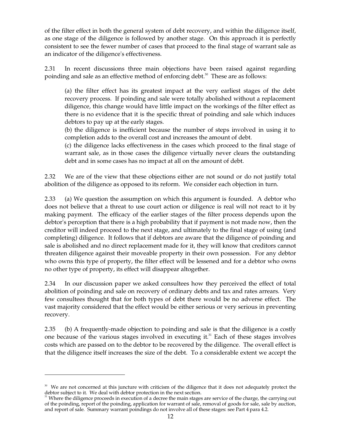of the filter effect in both the general system of debt recovery, and within the diligence itself, as one stage of the diligence is followed by another stage. On this approach it is perfectly consistent to see the fewer number of cases that proceed to the final stage of warrant sale as an indicator of the diligence's effectiveness.

2.31 In recent discussions three main objections have been raised against regarding poinding and sale as an effective method of enforcing debt. 30 These are as follows:

(a) the filter effect has its greatest impact at the very earliest stages of the debt recovery process. If poinding and sale were totally abolished without a replacement diligence, this change would have little impact on the workings of the filter effect as there is no evidence that it is the specific threat of poinding and sale which induces debtors to pay up at the early stages.

(b) the diligence is inefficient because the number of steps involved in using it to completion adds to the overall cost and increases the amount of debt.

(c) the diligence lacks effectiveness in the cases which proceed to the final stage of warrant sale, as in those cases the diligence virtually never clears the outstanding debt and in some cases has no impact at all on the amount of debt.

2.32 We are of the view that these objections either are not sound or do not justify total abolition of the diligence as opposed to its reform. We consider each objection in turn.

2.33 (a) We question the assumption on which this argument is founded. A debtor who does not believe that a threat to use court action or diligence is real will not react to it by making payment. The efficacy of the earlier stages of the filter process depends upon the debtor's perception that there is a high probability that if payment is not made now, then the creditor will indeed proceed to the next stage, and ultimately to the final stage of using (and completing) diligence. It follows that if debtors are aware that the diligence of poinding and sale is abolished and no direct replacement made for it, they will know that creditors cannot threaten diligence against their moveable property in their own possession. For any debtor who owns this type of property, the filter effect will be lessened and for a debtor who owns no other type of property, its effect will disappear altogether.

2.34 In our discussion paper we asked consultees how they perceived the effect of total abolition of poinding and sale on recovery of ordinary debts and tax and rates arrears. Very few consultees thought that for both types of debt there would be no adverse effect. The vast majority considered that the effect would be either serious or very serious in preventing recovery.

2.35 (b) A frequently-made objection to poinding and sale is that the diligence is a costly one because of the various stages involved in executing it. $31$  Each of these stages involves costs which are passed on to the debtor to be recovered by the diligence. The overall effect is that the diligence itself increases the size of the debt. To a considerable extent we accept the

<sup>&</sup>lt;sup>30</sup> We are not concerned at this juncture with criticism of the diligence that it does not adequately protect the debtor subject to it. We deal with debtor protection in the next section.<br><sup>31</sup> Where the diligence proceeds in execution of a decree the main stages are service of the charge, the carrying out

of the poinding, report of the poinding, application for warrant of sale, removal of goods for sale, sale by auction, and report of sale. Summary warrant poindings do not involve all of these stages: see Part 4 para 4.2.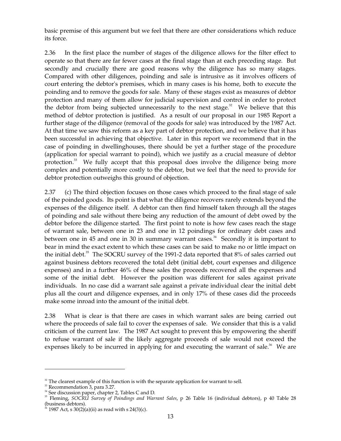basic premise of this argument but we feel that there are other considerations which reduce its force.

2.36 In the first place the number of stages of the diligence allows for the filter effect to operate so that there are far fewer cases at the final stage than at each preceding stage. But secondly and crucially there are good reasons why the diligence has so many stages. Compared with other diligences, poinding and sale is intrusive as it involves officers of court entering the debtor's premises, which in many cases is his home, both to execute the poinding and to remove the goods for sale. Many of these stages exist as measures of debtor protection and many of them allow for judicial supervision and control in order to protect the debtor from being subjected unnecessarily to the next stage. $32$  We believe that this method of debtor protection is justified. As a result of our proposal in our 1985 Report a further stage of the diligence (removal of the goods for sale) was introduced by the 1987 Act. At that time we saw this reform as a key part of debtor protection, and we believe that it has been successful in achieving that objective. Later in this report we recommend that in the case of poinding in dwellinghouses, there should be yet a further stage of the procedure (application for special warrant to poind), which we justify as a crucial measure of debtor protection.<sup>33</sup> We fully accept that this proposal does involve the diligence being more complex and potentially more costly to the debtor, but we feel that the need to provide for debtor protection outweighs this ground of objection.

2.37 (c) The third objection focuses on those cases which proceed to the final stage of sale of the poinded goods. Its point is that what the diligence recovers rarely extends beyond the expenses of the diligence itself. A debtor can then find himself taken through all the stages of poinding and sale without there being any reduction of the amount of debt owed by the debtor before the diligence started. The first point to note is how few cases reach the stage of warrant sale, between one in 23 and one in 12 poindings for ordinary debt cases and between one in 45 and one in 30 in summary warrant cases.<sup>34</sup> Secondly it is important to bear in mind the exact extent to which these cases can be said to make no or little impact on the initial debt.<sup>35</sup> The SOCRU survey of the 1991-2 data reported that 8% of sales carried out against business debtors recovered the total debt (initial debt, court expenses and diligence expenses) and in a further 46% of these sales the proceeds recovered all the expenses and some of the initial debt. However the position was different for sales against private individuals. In no case did a warrant sale against a private individual clear the initial debt plus all the court and diligence expenses, and in only 17% of these cases did the proceeds make some inroad into the amount of the initial debt.

2.38 What is clear is that there are cases in which warrant sales are being carried out where the proceeds of sale fail to cover the expenses of sale. We consider that this is a valid criticism of the current law. The 1987 Act sought to prevent this by empowering the sheriff to refuse warrant of sale if the likely aggregate proceeds of sale would not exceed the expenses likely to be incurred in applying for and executing the warrant of sale.<sup>36</sup> We are

 $32$  The clearest example of this function is with the separate application for warrant to sell.

 $33$  Recommendation  $3$ , para 3.27.

 $34$  See discussion paper, chapter 2, Tables C and D.

<sup>&</sup>lt;sup>35</sup> Fleming, *SOCRU Survey of Poindings and Warrant Sales*, p 26 Table 16 (individual debtors), p 40 Table 28 (business debtors).

<sup>&</sup>lt;sup>36</sup> 1987 Act, s 30(2)(a)(ii) as read with s 24(3)(c).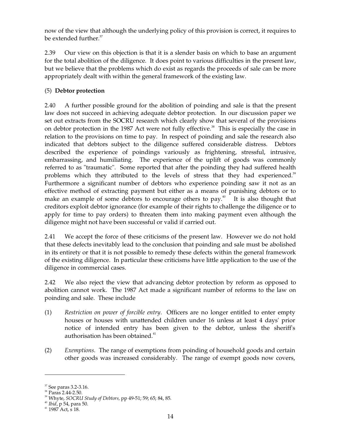now of the view that although the underlying policy of this provision is correct, it requires to be extended further. 37

2.39 Our view on this objection is that it is a slender basis on which to base an argument for the total abolition of the diligence. It does point to various difficulties in the present law, but we believe that the problems which do exist as regards the proceeds of sale can be more appropriately dealt with within the general framework of the existing law.

# (5) **Debtor protection**

2.40 A further possible ground for the abolition of poinding and sale is that the present law does not succeed in achieving adequate debtor protection. In our discussion paper we set out extracts from the SOCRU research which clearly show that several of the provisions on debtor protection in the 1987 Act were not fully effective.<sup>38</sup> This is especially the case in relation to the provisions on time to pay. In respect of poinding and sale the research also indicated that debtors subject to the diligence suffered considerable distress. Debtors described the experience of poindings variously as frightening, stressful, intrusive, embarrassing, and humiliating. The experience of the uplift of goods was commonly referred to as "traumatic". Some reported that after the poinding they had suffered health problems which they attributed to the levels of stress that they had experienced.<sup>39</sup> Furthermore a significant number of debtors who experience poinding saw it not as an effective method of extracting payment but either as a means of punishing debtors or to make an example of some debtors to encourage others to pay.<sup>40</sup> It is also thought that creditors exploit debtor ignorance (for example of their rights to challenge the diligence or to apply for time to pay orders) to threaten them into making payment even although the diligence might not have been successful or valid if carried out.

2.41 We accept the force of these criticisms of the present law. However we do not hold that these defects inevitably lead to the conclusion that poinding and sale must be abolished in its entirety or that it is not possible to remedy these defects within the general framework of the existing diligence. In particular these criticisms have little application to the use of the diligence in commercial cases.

2.42 We also reject the view that advancing debtor protection by reform as opposed to abolition cannot work. The 1987 Act made a significant number of reforms to the law on poinding and sale. These include

- (1) *Restriction on power of forcible entry*. Officers are no longer entitled to enter empty houses or houses with unattended children under 16 unless at least 4 days' prior notice of intended entry has been given to the debtor, unless the sheriff's authorisation has been obtained.<sup>41</sup>
- (2) *Exemptions*. The range of exemptions from poinding of household goods and certain other goods was increased considerably. The range of exempt goods now covers,

 $37$  See paras 3.2-3.16.

<sup>38</sup> Paras 2.44-2.50.

39 Whyte, *SOCRU Study of Debtors,* pp 49-51; 59; 65; 84, 85.

<sup>40</sup>*Ibid*, p 54, para 50.

 $41$  1987 Act, s 18.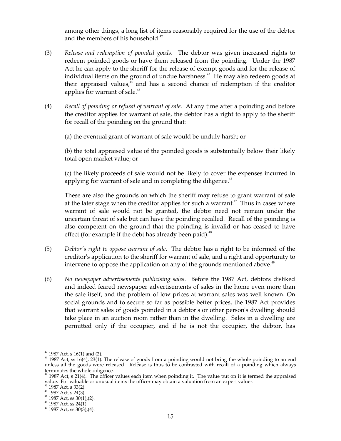among other things, a long list of items reasonably required for the use of the debtor and the members of his household.<sup>42</sup>

- (3) *Release and redemption of poinded goods*. The debtor was given increased rights to redeem poinded goods or have them released from the poinding. Under the 1987 Act he can apply to the sheriff for the release of exempt goods and for the release of individual items on the ground of undue harshness. 43 He may also redeem goods at their appraised values,<sup>44</sup> and has a second chance of redemption if the creditor applies for warrant of sale. 45
- (4) *Recall of poinding or refusal of warrant of sale*. At any time after a poinding and before the creditor applies for warrant of sale, the debtor has a right to apply to the sheriff for recall of the poinding on the ground that:

(a) the eventual grant of warrant of sale would be unduly harsh; or

(b) the total appraised value of the poinded goods is substantially below their likely total open market value; or

(c) the likely proceeds of sale would not be likely to cover the expenses incurred in applying for warrant of sale and in completing the diligence.<sup>46</sup>

These are also the grounds on which the sheriff may refuse to grant warrant of sale at the later stage when the creditor applies for such a warrant. $47$  Thus in cases where warrant of sale would not be granted, the debtor need not remain under the uncertain threat of sale but can have the poinding recalled. Recall of the poinding is also competent on the ground that the poinding is invalid or has ceased to have effect (for example if the debt has already been paid).<sup>48</sup>

- (5) *Debtor's right to oppose warrant of sale*. The debtor has a right to be informed of the creditor's application to the sheriff for warrant of sale, and a right and opportunity to intervene to oppose the application on any of the grounds mentioned above.<sup>49</sup>
- (6) *No newspaper advertisements publicising sales*. Before the 1987 Act, debtors disliked and indeed feared newspaper advertisements of sales in the home even more than the sale itself, and the problem of low prices at warrant sales was well known. On social grounds and to secure so far as possible better prices, the 1987 Act provides that warrant sales of goods poinded in a debtor's or other person's dwelling should take place in an auction room rather than in the dwelling. Sales in a dwelling are permitted only if the occupier, and if he is not the occupier, the debtor, has

 $^{42}$  1987 Act, s 16(1) and (2).<br> $^{43}$  1987 Act, ss 16(4), 23(1). The release of goods from a poinding would not bring the whole poinding to an end unless all the goods were released. Release is thus to be contrasted with recall of a poinding which always

 $44$  1987 Act, s 21(4). The officer values each item when poinding it. The value put on it is termed the appraised value. For valuable or unusual items the officer may obtain a valuation from an expert valuer.  $45$  1987 Act, s 33(2).  $46$  1987 Act, s 24(3).  $47$  1987 Act, ss 30(1),(2).  $48$  1987 Act, ss 24(1).  $49$  1987 Act, ss 30(3),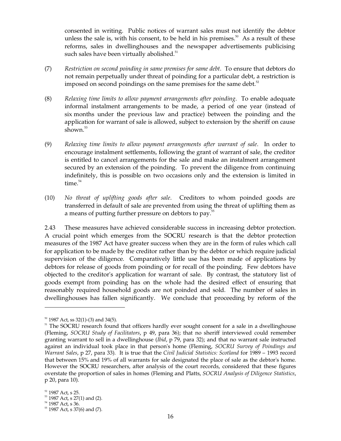consented in writing. Public notices of warrant sales must not identify the debtor unless the sale is, with his consent, to be held in his premises.<sup>50</sup> As a result of these reforms, sales in dwellinghouses and the newspaper advertisements publicising such sales have been virtually abolished.<sup>51</sup>

- (7) *Restriction on second poinding in same premises for same debt*. To ensure that debtors do not remain perpetually under threat of poinding for a particular debt, a restriction is imposed on second poindings on the same premises for the same debt.<sup>52</sup>
- (8) *Relaxing time limits to allow payment arrangements after poinding*. To enable adequate informal instalment arrangements to be made, a period of one year (instead of six months under the previous law and practice) between the poinding and the application for warrant of sale is allowed, subject to extension by the sheriff on cause shown. 53
- (9) *Relaxing time limits to allow payment arrangements after warrant of sale*. In order to encourage instalment settlements, following the grant of warrant of sale, the creditor is entitled to cancel arrangements for the sale and make an instalment arrangement secured by an extension of the poinding. To prevent the diligence from continuing indefinitely, this is possible on two occasions only and the extension is limited in time. 54
- (10) *No threat of uplifting goods after sale*. Creditors to whom poinded goods are transferred in default of sale are prevented from using the threat of uplifting them as a means of putting further pressure on debtors to pay.<sup>55</sup>

2.43 These measures have achieved considerable success in increasing debtor protection. A crucial point which emerges from the SOCRU research is that the debtor protection measures of the 1987 Act have greater success when they are in the form of rules which call for application to be made by the creditor rather than by the debtor or which require judicial supervision of the diligence. Comparatively little use has been made of applications by debtors for release of goods from poinding or for recall of the poinding. Few debtors have objected to the creditor's application for warrant of sale. By contrast, the statutory list of goods exempt from poinding has on the whole had the desired effect of ensuring that reasonably required household goods are not poinded and sold. The number of sales in dwellinghouses has fallen significantly. We conclude that proceeding by reform of the

 $50$  1987 Act, ss 32(1)-(3) and 34(5).<br> $51$  The SOCRU research found that officers hardly ever sought consent for a sale in a dwellinghouse (Fleming, *SOCRU Study of Facilitators*, p 49, para 36); that no sheriff interviewed could remember granting warrant to sell in a dwellinghouse (*Ibid*, p 79, para 32); and that no warrant sale instructed against an individual took place in that person's home (Fleming, *SOCRU Survey of Poindings and Warrant Sales*, p 27, para 33). It is true that the *Civil Judicial Statistics: Scotland* for 1989 – 1993 record that between 15% and 19% of all warrants for sale designated the place of sale as the debtor's home. However the SOCRU researchers, after analysis of the court records, considered that these figures overstate the proportion of sales in homes (Fleming and Platts, *SOCRU Analysis of Diligence Statistics*, p 20, para 10).

<sup>&</sup>lt;sup>52</sup> 1987 Act, s 25.<br><sup>53</sup> 1987 Act, s 27(1) and (2).<br><sup>54</sup> 1987 Act, s 36. 55 1987 Act, s 37(6) and (7).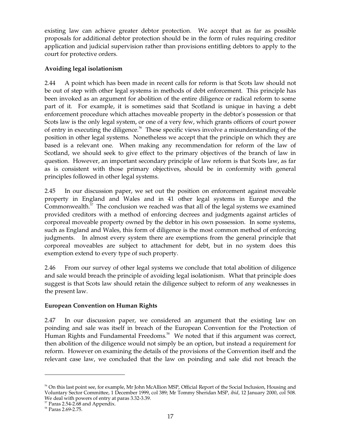existing law can achieve greater debtor protection. We accept that as far as possible proposals for additional debtor protection should be in the form of rules requiring creditor application and judicial supervision rather than provisions entitling debtors to apply to the court for protective orders.

## **Avoiding legal isolationism**

2.44 A point which has been made in recent calls for reform is that Scots law should not be out of step with other legal systems in methods of debt enforcement. This principle has been invoked as an argument for abolition of the entire diligence or radical reform to some part of it. For example, it is sometimes said that Scotland is unique in having a debt enforcement procedure which attaches moveable property in the debtor's possession or that Scots law is the only legal system, or one of a very few, which grants officers of court power of entry in executing the diligence.<sup>56</sup> These specific views involve a misunderstanding of the position in other legal systems. Nonetheless we accept that the principle on which they are based is a relevant one. When making any recommendation for reform of the law of Scotland, we should seek to give effect to the primary objectives of the branch of law in question. However, an important secondary principle of law reform is that Scots law, as far as is consistent with those primary objectives, should be in conformity with general principles followed in other legal systems.

2.45 In our discussion paper, we set out the position on enforcement against moveable property in England and Wales and in 41 other legal systems in Europe and the Commonwealth.<sup>57</sup> The conclusion we reached was that all of the legal systems we examined provided creditors with a method of enforcing decrees and judgments against articles of corporeal moveable property owned by the debtor in his own possession. In some systems, such as England and Wales, this form of diligence is the most common method of enforcing judgments. In almost every system there are exemptions from the general principle that corporeal moveables are subject to attachment for debt, but in no system does this exemption extend to every type of such property.

2.46 From our survey of other legal systems we conclude that total abolition of diligence and sale would breach the principle of avoiding legal isolationism. What that principle does suggest is that Scots law should retain the diligence subject to reform of any weaknesses in the present law.

#### **European Convention on Human Rights**

2.47 In our discussion paper, we considered an argument that the existing law on poinding and sale was itself in breach of the European Convention for the Protection of Human Rights and Fundamental Freedoms.<sup>58</sup> We noted that if this argument was correct, then abolition of the diligence would not simply be an option, but instead a requirement for reform. However on examining the details of the provisions of the Convention itself and the relevant case law, we concluded that the law on poinding and sale did not breach the

 $56$  On this last point see, for example, Mr John McAllion MSP, Official Report of the Social Inclusion, Housing and Voluntary Sector Committee, 1 December 1999, col 389; Mr Tommy Sheridan MSP, *ibid*, 12 January 2000, col 508. We deal with powers of entry at paras 3.32-3.39. 57 Paras 2.54-2.68 and Appendix.

<sup>58</sup> Paras 2.69-2.75.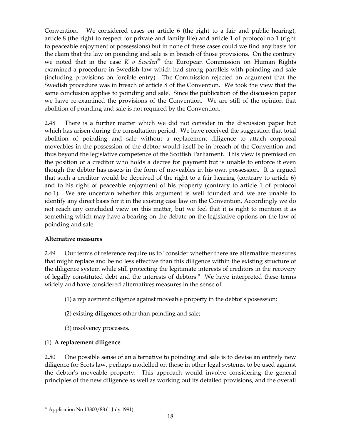Convention. We considered cases on article 6 (the right to a fair and public hearing), article 8 (the right to respect for private and family life) and article 1 of protocol no 1 (right to peaceable enjoyment of possessions) but in none of these cases could we find any basis for the claim that the law on poinding and sale is in breach of those provisions. On the contrary we noted that in the case  $K$  v Sweden<sup>59</sup> the European Commission on Human Rights examined a procedure in Swedish law which had strong parallels with poinding and sale (including provisions on forcible entry). The Commission rejected an argument that the Swedish procedure was in breach of article 8 of the Convention. We took the view that the same conclusion applies to poinding and sale. Since the publication of the discussion paper we have re-examined the provisions of the Convention. We are still of the opinion that abolition of poinding and sale is not required by the Convention.

2.48 There is a further matter which we did not consider in the discussion paper but which has arisen during the consultation period. We have received the suggestion that total abolition of poinding and sale without a replacement diligence to attach corporeal moveables in the possession of the debtor would itself be in breach of the Convention and thus beyond the legislative competence of the Scottish Parliament. This view is premised on the position of a creditor who holds a decree for payment but is unable to enforce it even though the debtor has assets in the form of moveables in his own possession. It is argued that such a creditor would be deprived of the right to a fair hearing (contrary to article 6) and to his right of peaceable enjoyment of his property (contrary to article 1 of protocol no 1). We are uncertain whether this argument is well founded and we are unable to identify any direct basis for it in the existing case law on the Convention. Accordingly we do not reach any concluded view on this matter, but we feel that it is right to mention it as something which may have a bearing on the debate on the legislative options on the law of poinding and sale.

# **Alternative measures**

2.49 Our terms of reference require us to "consider whether there are alternative measures that might replace and be no less effective than this diligence within the existing structure of the diligence system while still protecting the legitimate interests of creditors in the recovery of legally constituted debt and the interests of debtors." We have interpreted these terms widely and have considered alternatives measures in the sense of

- (1) a replacement diligence against moveable property in the debtor's possession;
- (2) existing diligences other than poinding and sale;
- (3) insolvency processes.

# (1) **A replacement diligence**

2.50 One possible sense of an alternative to poinding and sale is to devise an entirely new diligence for Scots law, perhaps modelled on those in other legal systems, to be used against the debtor's moveable property. This approach would involve considering the general principles of the new diligence as well as working out its detailed provisions, and the overall

<sup>59</sup> Application No 13800/88 (1 July 1991).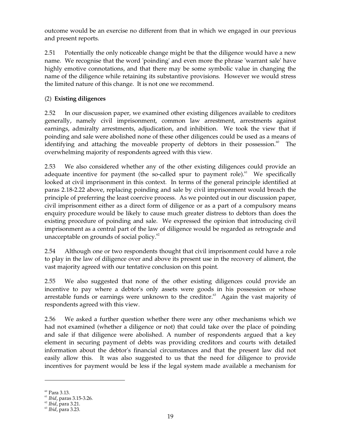outcome would be an exercise no different from that in which we engaged in our previous and present reports.

2.51 Potentially the only noticeable change might be that the diligence would have a new name. We recognise that the word 'poinding' and even more the phrase 'warrant sale' have highly emotive connotations, and that there may be some symbolic value in changing the name of the diligence while retaining its substantive provisions. However we would stress the limited nature of this change. It is not one we recommend.

# (2) **Existing diligences**

2.52 In our discussion paper, we examined other existing diligences available to creditors generally, namely civil imprisonment, common law arrestment, arrestments against earnings, admiralty arrestments, adjudication, and inhibition. We took the view that if poinding and sale were abolished none of these other diligences could be used as a means of identifying and attaching the moveable property of debtors in their possession.<sup>60</sup> The overwhelming majority of respondents agreed with this view.

2.53 We also considered whether any of the other existing diligences could provide an adequate incentive for payment (the so-called spur to payment role).<sup>61</sup> We specifically looked at civil imprisonment in this context. In terms of the general principle identified at paras 2.18-2.22 above, replacing poinding and sale by civil imprisonment would breach the principle of preferring the least coercive process. As we pointed out in our discussion paper, civil imprisonment either as a direct form of diligence or as a part of a compulsory means enquiry procedure would be likely to cause much greater distress to debtors than does the existing procedure of poinding and sale. We expressed the opinion that introducing civil imprisonment as a central part of the law of diligence would be regarded as retrograde and unacceptable on grounds of social policy.<sup>62</sup>

2.54 Although one or two respondents thought that civil imprisonment could have a role to play in the law of diligence over and above its present use in the recovery of aliment, the vast majority agreed with our tentative conclusion on this point.

2.55 We also suggested that none of the other existing diligences could provide an incentive to pay where a debtor's only assets were goods in his possession or whose arrestable funds or earnings were unknown to the creditor.<sup>63</sup> Again the vast majority of respondents agreed with this view.

2.56 We asked a further question whether there were any other mechanisms which we had not examined (whether a diligence or not) that could take over the place of poinding and sale if that diligence were abolished. A number of respondents argued that a key element in securing payment of debts was providing creditors and courts with detailed information about the debtor's financial circumstances and that the present law did not easily allow this. It was also suggested to us that the need for diligence to provide incentives for payment would be less if the legal system made available a mechanism for

 $60$  Para 3.13.

<sup>61</sup>*Ibid*, paras 3.15-3.26.

<sup>62</sup>*Ibid*, para 3.21.

<sup>63</sup>*Ibid*, para 3.23.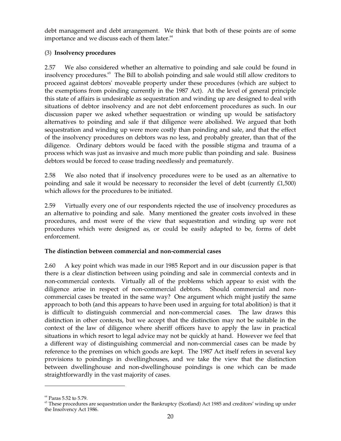debt management and debt arrangement. We think that both of these points are of some importance and we discuss each of them later.<sup>64</sup>

## (3) **Insolvency procedures**

2.57 We also considered whether an alternative to poinding and sale could be found in insolvency procedures. 65 The Bill to abolish poinding and sale would still allow creditors to proceed against debtors' moveable property under these procedures (which are subject to the exemptions from poinding currently in the 1987 Act). At the level of general principle this state of affairs is undesirable as sequestration and winding up are designed to deal with situations of debtor insolvency and are not debt enforcement procedures as such. In our discussion paper we asked whether sequestration or winding up would be satisfactory alternatives to poinding and sale if that diligence were abolished. We argued that both sequestration and winding up were more costly than poinding and sale, and that the effect of the insolvency procedures on debtors was no less, and probably greater, than that of the diligence. Ordinary debtors would be faced with the possible stigma and trauma of a process which was just as invasive and much more public than poinding and sale. Business debtors would be forced to cease trading needlessly and prematurely.

2.58 We also noted that if insolvency procedures were to be used as an alternative to poinding and sale it would be necessary to reconsider the level of debt (currently  $£1,500$ ) which allows for the procedures to be initiated.

2.59 Virtually every one of our respondents rejected the use of insolvency procedures as an alternative to poinding and sale. Many mentioned the greater costs involved in these procedures, and most were of the view that sequestration and winding up were not procedures which were designed as, or could be easily adapted to be, forms of debt enforcement.

# **The distinction between commercial and non-commercial cases**

2.60 A key point which was made in our 1985 Report and in our discussion paper is that there is a clear distinction between using poinding and sale in commercial contexts and in non-commercial contexts. Virtually all of the problems which appear to exist with the diligence arise in respect of non-commercial debtors. Should commercial and noncommercial cases be treated in the same way? One argument which might justify the same approach to both (and this appears to have been used in arguing for total abolition) is that it is difficult to distinguish commercial and non-commercial cases. The law draws this distinction in other contexts, but we accept that the distinction may not be suitable in the context of the law of diligence where sheriff officers have to apply the law in practical situations in which resort to legal advice may not be quickly at hand. However we feel that a different way of distinguishing commercial and non-commercial cases can be made by reference to the premises on which goods are kept. The 1987 Act itself refers in several key provisions to poindings in dwellinghouses, and we take the view that the distinction between dwellinghouse and non-dwellinghouse poindings is one which can be made straightforwardly in the vast majority of cases.

<sup>64</sup> Paras 5.52 to 5.79.

 $65$  These procedures are sequestration under the Bankruptcy (Scotland) Act 1985 and creditors' winding up under the Insolvency Act 1986.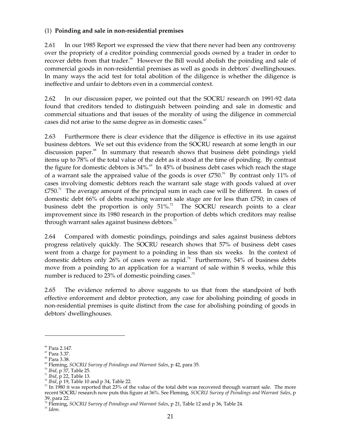## (1) **Poinding and sale in non-residential premises**

2.61 In our 1985 Report we expressed the view that there never had been any controversy over the propriety of a creditor poinding commercial goods owned by a trader in order to recover debts from that trader.<sup>66</sup> However the Bill would abolish the poinding and sale of commercial goods in non-residential premises as well as goods in debtors' dwellinghouses. In many ways the acid test for total abolition of the diligence is whether the diligence is ineffective and unfair to debtors even in a commercial context.

2.62 In our discussion paper, we pointed out that the SOCRU research on 1991-92 data found that creditors tended to distinguish between poinding and sale in domestic and commercial situations and that issues of the morality of using the diligence in commercial cases did not arise to the same degree as in domestic cases. $67$ 

2.63 Furthermore there is clear evidence that the diligence is effective in its use against business debtors. We set out this evidence from the SOCRU research at some length in our discussion paper.<sup>68</sup> In summary that research shows that business debt poindings yield items up to 78% of the total value of the debt as it stood at the time of poinding. By contrast the figure for domestic debtors is  $34\%$ .<sup>69</sup> In  $45\%$  of business debt cases which reach the stage of a warrant sale the appraised value of the goods is over  $E750$ .<sup>70</sup> By contrast only 11% of cases involving domestic debtors reach the warrant sale stage with goods valued at over  $£750<sup>71</sup>$  The average amount of the principal sum in each case will be different. In cases of domestic debt 66% of debts reaching warrant sale stage are for less than £750; in cases of business debt the proportion is only 51%.<sup>72</sup> The SOCRU research points to a clear improvement since its 1980 research in the proportion of debts which creditors may realise through warrant sales against business debtors.<sup>73</sup>

2.64 Compared with domestic poindings, poindings and sales against business debtors progress relatively quickly. The SOCRU research shows that 57% of business debt cases went from a charge for payment to a poinding in less than six weeks. In the context of domestic debtors only 26% of cases were as rapid.<sup>74</sup> Furthermore, 54% of business debts move from a poinding to an application for a warrant of sale within 8 weeks, while this number is reduced to 23% of domestic poinding cases.<sup>75</sup>

2.65 The evidence referred to above suggests to us that from the standpoint of both effective enforcement and debtor protection, any case for abolishing poinding of goods in non-residential premises is quite distinct from the case for abolishing poinding of goods in debtors' dwellinghouses.

<sup>66</sup> Para 2.147.

 $\rm ^{67}$  Para 3.37.

<sup>68</sup> Para 3.38.

<sup>&</sup>lt;sup>69</sup> Fleming, *SOCRU Survey of Poindings and Warrant Sales*, p 42, para 35.<br><sup>70</sup>*Ibid*, p 37, Table 25.<br><sup>71</sup>*Ibid*, p 22, Table 13.<br><sup>72</sup>*Ibid*, p 19, Table 10 and p 34, Table 22.

 $73$  In 1980 it was reported that 23% of the value of the total debt was recovered through warrant sale. The more recent SOCRU research now puts this figure at 36%. See Fleming, *SOCRU Survey of Poindings and Warrant Sales*, p

<sup>39,</sup> para 22. 74 Fleming, *SOCRU Survey of Poindings and Warrant Sales*, p 21, Table 12 and p 36, Table 24. 75 *Idem.*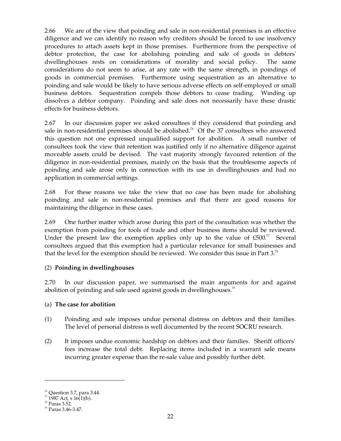2.66 We are of the view that poinding and sale in non-residential premises is an effective diligence and we can identify no reason why creditors should be forced to use insolvency procedures to attach assets kept in those premises. Furthermore from the perspective of debtor protection, the case for abolishing poinding and sale of goods in debtors' dwellinghouses rests on considerations of morality and social policy. The same considerations do not seem to arise, at any rate with the same strength, in poindings of goods in commercial premises. Furthermore using sequestration as an alternative to poinding and sale would be likely to have serious adverse effects on self-employed or small business debtors. Sequestration compels those debtors to cease trading. Winding up dissolves a debtor company. Poinding and sale does not necessarily have these drastic effects for business debtors.

2.67 In our discussion paper we asked consultees if they considered that poinding and sale in non-residential premises should be abolished.<sup>76</sup> Of the 37 consultees who answered this question not one expressed unqualified support for abolition. A small number of consultees took the view that retention was justified only if no alternative diligence against moveable assets could be devised. The vast majority strongly favoured retention of the diligence in non-residential premises, mainly on the basis that the troublesome aspects of poinding and sale arose only in connection with its use in dwellinghouses and had no application in commercial settings.

2.68 For these reasons we take the view that no case has been made for abolishing poinding and sale in non-residential premises and that there are good reasons for maintaining the diligence in these cases.

2.69 One further matter which arose during this part of the consultation was whether the exemption from poinding for tools of trade and other business items should be reviewed. Under the present law the exemption applies only up to the value of  $£500.<sup>77</sup>$  Several consultees argued that this exemption had a particular relevance for small businesses and that the level for the exemption should be reviewed. We consider this issue in Part  $3.^{78}$ 

# (2) **Poinding in dwellinghouses**

2.70 In our discussion paper, we summarised the main arguments for and against abolition of poinding and sale used against goods in dwellinghouses.<sup>79</sup>

# (a) **The case for abolition**

- (1) Poinding and sale imposes undue personal distress on debtors and their families. The level of personal distress is well documented by the recent SOCRU research.
- (2) It imposes undue economic hardship on debtors and their families. Sheriff officers' fees increase the total debt. Replacing items included in a warrant sale means incurring greater expense than the re-sale value and possibly further debt.

<sup>&</sup>lt;sup>76</sup> Question 3.7, para 3.44.<br><sup>77</sup> 1987 Act, s 16(1)(b).

 $^{78}$  Paras 3.52.

<sup>79</sup> Paras 3.46-3.47.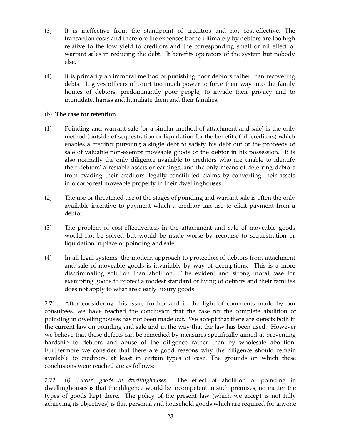- (3) It is ineffective from the standpoint of creditors and not cost-effective. The transaction costs and therefore the expenses borne ultimately by debtors are too high relative to the low yield to creditors and the corresponding small or nil effect of warrant sales in reducing the debt. It benefits operators of the system but nobody else.
- (4) It is primarily an immoral method of punishing poor debtors rather than recovering debts. It gives officers of court too much power to force their way into the family homes of debtors, predominantly poor people, to invade their privacy and to intimidate, harass and humiliate them and their families.

#### (b) **The case for retention**

- (1) Poinding and warrant sale (or a similar method of attachment and sale) is the only method (outside of sequestration or liquidation for the benefit of all creditors) which enables a creditor pursuing a single debt to satisfy his debt out of the proceeds of sale of valuable non-exempt moveable goods of the debtor in his possession. It is also normally the only diligence available to creditors who are unable to identify their debtors' arrestable assets or earnings, and the only means of deterring debtors from evading their creditors' legally constituted claims by converting their assets into corporeal moveable property in their dwellinghouses.
- (2) The use or threatened use of the stages of poinding and warrant sale is often the only available incentive to payment which a creditor can use to elicit payment from a debtor.
- (3) The problem of cost-effectiveness in the attachment and sale of moveable goods would not be solved but would be made worse by recourse to sequestration or liquidation in place of poinding and sale.
- (4) In all legal systems, the modern approach to protection of debtors from attachment and sale of moveable goods is invariably by way of exemptions. This is a more discriminating solution than abolition. The evident and strong moral case for exempting goods to protect a modest standard of living of debtors and their families does not apply to what are clearly luxury goods.

2.71 After considering this issue further and in the light of comments made by our consultees, we have reached the conclusion that the case for the complete abolition of poinding in dwellinghouses has not been made out. We accept that there are defects both in the current law on poinding and sale and in the way that the law has been used. However we believe that these defects can be remedied by measures specifically aimed at preventing hardship to debtors and abuse of the diligence rather than by wholesale abolition. Furthermore we consider that there are good reasons why the diligence should remain available to creditors, at least in certain types of case. The grounds on which these conclusions were reached are as follows:

2.72 *(i) 'Luxur' goods in dwellinghouses*. The effect of abolition of poinding in dwellinghouses is that the diligence would be incompetent in such premises, no matter the types of goods kept there. The policy of the present law (which we accept is not fully achieving its objectives) is that personal and household goods which are required for anyone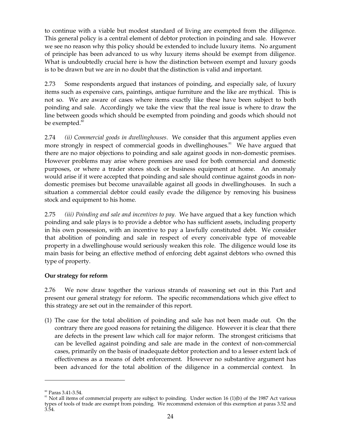to continue with a viable but modest standard of living are exempted from the diligence. This general policy is a central element of debtor protection in poinding and sale. However we see no reason why this policy should be extended to include luxury items. No argument of principle has been advanced to us why luxury items should be exempt from diligence. What is undoubtedly crucial here is how the distinction between exempt and luxury goods is to be drawn but we are in no doubt that the distinction is valid and important.

2.73 Some respondents argued that instances of poinding, and especially sale, of luxury items such as expensive cars, paintings, antique furniture and the like are mythical. This is not so. We are aware of cases where items exactly like these have been subject to both poinding and sale. Accordingly we take the view that the real issue is where to draw the line between goods which should be exempted from poinding and goods which should not be exempted.<sup>80</sup>

2.74 *(ii) Commercial goods in dwellinghouses*. We consider that this argument applies even more strongly in respect of commercial goods in dwellinghouses.<sup>81</sup> We have argued that there are no major objections to poinding and sale against goods in non-domestic premises. However problems may arise where premises are used for both commercial and domestic purposes, or where a trader stores stock or business equipment at home. An anomaly would arise if it were accepted that poinding and sale should continue against goods in nondomestic premises but become unavailable against all goods in dwellinghouses. In such a situation a commercial debtor could easily evade the diligence by removing his business stock and equipment to his home.

2.75 *(iii) Poinding and sale and incentives to pay*. We have argued that a key function which poinding and sale plays is to provide a debtor who has sufficient assets, including property in his own possession, with an incentive to pay a lawfully constituted debt. We consider that abolition of poinding and sale in respect of every conceivable type of moveable property in a dwellinghouse would seriously weaken this role. The diligence would lose its main basis for being an effective method of enforcing debt against debtors who owned this type of property.

# **Our strategy for reform**

2.76 We now draw together the various strands of reasoning set out in this Part and present our general strategy for reform. The specific recommendations which give effect to this strategy are set out in the remainder of this report.

(1) The case for the total abolition of poinding and sale has not been made out. On the contrary there are good reasons for retaining the diligence. However it is clear that there are defects in the present law which call for major reform. The strongest criticisms that can be levelled against poinding and sale are made in the context of non-commercial cases, primarily on the basis of inadequate debtor protection and to a lesser extent lack of effectiveness as a means of debt enforcement. However no substantive argument has been advanced for the total abolition of the diligence in a commercial context. In

<sup>&</sup>lt;sup>80</sup> Paras 3.41-3.54.<br><sup>81</sup> Not all items of commercial property are subject to poinding. Under section 16 (1)(b) of the 1987 Act various types of tools of trade are exempt from poinding. We recommend extension of this exemption at paras 3.52 and 3.54.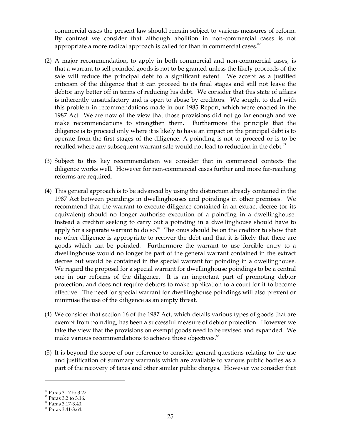commercial cases the present law should remain subject to various measures of reform. By contrast we consider that although abolition in non-commercial cases is not appropriate a more radical approach is called for than in commercial cases. $82$ 

- (2) A major recommendation, to apply in both commercial and non-commercial cases, is that a warrant to sell poinded goods is not to be granted unless the likely proceeds of the sale will reduce the principal debt to a significant extent. We accept as a justified criticism of the diligence that it can proceed to its final stages and still not leave the debtor any better off in terms of reducing his debt. We consider that this state of affairs is inherently unsatisfactory and is open to abuse by creditors. We sought to deal with this problem in recommendations made in our 1985 Report, which were enacted in the 1987 Act. We are now of the view that those provisions did not go far enough and we make recommendations to strengthen them. Furthermore the principle that the diligence is to proceed only where it is likely to have an impact on the principal debt is to operate from the first stages of the diligence. A poinding is not to proceed or is to be recalled where any subsequent warrant sale would not lead to reduction in the debt.<sup>83</sup>
- (3) Subject to this key recommendation we consider that in commercial contexts the diligence works well. However for non-commercial cases further and more far-reaching reforms are required.
- (4) This general approach is to be advanced by using the distinction already contained in the 1987 Act between poindings in dwellinghouses and poindings in other premises. We recommend that the warrant to execute diligence contained in an extract decree (or its equivalent) should no longer authorise execution of a poinding in a dwellinghouse. Instead a creditor seeking to carry out a poinding in a dwellinghouse should have to apply for a separate warrant to do so. $^{84}$  The onus should be on the creditor to show that no other diligence is appropriate to recover the debt and that it is likely that there are goods which can be poinded. Furthermore the warrant to use forcible entry to a dwellinghouse would no longer be part of the general warrant contained in the extract decree but would be contained in the special warrant for poinding in a dwellinghouse. We regard the proposal for a special warrant for dwellinghouse poindings to be a central one in our reforms of the diligence. It is an important part of promoting debtor protection, and does not require debtors to make application to a court for it to become effective. The need for special warrant for dwellinghouse poindings will also prevent or minimise the use of the diligence as an empty threat.
- (4) We consider that section 16 of the 1987 Act, which details various types of goods that are exempt from poinding, has been a successful measure of debtor protection. However we take the view that the provisions on exempt goods need to be revised and expanded. We make various recommendations to achieve those objectives.<sup>85</sup>
- (5) It is beyond the scope of our reference to consider general questions relating to the use and justification of summary warrants which are available to various public bodies as a part of the recovery of taxes and other similar public charges. However we consider that

<sup>&</sup>lt;sup>82</sup> Paras 3.17 to 3.27.<br><sup>83</sup> Paras 3.2 to 3.16.<br><sup>84</sup> Paras 3.17-3.40.<br><sup>85</sup> Paras 3.41-3.64.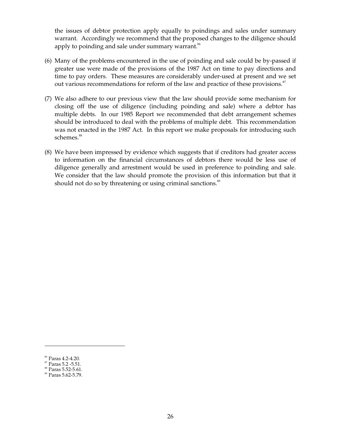the issues of debtor protection apply equally to poindings and sales under summary warrant. Accordingly we recommend that the proposed changes to the diligence should apply to poinding and sale under summary warrant.<sup>86</sup>

- (6) Many of the problems encountered in the use of poinding and sale could be by-passed if greater use were made of the provisions of the 1987 Act on time to pay directions and time to pay orders. These measures are considerably under-used at present and we set out various recommendations for reform of the law and practice of these provisions. $^{87}$
- (7) We also adhere to our previous view that the law should provide some mechanism for closing off the use of diligence (including poinding and sale) where a debtor has multiple debts. In our 1985 Report we recommended that debt arrangement schemes should be introduced to deal with the problems of multiple debt. This recommendation was not enacted in the 1987 Act. In this report we make proposals for introducing such schemes. 88
- (8) We have been impressed by evidence which suggests that if creditors had greater access to information on the financial circumstances of debtors there would be less use of diligence generally and arrestment would be used in preference to poinding and sale. We consider that the law should promote the provision of this information but that it should not do so by threatening or using criminal sanctions.<sup>89</sup>

<sup>&</sup>lt;sup>86</sup> Paras 4.2-4.20.<br><sup>87</sup> Paras 5.2 -5.51.<br><sup>88</sup> Paras 5.52-5.61.<br><sup>89</sup> Paras 5.62-5.79.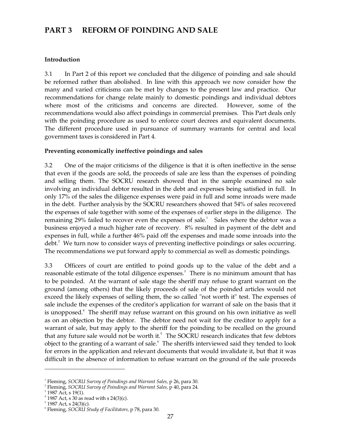# **PART 3 REFORM OF POINDING AND SALE**

#### **Introduction**

3.1 In Part 2 of this report we concluded that the diligence of poinding and sale should be reformed rather than abolished. In line with this approach we now consider how the many and varied criticisms can be met by changes to the present law and practice. Our recommendations for change relate mainly to domestic poindings and individual debtors where most of the criticisms and concerns are directed. However, some of the recommendations would also affect poindings in commercial premises. This Part deals only with the poinding procedure as used to enforce court decrees and equivalent documents. The different procedure used in pursuance of summary warrants for central and local government taxes is considered in Part 4.

## **Preventing economically ineffective poindings and sales**

3.2 One of the major criticisms of the diligence is that it is often ineffective in the sense that even if the goods are sold, the proceeds of sale are less than the expenses of poinding and selling them. The SOCRU research showed that in the sample examined no sale involving an individual debtor resulted in the debt and expenses being satisfied in full. In only 17% of the sales the diligence expenses were paid in full and some inroads were made in the debt. Further analysis by the SOCRU researchers showed that 54% of sales recovered the expenses of sale together with some of the expenses of earlier steps in the diligence. The remaining 29% failed to recover even the expenses of sale.<sup>1</sup> Sales where the debtor was a business enjoyed a much higher rate of recovery. 8% resulted in payment of the debt and expenses in full, while a further 46% paid off the expenses and made some inroads into the debt.<sup>2</sup> We turn now to consider ways of preventing ineffective poindings or sales occurring. The recommendations we put forward apply to commercial as well as domestic poindings.

3.3 Officers of court are entitled to poind goods up to the value of the debt and a reasonable estimate of the total diligence expenses.<sup>3</sup> There is no minimum amount that has to be poinded. At the warrant of sale stage the sheriff may refuse to grant warrant on the ground (among others) that the likely proceeds of sale of the poinded articles would not exceed the likely expenses of selling them, the so called "not worth it" test. The expenses of sale include the expenses of the creditor's application for warrant of sale on the basis that it is unopposed. 4 The sheriff may refuse warrant on this ground on his own initiative as well as on an objection by the debtor. The debtor need not wait for the creditor to apply for a warrant of sale, but may apply to the sheriff for the poinding to be recalled on the ground that any future sale would not be worth it.<sup>5</sup> The SOCRU research indicates that few debtors object to the granting of a warrant of sale. 6 The sheriffs interviewed said they tended to look for errors in the application and relevant documents that would invalidate it, but that it was difficult in the absence of information to refuse warrant on the ground of the sale proceeds

 $3$  1987 Act, s 19(1).

<sup>1</sup> Fleming, *SOCRU Survey of Poindings and Warrant Sales,* p 26, para 30.

<sup>2</sup> Fleming, *SOCRU Survey of Poindings and Warrant Sales,* p 40, para 24.

 $4$  1987 Act, s 30 as read with s 24(3)(c).

 $5$  1987 Act, s 24(3)(c).

<sup>6</sup> Fleming, *SOCRU Study of Facilitators,* p 78, para 30.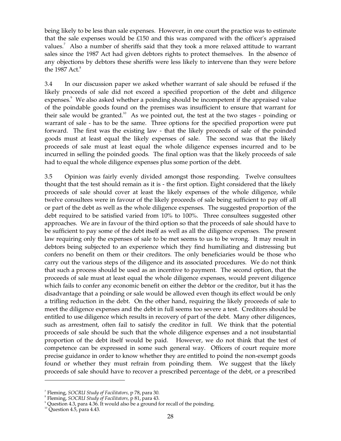being likely to be less than sale expenses. However, in one court the practice was to estimate that the sale expenses would be £150 and this was compared with the officer's appraised values.<sup>7</sup> Also a number of sheriffs said that they took a more relaxed attitude to warrant sales since the 1987 Act had given debtors rights to protect themselves. In the absence of any objections by debtors these sheriffs were less likely to intervene than they were before the 1987 Act. 8

3.4 In our discussion paper we asked whether warrant of sale should be refused if the likely proceeds of sale did not exceed a specified proportion of the debt and diligence expenses.<sup>9</sup> We also asked whether a poinding should be incompetent if the appraised value of the poindable goods found on the premises was insufficient to ensure that warrant for their sale would be granted.<sup>10</sup> As we pointed out, the test at the two stages - poinding or warrant of sale - has to be the same. Three options for the specified proportion were put forward. The first was the existing law - that the likely proceeds of sale of the poinded goods must at least equal the likely expenses of sale. The second was that the likely proceeds of sale must at least equal the whole diligence expenses incurred and to be incurred in selling the poinded goods. The final option was that the likely proceeds of sale had to equal the whole diligence expenses plus some portion of the debt.

3.5 Opinion was fairly evenly divided amongst those responding. Twelve consultees thought that the test should remain as it is - the first option. Eight considered that the likely proceeds of sale should cover at least the likely expenses of the whole diligence, while twelve consultees were in favour of the likely proceeds of sale being sufficient to pay off all or part of the debt as well as the whole diligence expenses. The suggested proportion of the debt required to be satisfied varied from 10% to 100%. Three consultees suggested other approaches. We are in favour of the third option so that the proceeds of sale should have to be sufficient to pay some of the debt itself as well as all the diligence expenses. The present law requiring only the expenses of sale to be met seems to us to be wrong. It may result in debtors being subjected to an experience which they find humiliating and distressing but confers no benefit on them or their creditors. The only beneficiaries would be those who carry out the various steps of the diligence and its associated procedures. We do not think that such a process should be used as an incentive to payment. The second option, that the proceeds of sale must at least equal the whole diligence expenses, would prevent diligence which fails to confer any economic benefit on either the debtor or the creditor, but it has the disadvantage that a poinding or sale would be allowed even though its effect would be only a trifling reduction in the debt. On the other hand, requiring the likely proceeds of sale to meet the diligence expenses and the debt in full seems too severe a test. Creditors should be entitled to use diligence which results in recovery of part of the debt. Many other diligences, such as arrestment, often fail to satisfy the creditor in full. We think that the potential proceeds of sale should be such that the whole diligence expenses and a not insubstantial proportion of the debt itself would be paid. However, we do not think that the test of competence can be expressed in some such general way. Officers of court require more precise guidance in order to know whether they are entitled to poind the non-exempt goods found or whether they must refrain from poinding them. We suggest that the likely proceeds of sale should have to recover a prescribed percentage of the debt, or a prescribed

<sup>7</sup> Fleming, *SOCRU Study of Facilitators,* p 78, para 30.

<sup>&</sup>lt;sup>8</sup> Fleming, *SOCRU Study of Facilitators*, p 81, para 43.<br><sup>9</sup> Question 4.3, para 4.36. It would also be a ground for recall of the poinding.

 $10$  Question 4.5, para 4.43.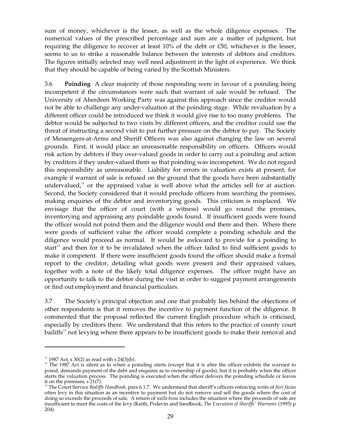sum of money, whichever is the lesser, as well as the whole diligence expenses. The numerical values of the prescribed percentage and sum are a matter of judgment, but requiring the diligence to recover at least 10% of the debt or £50, whichever is the lesser, seems to us to strike a reasonable balance between the interests of debtors and creditors. The figures initially selected may well need adjustment in the light of experience. We think that they should be capable of being varied by the Scottish Ministers.

3.6 **Poinding** A clear majority of those responding were in favour of a poinding being incompetent if the circumstances were such that warrant of sale would be refused. The University of Aberdeen Working Party was against this approach since the creditor would not be able to challenge any under-valuation at the poinding stage. While revaluation by a different officer could be introduced we think it would give rise to too many problems. The debtor would be subjected to two visits by different officers, and the creditor could use the threat of instructing a second visit to put further pressure on the debtor to pay. The Society of Messengers-at-Arms and Sheriff Officers was also against changing the law on several grounds. First, it would place an unreasonable responsibility on officers. Officers would risk action by debtors if they over-valued goods in order to carry out a poinding and action by creditors if they under-valued them so that poinding was incompetent. We do not regard this responsibility as unreasonable. Liability for errors in valuation exists at present, for example if warrant of sale is refused on the ground that the goods have been substantially undervalued, $11$  or the appraised value is well above what the articles sell for at auction. Second, the Society considered that it would preclude officers from searching the premises, making enquiries of the debtor and inventorying goods. This criticism is misplaced. We envisage that the officer of court (with a witness) would go round the premises, inventorying and appraising any poindable goods found. If insufficient goods were found the officer would not poind them and the diligence would end there and then. Where there were goods of sufficient value the officer would complete a poinding schedule and the diligence would proceed as normal. It would be awkward to provide for a poinding to start<sup>12</sup> and then for it to be invalidated when the officer failed to find sufficient goods to make it competent. If there were insufficient goods found the officer should make a formal report to the creditor, detailing what goods were present and their appraised values, together with a note of the likely total diligence expenses. The officer might have an opportunity to talk to the debtor during the visit in order to suggest payment arrangements or find out employment and financial particulars.

3.7 The Society's principal objection and one that probably lies behind the objections of other respondents is that it removes the incentive to payment function of the diligence. It commented that the proposal reflected the current English procedure which is criticised, especially by creditors there. We understand that this refers to the practice of county court bailiffs<sup>13</sup> not levying where there appears to be insufficient goods to make their removal and

<sup>&</sup>lt;sup>11</sup> 1987 Act, s 30(2) as read with s 24(3)(b).<br><sup>12</sup> The 1987 Act is silent as to when a poinding starts (except that it is after the officer exhibits the warrant to poind, demands payment of the debt and enquires as to ownership of goods), but it is probably when the officer starts the valuation process. The poinding is executed when the officer delivers the poinding schedule or leaves

it on the premises, s 21(7). 13 The Court Service *Bailiffs Handbook*, para 6.1.7. We understand that sheriff's officers enforcing writs of *fieri facias*  often levy in this situation as an incentive to payment but do not remove and sell the goods where the cost of doing so exceeds the proceeds of sale. A return of *nulla bona* includes the situation where the proceeds of sale are insufficient to meet the costs of the levy (Keith, Podevin and Sandbook, *The Execution of Sheriffs'Warrants* (1995) p 204).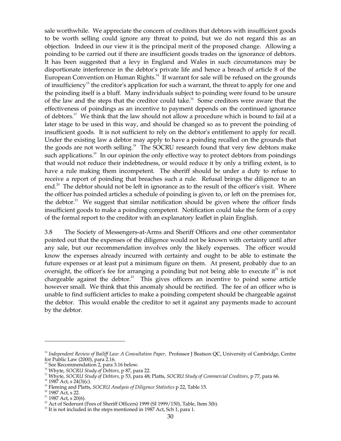sale worthwhile. We appreciate the concern of creditors that debtors with insufficient goods to be worth selling could ignore any threat to poind, but we do not regard this as an objection. Indeed in our view it is the principal merit of the proposed change. Allowing a poinding to be carried out if there are insufficient goods trades on the ignorance of debtors. It has been suggested that a levy in England and Wales in such circumstances may be disportionate interference in the debtor's private life and hence a breach of article 8 of the European Convention on Human Rights.<sup>14</sup> If warrant for sale will be refused on the grounds of insufficiency<sup>15</sup> the creditor's application for such a warrant, the threat to apply for one and the poinding itself is a bluff. Many individuals subject to poinding were found to be unsure of the law and the steps that the creditor could take.<sup>16</sup> Some creditors were aware that the effectiveness of poindings as an incentive to payment depends on the continued ignorance of debtors.<sup>17</sup> We think that the law should not allow a procedure which is bound to fail at a later stage to be used in this way, and should be changed so as to prevent the poinding of insufficient goods. It is not sufficient to rely on the debtor's entitlement to apply for recall. Under the existing law a debtor may apply to have a poinding recalled on the grounds that the goods are not worth selling.<sup>18</sup> The SOCRU research found that very few debtors make such applications.<sup>19</sup> In our opinion the only effective way to protect debtors from poindings that would not reduce their indebtedness, or would reduce it by only a trifling extent, is to have a rule making them incompetent. The sheriff should be under a duty to refuse to receive a report of poinding that breaches such a rule. Refusal brings the diligence to an end.<sup>20</sup> The debtor should not be left in ignorance as to the result of the officer's visit. Where the officer has poinded articles a schedule of poinding is given to, or left on the premises for, the debtor.<sup>21</sup> We suggest that similar notification should be given where the officer finds insufficient goods to make a poinding competent. Notification could take the form of a copy of the formal report to the creditor with an explanatory leaflet in plain English.

3.8 The Society of Messengers-at-Arms and Sheriff Officers and one other commentator pointed out that the expenses of the diligence would not be known with certainty until after any sale, but our recommendation involves only the likely expenses. The officer would know the expenses already incurred with certainty and ought to be able to estimate the future expenses or at least put a minimum figure on them. At present, probably due to an oversight, the officer's fee for arranging a poinding but not being able to execute it $^{22}$  is not chargeable against the debtor.<sup>23</sup> This gives officers an incentive to poind some article however small. We think that this anomaly should be rectified. The fee of an officer who is unable to find sufficient articles to make a poinding competent should be chargeable against the debtor. This would enable the creditor to set it against any payments made to account by the debtor.

<sup>&</sup>lt;sup>14</sup> Independent Review of Bailiff Law: A Consultation Paper, Professor J Beatson QC, University of Cambridge, Centre for Public Law (2000), para 2.16.

<sup>&</sup>lt;sup>15</sup> See Recommendation 2, para 3.16 below.

<sup>16</sup> Whyte, *SOCRU Study of Debtors,* p 87, para 22.

<sup>17</sup> Whyte, *SOCRU Study of Debtors,* p 53, para 48; Platts, *SOCRU Study of Commercial Creditors,* p 77, para 66.

 $18$  1987 Act, s 24(3)(c).

19 Fleming and Platts, *SOCRU Analysis of Diligence Statistics* p 22, Table 15.

<sup>&</sup>lt;sup>20</sup> 1987 Act, s 22.

 $21$  1987 Act, s 20(6).

 $22$  Act of Sederunt (Fees of Sheriff Officers) 1999 (SI 1999/150), Table, Item 3(b).

 $^{23}$  It is not included in the steps mentioned in 1987 Act, Sch 1, para 1.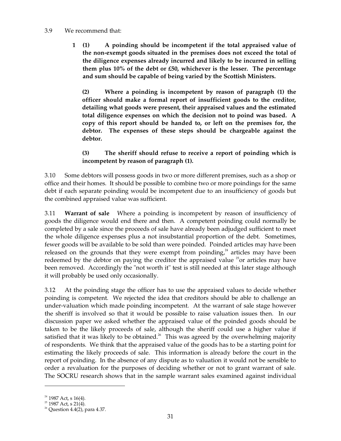#### 3.9 We recommend that:

**1 (1) A poinding should be incompetent if the total appraised value of the non-exempt goods situated in the premises does not exceed the total of the diligence expenses already incurred and likely to be incurred in selling them plus 10% of the debt or £50, whichever is the lesser. The percentage and sum should be capable of being varied by the Scottish Ministers.** 

**(2) Where a poinding is incompetent by reason of paragraph (1) the officer should make a formal report of insufficient goods to the creditor, detailing what goods were present, their appraised values and the estimated total diligence expenses on which the decision not to poind was based. A copy of this report should be handed to, or left on the premises for, the debtor. The expenses of these steps should be chargeable against the debtor.** 

# **(3) The sheriff should refuse to receive a report of poinding which is incompetent by reason of paragraph (1).**

3.10 Some debtors will possess goods in two or more different premises, such as a shop or office and their homes. It should be possible to combine two or more poindings for the same debt if each separate poinding would be incompetent due to an insufficiency of goods but the combined appraised value was sufficient.

3.11 **Warrant of sale** Where a poinding is incompetent by reason of insufficiency of goods the diligence would end there and then. A competent poinding could normally be completed by a sale since the proceeds of sale have already been adjudged sufficient to meet the whole diligence expenses plus a not insubstantial proportion of the debt. Sometimes, fewer goods will be available to be sold than were poinded. Poinded articles may have been released on the grounds that they were exempt from poinding, $24$  articles may have been redeemed by the debtor on paying the creditor the appraised value  $25$ or articles may have been removed. Accordingly the "not worth it" test is still needed at this later stage although it will probably be used only occasionally.

3.12 At the poinding stage the officer has to use the appraised values to decide whether poinding is competent. We rejected the idea that creditors should be able to challenge an under-valuation which made poinding incompetent. At the warrant of sale stage however the sheriff is involved so that it would be possible to raise valuation issues then. In our discussion paper we asked whether the appraised value of the poinded goods should be taken to be the likely proceeds of sale, although the sheriff could use a higher value if satisfied that it was likely to be obtained.<sup>26</sup> This was agreed by the overwhelming majority of respondents. We think that the appraised value of the goods has to be a starting point for estimating the likely proceeds of sale. This information is already before the court in the report of poinding. In the absence of any dispute as to valuation it would not be sensible to order a revaluation for the purposes of deciding whether or not to grant warrant of sale. The SOCRU research shows that in the sample warrant sales examined against individual

<sup>&</sup>lt;sup>24</sup> 1987 Act, s 16(4).<br><sup>25</sup> 1987 Act, s 21(4).<br><sup>26</sup> Question 4.4(2), para 4.37.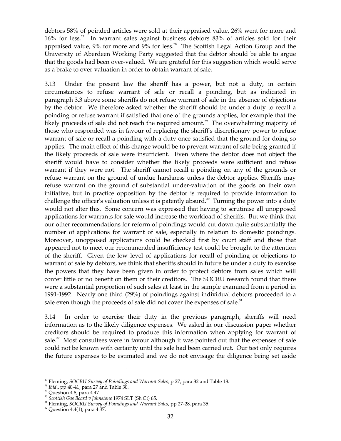debtors 58% of poinded articles were sold at their appraised value, 26% went for more and  $16\%$  for less.<sup>27</sup> In warrant sales against business debtors  $83\%$  of articles sold for their appraised value,  $9\%$  for more and  $9\%$  for less.<sup>28</sup> The Scottish Legal Action Group and the University of Aberdeen Working Party suggested that the debtor should be able to argue that the goods had been over-valued. We are grateful for this suggestion which would serve as a brake to over-valuation in order to obtain warrant of sale.

3.13 Under the present law the sheriff has a power, but not a duty, in certain circumstances to refuse warrant of sale or recall a poinding, but as indicated in paragraph 3.3 above some sheriffs do not refuse warrant of sale in the absence of objections by the debtor. We therefore asked whether the sheriff should be under a duty to recall a poinding or refuse warrant if satisfied that one of the grounds applies, for example that the likely proceeds of sale did not reach the required amount.<sup>29</sup> The overwhelming majority of those who responded was in favour of replacing the sheriff's discretionary power to refuse warrant of sale or recall a poinding with a duty once satisfied that the ground for doing so applies. The main effect of this change would be to prevent warrant of sale being granted if the likely proceeds of sale were insufficient. Even where the debtor does not object the sheriff would have to consider whether the likely proceeds were sufficient and refuse warrant if they were not. The sheriff cannot recall a poinding on any of the grounds or refuse warrant on the ground of undue harshness unless the debtor applies. Sheriffs may refuse warrant on the ground of substantial under-valuation of the goods on their own initiative, but in practice opposition by the debtor is required to provide information to challenge the officer's valuation unless it is patently absurd.<sup>30</sup> Turning the power into a duty would not alter this. Some concern was expressed that having to scrutinise all unopposed applications for warrants for sale would increase the workload of sheriffs. But we think that our other recommendations for reform of poindings would cut down quite substantially the number of applications for warrant of sale, especially in relation to domestic poindings. Moreover, unopposed applications could be checked first by court staff and those that appeared not to meet our recommended insufficiency test could be brought to the attention of the sheriff. Given the low level of applications for recall of poinding or objections to warrant of sale by debtors, we think that sheriffs should in future be under a duty to exercise the powers that they have been given in order to protect debtors from sales which will confer little or no benefit on them or their creditors. The SOCRU research found that there were a substantial proportion of such sales at least in the sample examined from a period in 1991-1992. Nearly one third (29%) of poindings against individual debtors proceeded to a sale even though the proceeds of sale did not cover the expenses of sale. $^{31}$ 

3.14 In order to exercise their duty in the previous paragraph, sheriffs will need information as to the likely diligence expenses. We asked in our discussion paper whether creditors should be required to produce this information when applying for warrant of sale. $32$  Most consultees were in favour although it was pointed out that the expenses of sale could not be known with certainty until the sale had been carried out. Our test only requires the future expenses to be estimated and we do not envisage the diligence being set aside

<sup>27</sup> Fleming, *SOCRU Survey of Poindings and Warrant Sales,* p 27, para 32 and Table 18.

<sup>28</sup>*Ibid*., pp 40-41, para 27 and Table 30.

 $29$  Question 4.8, para 4.47.

<sup>30</sup>*Scottish Gas Board v Johnstone* 1974 SLT (Sh Ct) 65.

<sup>31</sup> Fleming, *SOCRU Survey of Poindings and Warrant Sales,* pp 27-28, para 35.

 $32$  Question 4.4(1), para 4.37.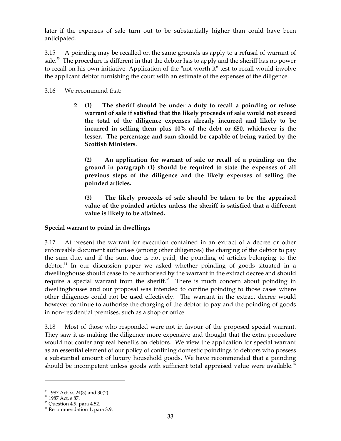later if the expenses of sale turn out to be substantially higher than could have been anticipated.

3.15 A poinding may be recalled on the same grounds as apply to a refusal of warrant of sale. $33$  The procedure is different in that the debtor has to apply and the sheriff has no power to recall on his own initiative. Application of the "not worth it" test to recall would involve the applicant debtor furnishing the court with an estimate of the expenses of the diligence.

3.16 We recommend that:

**2 (1) The sheriff should be under a duty to recall a poinding or refuse warrant of sale if satisfied that the likely proceeds of sale would not exceed the total of the diligence expenses already incurred and likely to be incurred in selling them plus 10% of the debt or £50, whichever is the lesser. The percentage and sum should be capable of being varied by the Scottish Ministers.** 

**(2) An application for warrant of sale or recall of a poinding on the ground in paragraph (1) should be required to state the expenses of all previous steps of the diligence and the likely expenses of selling the poinded articles.** 

**(3) The likely proceeds of sale should be taken to be the appraised value of the poinded articles unless the sheriff is satisfied that a different value is likely to be attained.** 

# **Special warrant to poind in dwellings**

3.17 At present the warrant for execution contained in an extract of a decree or other enforceable document authorises (among other diligences) the charging of the debtor to pay the sum due, and if the sum due is not paid, the poinding of articles belonging to the debtor. 34 In our discussion paper we asked whether poinding of goods situated in a dwellinghouse should cease to be authorised by the warrant in the extract decree and should require a special warrant from the sheriff.<sup>35</sup> There is much concern about poinding in dwellinghouses and our proposal was intended to confine poinding to those cases where other diligences could not be used effectively. The warrant in the extract decree would however continue to authorise the charging of the debtor to pay and the poinding of goods in non-residential premises, such as a shop or office.

3.18 Most of those who responded were not in favour of the proposed special warrant. They saw it as making the diligence more expensive and thought that the extra procedure would not confer any real benefits on debtors. We view the application for special warrant as an essential element of our policy of confining domestic poindings to debtors who possess a substantial amount of luxury household goods. We have recommended that a poinding should be incompetent unless goods with sufficient total appraised value were available.<sup>36</sup>

 $33$  1987 Act, ss 24(3) and 30(2).

<sup>&</sup>lt;sup>34</sup> 1987 Act, s 87.

 $35$  Question 4.9, para 4.52.

<sup>&</sup>lt;sup>36</sup> Recommendation 1, para 3.9.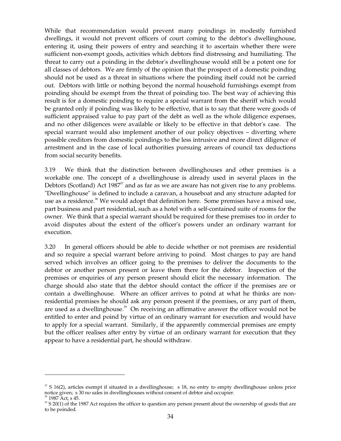While that recommendation would prevent many poindings in modestly furnished dwellings, it would not prevent officers of court coming to the debtor's dwellinghouse, entering it, using their powers of entry and searching it to ascertain whether there were sufficient non-exempt goods, activities which debtors find distressing and humiliating. The threat to carry out a poinding in the debtor's dwellinghouse would still be a potent one for all classes of debtors. We are firmly of the opinion that the prospect of a domestic poinding should not be used as a threat in situations where the poinding itself could not be carried out. Debtors with little or nothing beyond the normal household furnishings exempt from poinding should be exempt from the threat of poinding too. The best way of achieving this result is for a domestic poinding to require a special warrant from the sheriff which would be granted only if poinding was likely to be effective, that is to say that there were goods of sufficient appraised value to pay part of the debt as well as the whole diligence expenses, and no other diligences were available or likely to be effective in that debtor's case. The special warrant would also implement another of our policy objectives – diverting where possible creditors from domestic poindings to the less intrusive and more direct diligence of arrestment and in the case of local authorities pursuing arrears of council tax deductions from social security benefits.

3.19 We think that the distinction between dwellinghouses and other premises is a workable one. The concept of a dwellinghouse is already used in several places in the Debtors (Scotland) Act 1987 $^{\prime\prime}$  and as far as we are aware has not given rise to any problems. "Dwellinghouse" is defined to include a caravan, a houseboat and any structure adapted for use as a residence.<sup>38</sup> We would adopt that definition here. Some premises have a mixed use, part business and part residential, such as a hotel with a self-contained suite of rooms for the owner. We think that a special warrant should be required for these premises too in order to avoid disputes about the extent of the officer's powers under an ordinary warrant for execution.

3.20 In general officers should be able to decide whether or not premises are residential and so require a special warrant before arriving to poind. Most charges to pay are hand served which involves an officer going to the premises to deliver the documents to the debtor or another person present or leave them there for the debtor. Inspection of the premises or enquiries of any person present should elicit the necessary information. The charge should also state that the debtor should contact the officer if the premises are or contain a dwellinghouse. Where an officer arrives to poind at what he thinks are nonresidential premises he should ask any person present if the premises, or any part of them, are used as a dwellinghouse. 39 On receiving an affirmative answer the officer would not be entitled to enter and poind by virtue of an ordinary warrant for execution and would have to apply for a special warrant. Similarly, if the apparently commercial premises are empty but the officer realises after entry by virtue of an ordinary warrant for execution that they appear to have a residential part, he should withdraw.

 $\frac{37}{3}$  S 16(2), articles exempt if situated in a dwellinghouse; s 18, no entry to empty dwellinghouse unless prior notice given; s 30 no sales in dwellinghouses without consent of debtor and occupier.<br><sup>38</sup> 1987 Act, s 45. 495. Act requires the officer to question any person present about the ownership of goods that are

to be poinded.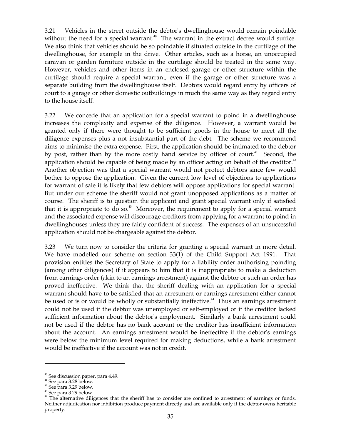3.21 Vehicles in the street outside the debtor's dwellinghouse would remain poindable without the need for a special warrant.<sup>40</sup> The warrant in the extract decree would suffice. We also think that vehicles should be so poindable if situated outside in the curtilage of the dwellinghouse, for example in the drive. Other articles, such as a horse, an unoccupied caravan or garden furniture outside in the curtilage should be treated in the same way. However, vehicles and other items in an enclosed garage or other structure within the curtilage should require a special warrant, even if the garage or other structure was a separate building from the dwellinghouse itself. Debtors would regard entry by officers of court to a garage or other domestic outbuildings in much the same way as they regard entry to the house itself.

3.22 We concede that an application for a special warrant to poind in a dwellinghouse increases the complexity and expense of the diligence. However, a warrant would be granted only if there were thought to be sufficient goods in the house to meet all the diligence expenses plus a not insubstantial part of the debt. The scheme we recommend aims to minimise the extra expense. First, the application should be intimated to the debtor by post, rather than by the more costly hand service by officer of court.<sup>41</sup> Second, the application should be capable of being made by an officer acting on behalf of the creditor.<sup>42</sup> Another objection was that a special warrant would not protect debtors since few would bother to oppose the application. Given the current low level of objections to applications for warrant of sale it is likely that few debtors will oppose applications for special warrant. But under our scheme the sheriff would not grant unopposed applications as a matter of course. The sheriff is to question the applicant and grant special warrant only if satisfied that it is appropriate to do so.<sup>43</sup> Moreover, the requirement to apply for a special warrant and the associated expense will discourage creditors from applying for a warrant to poind in dwellinghouses unless they are fairly confident of success. The expenses of an unsuccessful application should not be chargeable against the debtor.

3.23 We turn now to consider the criteria for granting a special warrant in more detail. We have modelled our scheme on section 33(1) of the Child Support Act 1991. That provision entitles the Secretary of State to apply for a liability order authorising poinding (among other diligences) if it appears to him that it is inappropriate to make a deduction from earnings order (akin to an earnings arrestment) against the debtor or such an order has proved ineffective. We think that the sheriff dealing with an application for a special warrant should have to be satisfied that an arrestment or earnings arrestment either cannot be used or is or would be wholly or substantially ineffective.<sup>44</sup> Thus an earnings arrestment could not be used if the debtor was unemployed or self-employed or if the creditor lacked sufficient information about the debtor's employment. Similarly a bank arrestment could not be used if the debtor has no bank account or the creditor has insufficient information about the account. An earnings arrestment would be ineffective if the debtor's earnings were below the minimum level required for making deductions, while a bank arrestment would be ineffective if the account was not in credit.

<sup>&</sup>lt;sup>40</sup> See discussion paper, para 4.49.

 $^{41}$  See para 3.28 below.

 $42$  See para 3.29 below.

<sup>&</sup>lt;sup>43</sup> See para 3.29 below.

<sup>&</sup>lt;sup>44</sup> The alternative diligences that the sheriff has to consider are confined to arrestment of earnings or funds. Neither adjudication nor inhibition produce payment directly and are available only if the debtor owns heritable property.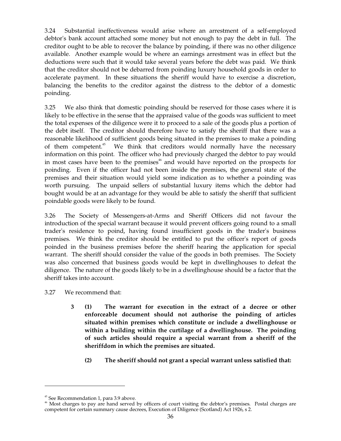3.24 Substantial ineffectiveness would arise where an arrestment of a self-employed debtor's bank account attached some money but not enough to pay the debt in full. The creditor ought to be able to recover the balance by poinding, if there was no other diligence available. Another example would be where an earnings arrestment was in effect but the deductions were such that it would take several years before the debt was paid. We think that the creditor should not be debarred from poinding luxury household goods in order to accelerate payment. In these situations the sheriff would have to exercise a discretion, balancing the benefits to the creditor against the distress to the debtor of a domestic poinding.

3.25 We also think that domestic poinding should be reserved for those cases where it is likely to be effective in the sense that the appraised value of the goods was sufficient to meet the total expenses of the diligence were it to proceed to a sale of the goods plus a portion of the debt itself. The creditor should therefore have to satisfy the sheriff that there was a reasonable likelihood of sufficient goods being situated in the premises to make a poinding of them competent.<sup>45</sup> We think that creditors would normally have the necessary information on this point. The officer who had previously charged the debtor to pay would in most cases have been to the premises<sup>46</sup> and would have reported on the prospects for poinding. Even if the officer had not been inside the premises, the general state of the premises and their situation would yield some indication as to whether a poinding was worth pursuing. The unpaid sellers of substantial luxury items which the debtor had bought would be at an advantage for they would be able to satisfy the sheriff that sufficient poindable goods were likely to be found.

3.26 The Society of Messengers-at-Arms and Sheriff Officers did not favour the introduction of the special warrant because it would prevent officers going round to a small trader's residence to poind, having found insufficient goods in the trader's business premises. We think the creditor should be entitled to put the officer's report of goods poinded in the business premises before the sheriff hearing the application for special warrant. The sheriff should consider the value of the goods in both premises. The Society was also concerned that business goods would be kept in dwellinghouses to defeat the diligence. The nature of the goods likely to be in a dwellinghouse should be a factor that the sheriff takes into account.

- 3.27 We recommend that:
	- **3 (1) The warrant for execution in the extract of a decree or other enforceable document should not authorise the poinding of articles situated within premises which constitute or include a dwellinghouse or within a building within the curtilage of a dwellinghouse. The poinding of such articles should require a special warrant from a sheriff of the sheriffdom in which the premises are situated.** 
		- **(2) The sheriff should not grant a special warrant unless satisfied that:**

<sup>&</sup>lt;sup>45</sup> See Recommendation 1, para 3.9 above.<br><sup>46</sup> Most charges to pay are hand served by officers of court visiting the debtor's premises. Postal charges are competent for certain summary cause decrees, Execution of Diligence (Scotland) Act 1926, s 2.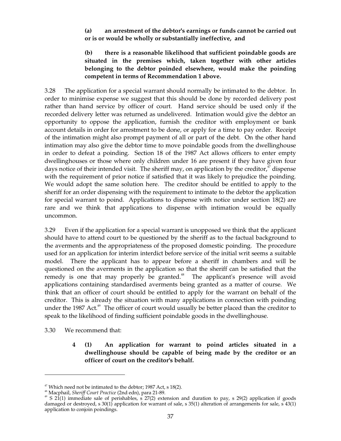## **(a) an arrestment of the debtor's earnings or funds cannot be carried out or is or would be wholly or substantially ineffective, and**

# **(b) there is a reasonable likelihood that sufficient poindable goods are situated in the premises which, taken together with other articles belonging to the debtor poinded elsewhere, would make the poinding competent in terms of Recommendation 1 above.**

3.28 The application for a special warrant should normally be intimated to the debtor. In order to minimise expense we suggest that this should be done by recorded delivery post rather than hand service by officer of court. Hand service should be used only if the recorded delivery letter was returned as undelivered. Intimation would give the debtor an opportunity to oppose the application, furnish the creditor with employment or bank account details in order for arrestment to be done, or apply for a time to pay order. Receipt of the intimation might also prompt payment of all or part of the debt. On the other hand intimation may also give the debtor time to move poindable goods from the dwellinghouse in order to defeat a poinding. Section 18 of the 1987 Act allows officers to enter empty dwellinghouses or those where only children under 16 are present if they have given four days notice of their intended visit. The sheriff may, on application by the creditor,  $\sigma$  dispense with the requirement of prior notice if satisfied that it was likely to prejudice the poinding. We would adopt the same solution here. The creditor should be entitled to apply to the sheriff for an order dispensing with the requirement to intimate to the debtor the application for special warrant to poind. Applications to dispense with notice under section 18(2) are rare and we think that applications to dispense with intimation would be equally uncommon.

3.29 Even if the application for a special warrant is unopposed we think that the applicant should have to attend court to be questioned by the sheriff as to the factual background to the averments and the appropriateness of the proposed domestic poinding. The procedure used for an application for interim interdict before service of the initial writ seems a suitable model. There the applicant has to appear before a sheriff in chambers and will be questioned on the averments in the application so that the sheriff can be satisfied that the remedy is one that may properly be granted.<sup>48</sup> The applicant's presence will avoid applications containing standardised averments being granted as a matter of course. We think that an officer of court should be entitled to apply for the warrant on behalf of the creditor. This is already the situation with many applications in connection with poinding under the 1987 Act.<sup>49</sup> The officer of court would usually be better placed than the creditor to speak to the likelihood of finding sufficient poindable goods in the dwellinghouse.

3.30 We recommend that:

# **4 (1) An application for warrant to poind articles situated in a dwellinghouse should be capable of being made by the creditor or an officer of court on the creditor's behalf.**

<sup>&</sup>lt;sup>47</sup> Which need not be intimated to the debtor; 1987 Act, s 18(2).<br><sup>48</sup> Macphail, *Sheriff Court Practice* (2nd edn), para 21-89.<br><sup>49</sup> S 21(1) immediate sale of perishables, s 27(2) extension and duration to pay, s 29(2) damaged or destroyed, s 30(1) application for warrant of sale, s 35(1) alteration of arrangements for sale, s 43(1) application to conjoin poindings.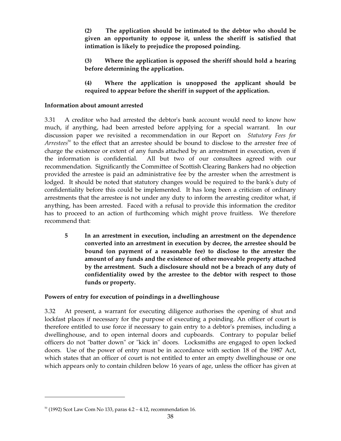**(2) The application should be intimated to the debtor who should be given an opportunity to oppose it, unless the sheriff is satisfied that intimation is likely to prejudice the proposed poinding.** 

**(3) Where the application is opposed the sheriff should hold a hearing before determining the application.** 

**(4) Where the application is unopposed the applicant should be required to appear before the sheriff in support of the application.** 

## **Information about amount arrested**

3.31 A creditor who had arrested the debtor's bank account would need to know how much, if anything, had been arrested before applying for a special warrant. In our discussion paper we revisited a recommendation in our Report on *Statutory Fees for Arrestees* 50 to the effect that an arrestee should be bound to disclose to the arrester free of charge the existence or extent of any funds attached by an arrestment in execution, even if the information is confidential. All but two of our consultees agreed with our recommendation. Significantly the Committee of Scottish Clearing Bankers had no objection provided the arrestee is paid an administrative fee by the arrester when the arrestment is lodged. It should be noted that statutory changes would be required to the bank's duty of confidentiality before this could be implemented. It has long been a criticism of ordinary arrestments that the arrestee is not under any duty to inform the arresting creditor what, if anything, has been arrested. Faced with a refusal to provide this information the creditor has to proceed to an action of furthcoming which might prove fruitless. We therefore recommend that:

**5 In an arrestment in execution, including an arrestment on the dependence converted into an arrestment in execution by decree, the arrestee should be bound (on payment of a reasonable fee) to disclose to the arrester the amount of any funds and the existence of other moveable property attached by the arrestment. Such a disclosure should not be a breach of any duty of confidentiality owed by the arrestee to the debtor with respect to those funds or property.** 

# **Powers of entry for execution of poindings in a dwellinghouse**

3.32 At present, a warrant for executing diligence authorises the opening of shut and lockfast places if necessary for the purpose of executing a poinding. An officer of court is therefore entitled to use force if necessary to gain entry to a debtor's premises, including a dwellinghouse, and to open internal doors and cupboards. Contrary to popular belief officers do not "batter down" or "kick in" doors. Locksmiths are engaged to open locked doors. Use of the power of entry must be in accordance with section 18 of the 1987 Act, which states that an officer of court is not entitled to enter an empty dwellinghouse or one which appears only to contain children below 16 years of age, unless the officer has given at

 $50$  (1992) Scot Law Com No 133, paras  $4.2 - 4.12$ , recommendation 16.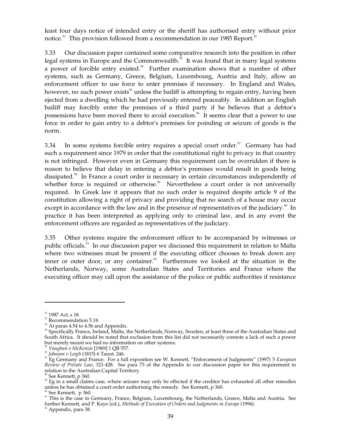least four days notice of intended entry or the sheriff has authorised entry without prior notice.<sup>51</sup> This provision followed from a recommendation in our 1985 Report.<sup>52</sup>

3.33 Our discussion paper contained some comparative research into the position in other legal systems in Europe and the Commonwealth.<sup>53</sup> It was found that in many legal systems a power of forcible entry existed.<sup>54</sup> Further examination shows that a number of other systems, such as Germany, Greece, Belgium, Luxembourg, Austria and Italy, allow an enforcement officer to use force to enter premises if necessary. In England and Wales, however, no such power exists<sup>55</sup> unless the bailiff is attempting to regain entry, having been ejected from a dwelling which he had previously entered peaceably. In addition an English bailiff may forcibly enter the premises of a third party if he believes that a debtor's possessions have been moved there to avoid execution. 56 It seems clear that a power to use force in order to gain entry to a debtor's premises for poinding or seizure of goods is the norm.

3.34 In some systems forcible entry requires a special court order.<sup>57</sup> Germany has had such a requirement since 1979 in order that the constitutional right to privacy in that country is not infringed. However even in Germany this requirement can be overridden if there is reason to believe that delay in entering a debtor's premises would result in goods being dissipated. 58 In France a court order is necessary in certain circumstances independently of whether force is required or otherwise.<sup>59</sup> Nevertheless a court order is not universally required. In Greek law it appears that no such order is required despite article 9 of the constitution allowing a right of privacy and providing that no search of a house may occur except in accordance with the law and in the presence of representatives of the judiciary.<sup>60</sup> In practice it has been interpreted as applying only to criminal law, and in any event the enforcement officers are regarded as representatives of the judiciary.

3.35 Other systems require the enforcement officer to be accompanied by witnesses or public officials.<sup>61</sup> In our discussion paper we discussed this requirement in relation to Malta where two witnesses must be present if the executing officer chooses to break down any inner or outer door, or any container. $62$  Furthermore we looked at the situation in the Netherlands, Norway, some Australian States and Territories and France where the executing officer may call upon the assistance of the police or public authorities if resistance

<sup>51 1987</sup> Act, s 18.

<sup>&</sup>lt;sup>52</sup> Recommendation 5.18.

<sup>53&</sup>lt;br><sup>53</sup> At paras 4.54 to 4.56 and Appendix.<br><sup>54</sup> Specifically France, Ireland, Malta, the Netherlands, Norway, Sweden, at least three of the Australian States and South Africa. It should be noted that exclusion from this list did not necessarily connote a lack of such a power but merely meant we had no information on other systems.

<sup>55</sup>*Vaughan v McKenzie* [1969] 1 QB 557.

<sup>56</sup>*Johnson v Leigh* (1815) 6 Taunt. 246.

57 Eg Germany and France. For a full exposition see W. Kennett, "Enforcement of Judgments" (1997) 5 *European Review of Private Law*, 321-428. See para 73 of the Appendix to our discussion paper for this requirement in

<sup>&</sup>lt;sup>58</sup> See Kennett, p 360.<br><sup>59</sup> Eg in a small claims case, where seizure may only be effected if the creditor has exhausted all other remedies unless he has obtained a court order authorising the remedy. See Kennett, p 360.

<sup>&</sup>lt;sup>60</sup> See Kennett, p 360.<br><sup>61</sup> This is the case in Germany, France, Belgium, Luxembourg, the Netherlands, Greece, Malta and Austria. See further Kennett, and P. Kaye (ed.), *Methods of Execution of Orders and Judgments in Europe* (1996). <sup>62</sup> Appendix, para 38.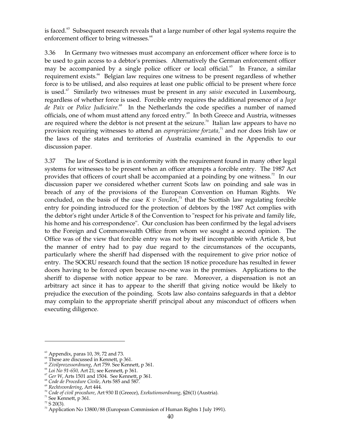is faced.<sup>63</sup> Subsequent research reveals that a large number of other legal systems require the enforcement officer to bring witnesses. 64

3.36 In Germany two witnesses must accompany an enforcement officer where force is to be used to gain access to a debtor's premises. Alternatively the German enforcement officer may be accompanied by a single police officer or local official. 65 In France, a similar requirement exists.<sup>66</sup> Belgian law requires one witness to be present regardless of whether force is to be utilised, and also requires at least one public official to be present where force is used. 67 Similarly two witnesses must be present in any *saisie* executed in Luxembourg, regardless of whether force is used. Forcible entry requires the additional presence of a *Juge*  de Paix or Police Judiciaire.<sup>68</sup> In the Netherlands the code specifies a number of named officials, one of whom must attend any forced entry.<sup>69</sup> In both Greece and Austria, witnesses are required where the debtor is not present at the seizure.<sup>70</sup> Italian law appears to have no provision requiring witnesses to attend an *espropriazione forzata,* 71 and nor does Irish law or the laws of the states and territories of Australia examined in the Appendix to our discussion paper.

3.37 The law of Scotland is in conformity with the requirement found in many other legal systems for witnesses to be present when an officer attempts a forcible entry. The 1987 Act provides that officers of court shall be accompanied at a poinding by one witness.<sup>72</sup> In our discussion paper we considered whether current Scots law on poinding and sale was in breach of any of the provisions of the European Convention on Human Rights. We concluded, on the basis of the case  $K$  v Sweden,<sup>73</sup> that the Scottish law regulating forcible entry for poinding introduced for the protection of debtors by the 1987 Act complies with the debtor's right under Article 8 of the Convention to "respect for his private and family life, his home and his correspondence". Our conclusion has been confirmed by the legal advisers to the Foreign and Commonwealth Office from whom we sought a second opinion. The Office was of the view that forcible entry was not by itself incompatible with Article 8, but the manner of entry had to pay due regard to the circumstances of the occupants, particularly where the sheriff had dispensed with the requirement to give prior notice of entry. The SOCRU research found that the section 18 notice procedure has resulted in fewer doors having to be forced open because no-one was in the premises. Applications to the sheriff to dispense with notice appear to be rare. Moreover, a dispensation is not an arbitrary act since it has to appear to the sheriff that giving notice would be likely to prejudice the execution of the poinding. Scots law also contains safeguards in that a debtor may complain to the appropriate sheriff principal about any misconduct of officers when executing diligence.

 $<sup>63</sup>$  Appendix, paras 10, 39, 72 and 73.</sup>

<sup>&</sup>lt;sup>64</sup> These are discussed in Kennett, p 361.

<sup>65</sup>*Zivilprozessordnung*, Art 759. See Kennett, p 361.

<sup>66</sup>*Loi No 91-650,* Art 21; see Kennett, p 361.

<sup>67</sup>*Ger W*, Arts 1501 and 1504. See Kennett, p 361.

<sup>68</sup>*Code de Procedure Civile*, Arts 585 and 587.

<sup>69</sup>*Rechtsvordering*, Art 444.

<sup>70</sup>*Code of civil procedure*, Art 930 II (Greece), *Exekutionsordnung*, §26(1) (Austria).

 $71$  See Kennett, p 361.

 $72$  S 20(3).

 $73$  Application No 13800/88 (European Commission of Human Rights 1 July 1991).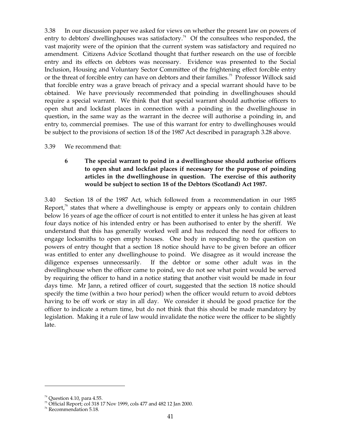3.38 In our discussion paper we asked for views on whether the present law on powers of entry to debtors' dwellinghouses was satisfactory.<sup>74</sup> Of the consultees who responded, the vast majority were of the opinion that the current system was satisfactory and required no amendment. Citizens Advice Scotland thought that further research on the use of forcible entry and its effects on debtors was necessary. Evidence was presented to the Social Inclusion, Housing and Voluntary Sector Committee of the frightening effect forcible entry or the threat of forcible entry can have on debtors and their families.<sup>75</sup> Professor Willock said that forcible entry was a grave breach of privacy and a special warrant should have to be obtained. We have previously recommended that poinding in dwellinghouses should require a special warrant. We think that that special warrant should authorise officers to open shut and lockfast places in connection with a poinding in the dwellinghouse in question, in the same way as the warrant in the decree will authorise a poinding in, and entry to, commercial premises. The use of this warrant for entry to dwellinghouses would be subject to the provisions of section 18 of the 1987 Act described in paragraph 3.28 above.

## 3.39 We recommend that:

## **6 The special warrant to poind in a dwellinghouse should authorise officers to open shut and lockfast places if necessary for the purpose of poinding articles in the dwellinghouse in question. The exercise of this authority would be subject to section 18 of the Debtors (Scotland) Act 1987.**

3.40 Section 18 of the 1987 Act, which followed from a recommendation in our 1985 Report, $76$  states that where a dwellinghouse is empty or appears only to contain children below 16 years of age the officer of court is not entitled to enter it unless he has given at least four days notice of his intended entry or has been authorised to enter by the sheriff. We understand that this has generally worked well and has reduced the need for officers to engage locksmiths to open empty houses. One body in responding to the question on powers of entry thought that a section 18 notice should have to be given before an officer was entitled to enter any dwellinghouse to poind. We disagree as it would increase the diligence expenses unnecessarily. If the debtor or some other adult was in the dwellinghouse when the officer came to poind, we do not see what point would be served by requiring the officer to hand in a notice stating that another visit would be made in four days time. Mr Jann, a retired officer of court, suggested that the section 18 notice should specify the time (within a two hour period) when the officer would return to avoid debtors having to be off work or stay in all day. We consider it should be good practice for the officer to indicate a return time, but do not think that this should be made mandatory by legislation. Making it a rule of law would invalidate the notice were the officer to be slightly late.

<sup>&</sup>lt;sup>74</sup> Question 4.10, para 4.55.<br><sup>75</sup> Official Report; col 318 17 Nov 1999, cols 477 and 482 12 Jan 2000.

<sup>76</sup> Recommendation 5.18.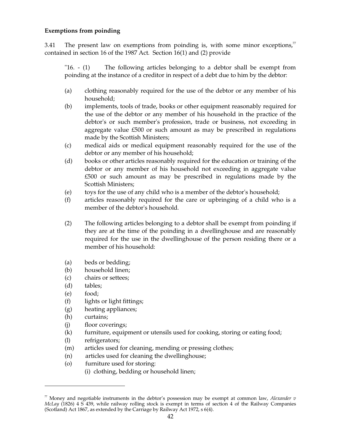## **Exemptions from poinding**

3.41 The present law on exemptions from poinding is, with some minor exceptions, $\overline{r}$ contained in section 16 of the 1987 Act. Section 16(1) and (2) provide

"16. - (1) The following articles belonging to a debtor shall be exempt from poinding at the instance of a creditor in respect of a debt due to him by the debtor:

- (a) clothing reasonably required for the use of the debtor or any member of his household;
- (b) implements, tools of trade, books or other equipment reasonably required for the use of the debtor or any member of his household in the practice of the debtor's or such member's profession, trade or business, not exceeding in aggregate value £500 or such amount as may be prescribed in regulations made by the Scottish Ministers;
- (c) medical aids or medical equipment reasonably required for the use of the debtor or any member of his household;
- (d) books or other articles reasonably required for the education or training of the debtor or any member of his household not exceeding in aggregate value £500 or such amount as may be prescribed in regulations made by the Scottish Ministers;
- (e) toys for the use of any child who is a member of the debtor's household;
- (f) articles reasonably required for the care or upbringing of a child who is a member of the debtor's household.
- (2) The following articles belonging to a debtor shall be exempt from poinding if they are at the time of the poinding in a dwellinghouse and are reasonably required for the use in the dwellinghouse of the person residing there or a member of his household:
- (a) beds or bedding;
- (b) household linen;
- (c) chairs or settees;
- (d) tables;
- (e) food;
- (f) lights or light fittings;
- (g) heating appliances;
- (h) curtains;
- (j) floor coverings;
- (k) furniture, equipment or utensils used for cooking, storing or eating food;
- (l) refrigerators;
- (m) articles used for cleaning, mending or pressing clothes;
- (n) articles used for cleaning the dwellinghouse;
- (o) furniture used for storing:
	- (i) clothing, bedding or household linen;

 $\sqrt[n]{r}$  Money and negotiable instruments in the debtor's possession may be exempt at common law, *Alexander v McLay* (1826) 4 S 439, while railway rolling stock is exempt in terms of section 4 of the Railway Companies (Scotland) Act 1867, as extended by the Carriage by Railway Act 1972, s 6(4).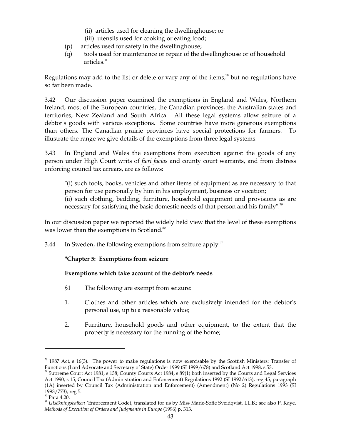- (ii) articles used for cleaning the dwellinghouse; or
- (iii) utensils used for cooking or eating food;
- (p) articles used for safety in the dwellinghouse;
- (q) tools used for maintenance or repair of the dwellinghouse or of household articles."

Regulations may add to the list or delete or vary any of the items, $78$  but no regulations have so far been made.

3.42 Our discussion paper examined the exemptions in England and Wales, Northern Ireland, most of the European countries, the Canadian provinces, the Australian states and territories, New Zealand and South Africa. All these legal systems allow seizure of a debtor's goods with various exceptions. Some countries have more generous exemptions than others. The Canadian prairie provinces have special protections for farmers. To illustrate the range we give details of the exemptions from three legal systems.

3.43 In England and Wales the exemptions from execution against the goods of any person under High Court writs of *fieri facias* and county court warrants, and from distress enforcing council tax arrears, are as follows:

"(i) such tools, books, vehicles and other items of equipment as are necessary to that person for use personally by him in his employment, business or vocation; (ii) such clothing, bedding, furniture, household equipment and provisions as are necessary for satisfying the basic domestic needs of that person and his family".<sup>79</sup>

In our discussion paper we reported the widely held view that the level of these exemptions was lower than the exemptions in Scotland.<sup>80</sup>

3.44 In Sweden, the following exemptions from seizure apply. $81$ 

## **"Chapter 5: Exemptions from seizure**

## **Exemptions which take account of the debtor's needs**

- §1 The following are exempt from seizure:
- 1. Clothes and other articles which are exclusively intended for the debtor's personal use, up to a reasonable value;
- 2. Furniture, household goods and other equipment, to the extent that the property is necessary for the running of the home;

 $78$  1987 Act, s 16(3). The power to make regulations is now exercisable by the Scottish Ministers: Transfer of Functions (Lord Advocate and Secretary of State) Order 1999 (SI 1999/678) and Scotland Act 1998, s 53. 79 Supreme Court Act 1981, s 138; County Courts Act 1984, s 89(1) both inserted by the Courts and Legal Services

Act 1990, s 15; Council Tax (Administration and Enforcement) Regulations 1992 (SI 1992/613), reg 45, paragraph (1A) inserted by Council Tax (Administration and Enforcement) (Amendment) (No 2) Regulations 1993 (SI 1993/773), reg 5.<br><sup>80</sup> Para 4.20.<br><sup>81</sup> *Utsökningsbalken (Enforcement Code), translated for us by Miss Marie-Sofie Sveidqvist, LL.B.; see also P. Kaye,* 

*Methods of Execution of Orders and Judgments in Europe* (1996) p. 313.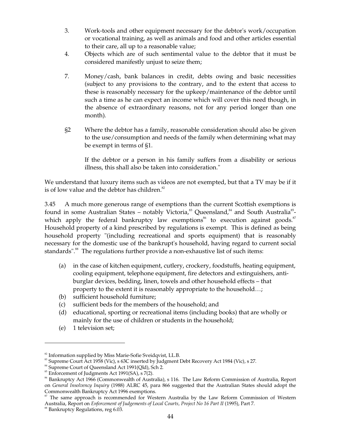- 3. Work-tools and other equipment necessary for the debtor's work/occupation or vocational training, as well as animals and food and other articles essential to their care, all up to a reasonable value;
- 4. Objects which are of such sentimental value to the debtor that it must be considered manifestly unjust to seize them;
- 7. Money/cash, bank balances in credit, debts owing and basic necessities (subject to any provisions to the contrary, and to the extent that access to these is reasonably necessary for the upkeep/maintenance of the debtor until such a time as he can expect an income which will cover this need though, in the absence of extraordinary reasons, not for any period longer than one month).
- §2 Where the debtor has a family, reasonable consideration should also be given to the use/consumption and needs of the family when determining what may be exempt in terms of §1.

If the debtor or a person in his family suffers from a disability or serious illness, this shall also be taken into consideration."

We understand that luxury items such as videos are not exempted, but that a TV may be if it is of low value and the debtor has children.<sup>82</sup>

3.45 A much more generous range of exemptions than the current Scottish exemptions is found in some Australian States – notably Victoria,<sup>83</sup> Queensland,<sup>84</sup> and South Australia<sup>85</sup>which apply the federal bankruptcy law exemptions<sup>86</sup> to execution against goods.<sup>87</sup> Household property of a kind prescribed by regulations is exempt. This is defined as being household property "(including recreational and sports equipment) that is reasonably necessary for the domestic use of the bankrupt's household, having regard to current social standards".<sup>88</sup> The regulations further provide a non-exhaustive list of such items:

- (a) in the case of kitchen equipment, cutlery, crockery, foodstuffs, heating equipment, cooling equipment, telephone equipment, fire detectors and extinguishers, antiburglar devices, bedding, linen, towels and other household effects – that property to the extent it is reasonably appropriate to the household…;
- (b) sufficient household furniture;
- (c) sufficient beds for the members of the household; and
- (d) educational, sporting or recreational items (including books) that are wholly or mainly for the use of children or students in the household;
- (e) 1 television set;

 $82$  Information supplied by Miss Marie-Sofie Sveidqvist, LL.B.

<sup>83</sup> Supreme Court Act 1958 (Vic), s 63C inserted by Judgment Debt Recovery Act 1984 (Vic), s 27.

<sup>&</sup>lt;sup>84</sup> Supreme Court of Queensland Act 1991(Qld), Sch 2.

 $85$  Enforcement of Judgments Act 1991(SA), s 7(2).

<sup>&</sup>lt;sup>86</sup> Bankruptcy Act 1966 (Commonwealth of Australia), s 116. The Law Reform Commission of Australia, Report on *General Insolvency Inquiry* (1988) ALRC 45, para 866 suggested that the Australian States should adopt the

The same approach is recommended for Western Australia by the Law Reform Commission of Western Australia, Report on *Enforcement of Judgements of Local Courts, Project No 16 Part II* (1995), Part 7.<br><sup>88</sup> Bankruptcy Regulations, reg 6.03.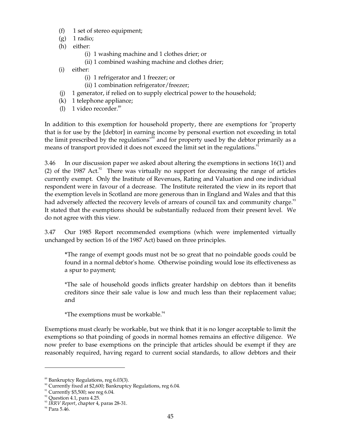- (f) 1 set of stereo equipment;
- $(g)$  1 radio;
- (h) either:
	- (i) 1 washing machine and 1 clothes drier; or
	- (ii) 1 combined washing machine and clothes drier;
- (i) either:
	- (i) 1 refrigerator and 1 freezer; or
	- (ii) 1 combination refrigerator/freezer;
- (j) 1 generator, if relied on to supply electrical power to the household;
- (k) 1 telephone appliance;
- (l) 1 video recorder. 89

In addition to this exemption for household property, there are exemptions for "property that is for use by the [debtor] in earning income by personal exertion not exceeding in total the limit prescribed by the regulations"<sup>90</sup> and for property used by the debtor primarily as a means of transport provided it does not exceed the limit set in the regulations.<sup>91</sup>

3.46 In our discussion paper we asked about altering the exemptions in sections 16(1) and (2) of the 1987 Act. $2^2$  There was virtually no support for decreasing the range of articles currently exempt. Only the Institute of Revenues, Rating and Valuation and one individual respondent were in favour of a decrease. The Institute reiterated the view in its report that the exemption levels in Scotland are more generous than in England and Wales and that this had adversely affected the recovery levels of arrears of council tax and community charge.<sup>33</sup> It stated that the exemptions should be substantially reduced from their present level. We do not agree with this view.

3.47 Our 1985 Report recommended exemptions (which were implemented virtually unchanged by section 16 of the 1987 Act) based on three principles.

**\***The range of exempt goods must not be so great that no poindable goods could be found in a normal debtor's home. Otherwise poinding would lose its effectiveness as a spur to payment;

\*The sale of household goods inflicts greater hardship on debtors than it benefits creditors since their sale value is low and much less than their replacement value; and

*\**The exemptions must be workable.<sup>94</sup>

Exemptions must clearly be workable, but we think that it is no longer acceptable to limit the exemptions so that poinding of goods in normal homes remains an effective diligence. We now prefer to base exemptions on the principle that articles should be exempt if they are reasonably required, having regard to current social standards, to allow debtors and their

<sup>89</sup> Bankruptcy Regulations, reg 6.03(3).

<sup>90</sup> Currently fixed at \$2,600; Bankruptcy Regulations, reg 6.04.

 $91$  Currently \$5,500; see reg 6.04.

 $92$  Question 4.1, para 4.25.

<sup>93</sup>*IRRV Report*, chapter 4, paras 28-31.

 $94$  Para 5.46.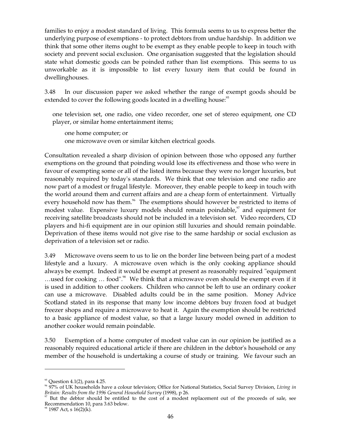families to enjoy a modest standard of living. This formula seems to us to express better the underlying purpose of exemptions - to protect debtors from undue hardship. In addition we think that some other items ought to be exempt as they enable people to keep in touch with society and prevent social exclusion. One organisation suggested that the legislation should state what domestic goods can be poinded rather than list exemptions. This seems to us unworkable as it is impossible to list every luxury item that could be found in dwellinghouses.

3.48 In our discussion paper we asked whether the range of exempt goods should be extended to cover the following goods located in a dwelling house:<sup>95</sup>

one television set, one radio, one video recorder, one set of stereo equipment, one CD player, or similar home entertainment items;

one home computer; or one microwave oven or similar kitchen electrical goods.

Consultation revealed a sharp division of opinion between those who opposed any further exemptions on the ground that poinding would lose its effectiveness and those who were in favour of exempting some or all of the listed items because they were no longer luxuries, but reasonably required by today's standards. We think that one television and one radio are now part of a modest or frugal lifestyle. Moreover, they enable people to keep in touch with the world around them and current affairs and are a cheap form of entertainment. Virtually every household now has them.<sup>96</sup> The exemptions should however be restricted to items of modest value. Expensive luxury models should remain poindable,<sup>97</sup> and equipment for receiving satellite broadcasts should not be included in a television set. Video recorders, CD players and hi-fi equipment are in our opinion still luxuries and should remain poindable. Deprivation of these items would not give rise to the same hardship or social exclusion as deprivation of a television set or radio.

3.49 Microwave ovens seem to us to lie on the border line between being part of a modest lifestyle and a luxury. A microwave oven which is the only cooking appliance should always be exempt. Indeed it would be exempt at present as reasonably required "equipment ...used for cooking ... food".<sup>38</sup> We think that a microwave oven should be exempt even if it is used in addition to other cookers. Children who cannot be left to use an ordinary cooker can use a microwave. Disabled adults could be in the same position. Money Advice Scotland stated in its response that many low income debtors buy frozen food at budget freezer shops and require a microwave to heat it. Again the exemption should be restricted to a basic appliance of modest value, so that a large luxury model owned in addition to another cooker would remain poindable.

3.50 Exemption of a home computer of modest value can in our opinion be justified as a reasonably required educational article if there are children in the debtor's household or any member of the household is undertaking a course of study or training. We favour such an

<sup>&</sup>lt;sup>95</sup> Question 4.1(2), para 4.25.<br><sup>96</sup> 97% of UK households have a colour television; Office for National Statistics, Social Survey Division, *Living in Britain: Results from the 1996 General Household Survey* (1998), p 2

But the debtor should be entitled to the cost of a modest replacement out of the proceeds of sale, see Recommendation 10, para 3.63 below.<br><sup>98</sup> 1987 Act, s 16(2)(k).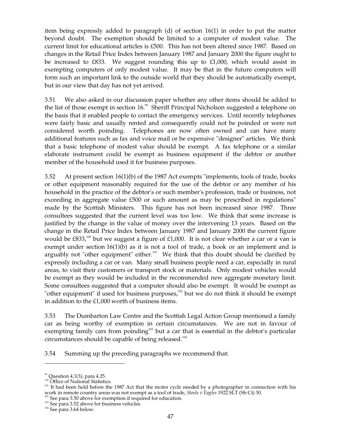item being expressly added to paragraph (d) of section 16(1) in order to put the matter beyond doubt. The exemption should be limited to a computer of modest value. The current limit for educational articles is £500. This has not been altered since 1987. Based on changes in the Retail Price Index between January 1987 and January 2000 the figure ought to be increased to £833. We suggest rounding this up to  $£1,000$ , which would assist in exempting computers of only modest value. It may be that in the future computers will form such an important link to the outside world that they should be automatically exempt, but in our view that day has not yet arrived.

3.51 We also asked in our discussion paper whether any other items should be added to the list of those exempt in section 16.<sup>99</sup> Sheriff Principal Nicholson suggested a telephone on the basis that it enabled people to contact the emergency services. Until recently telephones were fairly basic and usually rented and consequently could not be poinded or were not considered worth poinding. Telephones are now often owned and can have many additional features such as fax and voice mail or be expensive "designer" articles. We think that a basic telephone of modest value should be exempt. A fax telephone or a similar elaborate instrument could be exempt as business equipment if the debtor or another member of the household used it for business purposes.

3.52 At present section 16(1)(b) of the 1987 Act exempts "implements, tools of trade, books or other equipment reasonably required for the use of the debtor or any member of his household in the practice of the debtor's or such member's profession, trade or business, not exceeding in aggregate value £500 or such amount as may be prescribed in regulations" made by the Scottish Ministers. This figure has not been increased since 1987. Three consultees suggested that the current level was too low. We think that some increase is justified by the change in the value of money over the intervening 13 years. Based on the change in the Retail Price Index between January 1987 and January 2000 the current figure would be £833,<sup>100</sup> but we suggest a figure of £1,000. It is not clear whether a car or a van is exempt under section 16(1)(b) as it is not a tool of trade, a book or an implement and is arguably not "other equipment" either.<sup>101</sup> We think that this doubt should be clarified by expressly including a car or van. Many small business people need a car, especially in rural areas, to visit their customers or transport stock or materials. Only modest vehicles would be exempt as they would be included in the recommended new aggregate monetary limit. Some consultees suggested that a computer should also be exempt. It would be exempt as "other equipment" if used for business purposes, $102$  but we do not think it should be exempt in addition to the £1,000 worth of business items.

3.53 The Dumbarton Law Centre and the Scottish Legal Action Group mentioned a family car as being worthy of exemption in certain circumstances. We are not in favour of exempting family cars from poinding $103$  but a car that is essential in the debtor's particular circumstances should be capable of being released. 104

3.54 Summing up the preceding paragraphs we recommend that:

<sup>&</sup>lt;sup>99</sup> Question 4.1(3), para 4.25.<br><sup>100</sup> Office of National Statistics.<br><sup>101</sup> It had been held before the 1987 Act that the motor cycle needed by a photographer in connection with his work in remote country areas was not exempt as a tool of trade, *Steele v Eagles* 1922 SLT (Sh Ct) 30.<br><sup>102</sup> See para 3.50 above for exemption if required for education.<br><sup>103</sup> See para 3.52 above for business vehicles.<br><sup>1</sup>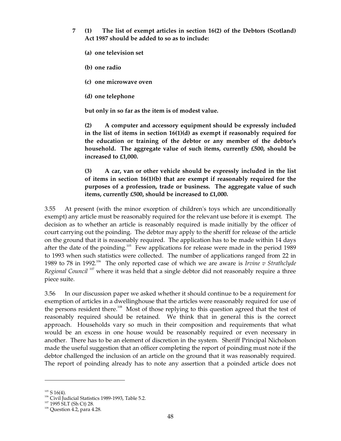- **7 (1) The list of exempt articles in section 16(2) of the Debtors (Scotland) Act 1987 should be added to so as to include:** 
	- **(a) one television set**
	- **(b) one radio**
	- **(c) one microwave oven**
	- **(d) one telephone**

**but only in so far as the item is of modest value.** 

**(2) A computer and accessory equipment should be expressly included in the list of items in section 16(1)(d) as exempt if reasonably required for the education or training of the debtor or any member of the debtor's household. The aggregate value of such items, currently £500, should be increased to £1,000.** 

**(3) A car, van or other vehicle should be expressly included in the list of items in section 16(1)(b) that are exempt if reasonably required for the purposes of a profession, trade or business. The aggregate value of such items, currently £500, should be increased to £1,000.** 

3.55 At present (with the minor exception of children's toys which are unconditionally exempt) any article must be reasonably required for the relevant use before it is exempt. The decision as to whether an article is reasonably required is made initially by the officer of court carrying out the poinding. The debtor may apply to the sheriff for release of the article on the ground that it is reasonably required. The application has to be made within 14 days after the date of the poinding.<sup>105</sup> Few applications for release were made in the period 1989 to 1993 when such statistics were collected. The number of applications ranged from 22 in 1989 to 78 in 1992.<sup>106</sup> The only reported case of which we are aware is *Irvine v Strathclyde* Regional Council<sup>107</sup> where it was held that a single debtor did not reasonably require a three piece suite.

3.56 In our discussion paper we asked whether it should continue to be a requirement for exemption of articles in a dwellinghouse that the articles were reasonably required for use of the persons resident there.<sup>108</sup> Most of those replying to this question agreed that the test of reasonably required should be retained. We think that in general this is the correct approach. Households vary so much in their composition and requirements that what would be an excess in one house would be reasonably required or even necessary in another. There has to be an element of discretion in the system. Sheriff Principal Nicholson made the useful suggestion that an officer completing the report of poinding must note if the debtor challenged the inclusion of an article on the ground that it was reasonably required. The report of poinding already has to note any assertion that a poinded article does not

 $105$  S 16(4).

<sup>&</sup>lt;sup>106</sup> Civil Judicial Statistics 1989-1993, Table 5.2.

 $107$  1995 SLT (Sh Ct) 28.

<sup>&</sup>lt;sup>108</sup> Question 4.2, para 4.28.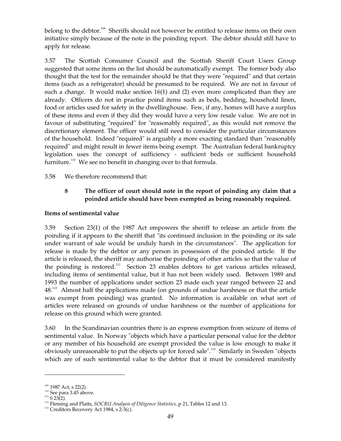belong to the debtor.<sup>109</sup> Sheriffs should not however be entitled to release items on their own initiative simply because of the note in the poinding report. The debtor should still have to apply for release.

3.57 The Scottish Consumer Council and the Scottish Sheriff Court Users Group suggested that some items on the list should be automatically exempt. The former body also thought that the test for the remainder should be that they were "required" and that certain items (such as a refrigerator) should be presumed to be required. We are not in favour of such a change. It would make section 16(1) and (2) even more complicated than they are already. Officers do not in practice poind items such as beds, bedding, household linen, food or articles used for safety in the dwellinghouse. Few, if any, homes will have a surplus of these items and even if they did they would have a very low resale value. We are not in favour of substituting "required" for "reasonably required", as this would not remove the discretionary element. The officer would still need to consider the particular circumstances of the household. Indeed "required" is arguably a more exacting standard than "reasonably required" and might result in fewer items being exempt. The Australian federal bankruptcy legislation uses the concept of sufficiency - sufficient beds or sufficient household furniture.<sup>110</sup> We see no benefit in changing over to that formula.

## 3.58 We therefore recommend that:

# **8 The officer of court should note in the report of poinding any claim that a poinded article should have been exempted as being reasonably required.**

## **Items of sentimental value**

3.59 Section 23(1) of the 1987 Act empowers the sheriff to release an article from the poinding if it appears to the sheriff that "its continued inclusion in the poinding or its sale under warrant of sale would be unduly harsh in the circumstances". The application for release is made by the debtor or any person in possession of the poinded article. If the article is released, the sheriff may authorise the poinding of other articles so that the value of the poinding is restored.<sup>111</sup> Section 23 enables debtors to get various articles released, including items of sentimental value, but it has not been widely used. Between 1989 and 1993 the number of applications under section 23 made each year ranged between 22 and  $48.^{112}$  Almost half the applications made (on grounds of undue harshness or that the article was exempt from poinding) was granted. No information is available on what sort of articles were released on grounds of undue harshness or the number of applications for release on this ground which were granted.

3.60 In the Scandinavian countries there is an express exemption from seizure of items of sentimental value. In Norway "objects which have a particular personal value for the debtor or any member of his household are exempt provided the value is low enough to make it obviously unreasonable to put the objects up for forced sale". 113 Similarly in Sweden "objects which are of such sentimental value to the debtor that it must be considered manifestly

 $109$  1987 Act, s 22(2).

 $110$  See para 3.45 above.

 $111$  S 23(2).

<sup>112</sup> Fleming and Platts, *SOCRU Analysis of Diligence Statistics,* p 21, Tables 12 and 13.

<sup>&</sup>lt;sup>113</sup> Creditors Recovery Act 1984, s 2-3(c).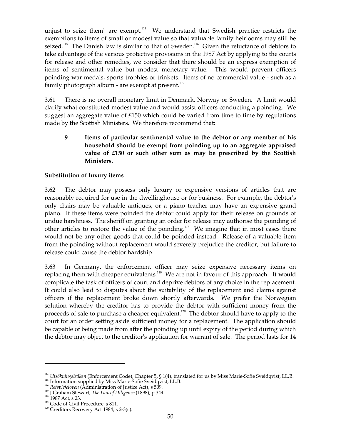unjust to seize them" are exempt. $114$  We understand that Swedish practice restricts the exemptions to items of small or modest value so that valuable family heirlooms may still be seized.<sup>115</sup> The Danish law is similar to that of Sweden.<sup>116</sup> Given the reluctance of debtors to take advantage of the various protective provisions in the 1987 Act by applying to the courts for release and other remedies, we consider that there should be an express exemption of items of sentimental value but modest monetary value. This would prevent officers poinding war medals, sports trophies or trinkets. Items of no commercial value - such as a family photograph album - are exempt at present. $^{117}$ 

3.61 There is no overall monetary limit in Denmark, Norway or Sweden. A limit would clarify what constituted modest value and would assist officers conducting a poinding. We suggest an aggregate value of £150 which could be varied from time to time by regulations made by the Scottish Ministers. We therefore recommend that:

**9 Items of particular sentimental value to the debtor or any member of his household should be exempt from poinding up to an aggregate appraised value of £150 or such other sum as may be prescribed by the Scottish Ministers.** 

## **Substitution of luxury items**

3.62 The debtor may possess only luxury or expensive versions of articles that are reasonably required for use in the dwellinghouse or for business. For example, the debtor's only chairs may be valuable antiques, or a piano teacher may have an expensive grand piano. If these items were poinded the debtor could apply for their release on grounds of undue harshness. The sheriff on granting an order for release may authorise the poinding of other articles to restore the value of the poinding.<sup>118</sup> We imagine that in most cases there would not be any other goods that could be poinded instead. Release of a valuable item from the poinding without replacement would severely prejudice the creditor, but failure to release could cause the debtor hardship.

3.63 In Germany, the enforcement officer may seize expensive necessary items on replacing them with cheaper equivalents.<sup>119</sup> We are not in favour of this approach. It would complicate the task of officers of court and deprive debtors of any choice in the replacement. It could also lead to disputes about the suitability of the replacement and claims against officers if the replacement broke down shortly afterwards. We prefer the Norwegian solution whereby the creditor has to provide the debtor with sufficient money from the proceeds of sale to purchase a cheaper equivalent.<sup>120</sup> The debtor should have to apply to the court for an order setting aside sufficient money for a replacement. The application should be capable of being made from after the poinding up until expiry of the period during which the debtor may object to the creditor's application for warrant of sale. The period lasts for 14

<sup>114</sup>*Utsökningsbalken* (Enforcement Code), Chapter 5, § 1(4), translated for us by Miss Marie-Sofie Sveidqvist, LL.B.

<sup>&</sup>lt;sup>115</sup> Information supplied by Miss Marie-Sofie Sveidqvist, LL.B.

<sup>116</sup>*Retsplejeloven* (Administration of Justice Act), s 509.

<sup>117</sup> J Graham Stewart, *The Law of Diligence* (1898), p 344.

<sup>&</sup>lt;sup>118</sup> 1987 Act, s 23.

 $119$  Code of Civil Procedure, s 811.

 $120$  Creditors Recovery Act 1984, s 2-3(c).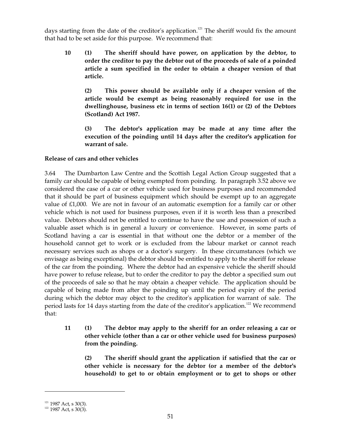days starting from the date of the creditor's application.<sup>121</sup> The sheriff would fix the amount that had to be set aside for this purpose. We recommend that:

**10 (1) The sheriff should have power, on application by the debtor, to order the creditor to pay the debtor out of the proceeds of sale of a poinded article a sum specified in the order to obtain a cheaper version of that article.** 

**(2) This power should be available only if a cheaper version of the article would be exempt as being reasonably required for use in the dwellinghouse, business etc in terms of section 16(1) or (2) of the Debtors (Scotland) Act 1987.** 

**(3) The debtor's application may be made at any time after the execution of the poinding until 14 days after the creditor's application for warrant of sale.** 

## **Release of cars and other vehicles**

3.64 The Dumbarton Law Centre and the Scottish Legal Action Group suggested that a family car should be capable of being exempted from poinding. In paragraph 3.52 above we considered the case of a car or other vehicle used for business purposes and recommended that it should be part of business equipment which should be exempt up to an aggregate value of £1,000. We are not in favour of an automatic exemption for a family car or other vehicle which is not used for business purposes, even if it is worth less than a prescribed value. Debtors should not be entitled to continue to have the use and possession of such a valuable asset which is in general a luxury or convenience. However, in some parts of Scotland having a car is essential in that without one the debtor or a member of the household cannot get to work or is excluded from the labour market or cannot reach necessary services such as shops or a doctor's surgery. In these circumstances (which we envisage as being exceptional) the debtor should be entitled to apply to the sheriff for release of the car from the poinding. Where the debtor had an expensive vehicle the sheriff should have power to refuse release, but to order the creditor to pay the debtor a specified sum out of the proceeds of sale so that he may obtain a cheaper vehicle. The application should be capable of being made from after the poinding up until the period expiry of the period during which the debtor may object to the creditor's application for warrant of sale. The period lasts for 14 days starting from the date of the creditor's application.<sup>122</sup> We recommend that:

# **11 (1) The debtor may apply to the sheriff for an order releasing a car or other vehicle (other than a car or other vehicle used for business purposes) from the poinding.**

**(2) The sheriff should grant the application if satisfied that the car or other vehicle is necessary for the debtor (or a member of the debtor's household) to get to or obtain employment or to get to shops or other** 

 $121 \over 122$  1987 Act, s 30(3).<br>
122 1987 Act, s 30(3).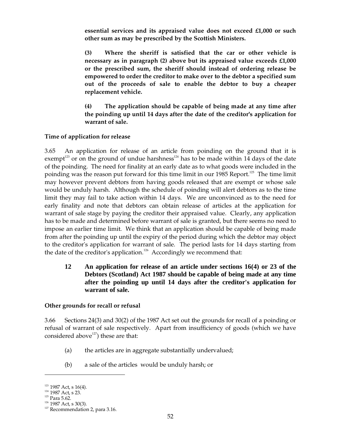**essential services and its appraised value does not exceed £1,000 or such other sum as may be prescribed by the Scottish Ministers.** 

**(3) Where the sheriff is satisfied that the car or other vehicle is necessary as in paragraph (2) above but its appraised value exceeds £1,000 or the prescribed sum, the sheriff should instead of ordering release be empowered to order the creditor to make over to the debtor a specified sum out of the proceeds of sale to enable the debtor to buy a cheaper replacement vehicle.** 

**(4) The application should be capable of being made at any time after the poinding up until 14 days after the date of the creditor's application for warrant of sale.** 

## **Time of application for release**

3.65 An application for release of an article from poinding on the ground that it is exempt<sup>123</sup> or on the ground of undue harshness<sup>124</sup> has to be made within 14 days of the date of the poinding. The need for finality at an early date as to what goods were included in the poinding was the reason put forward for this time limit in our 1985 Report.<sup>125</sup> The time limit may however prevent debtors from having goods released that are exempt or whose sale would be unduly harsh. Although the schedule of poinding will alert debtors as to the time limit they may fail to take action within 14 days. We are unconvinced as to the need for early finality and note that debtors can obtain release of articles at the application for warrant of sale stage by paying the creditor their appraised value. Clearly, any application has to be made and determined before warrant of sale is granted, but there seems no need to impose an earlier time limit. We think that an application should be capable of being made from after the poinding up until the expiry of the period during which the debtor may object to the creditor's application for warrant of sale. The period lasts for 14 days starting from the date of the creditor's application.<sup>126</sup> Accordingly we recommend that:

**12 An application for release of an article under sections 16(4) or 23 of the Debtors (Scotland) Act 1987 should be capable of being made at any time after the poinding up until 14 days after the creditor's application for warrant of sale.** 

## **Other grounds for recall or refusal**

3.66 Sections 24(3) and 30(2) of the 1987 Act set out the grounds for recall of a poinding or refusal of warrant of sale respectively. Apart from insufficiency of goods (which we have considered above $^{127}$ ) these are that:

- (a) the articles are in aggregate substantially undervalued;
- (b) a sale of the articles would be unduly harsh; or

 $123$  1987 Act, s 16(4).

<sup>124 1987</sup> Act, s 23.

 $125$  Para 5.62.

 $126$  1987 Act, s 30(3).

 $127$  Recommendation 2, para 3.16.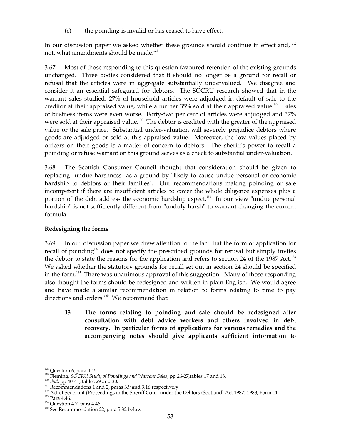(c) the poinding is invalid or has ceased to have effect.

In our discussion paper we asked whether these grounds should continue in effect and, if not, what amendments should be made. 128

3.67 Most of those responding to this question favoured retention of the existing grounds unchanged. Three bodies considered that it should no longer be a ground for recall or refusal that the articles were in aggregate substantially undervalued. We disagree and consider it an essential safeguard for debtors. The SOCRU research showed that in the warrant sales studied, 27% of household articles were adjudged in default of sale to the creditor at their appraised value, while a further 35% sold at their appraised value.<sup>129</sup> Sales of business items were even worse. Forty-two per cent of articles were adjudged and 37% were sold at their appraised value.<sup>130</sup> The debtor is credited with the greater of the appraised value or the sale price. Substantial under-valuation will severely prejudice debtors where goods are adjudged or sold at this appraised value. Moreover, the low values placed by officers on their goods is a matter of concern to debtors. The sheriff's power to recall a poinding or refuse warrant on this ground serves as a check to substantial under-valuation.

3.68 The Scottish Consumer Council thought that consideration should be given to replacing "undue harshness" as a ground by "likely to cause undue personal or economic hardship to debtors or their families". Our recommendations making poinding or sale incompetent if there are insufficient articles to cover the whole diligence expenses plus a portion of the debt address the economic hardship aspect.<sup>131</sup> In our view "undue personal hardship" is not sufficiently different from "unduly harsh" to warrant changing the current formula.

## **Redesigning the forms**

3.69 In our discussion paper we drew attention to the fact that the form of application for recall of poinding<sup>132</sup> does not specify the prescribed grounds for refusal but simply invites the debtor to state the reasons for the application and refers to section 24 of the 1987 Act.<sup>133</sup> We asked whether the statutory grounds for recall set out in section 24 should be specified in the form.<sup>134</sup> There was unanimous approval of this suggestion. Many of those responding also thought the forms should be redesigned and written in plain English. We would agree and have made a similar recommendation in relation to forms relating to time to pay directions and orders.<sup>135</sup> We recommend that:

**13 The forms relating to poinding and sale should be redesigned after consultation with debt advice workers and others involved in debt recovery. In particular forms of applications for various remedies and the accompanying notes should give applicants sufficient information to** 

 $128$  Question 6, para 4.45.

<sup>&</sup>lt;sup>129</sup> Fleming, *SOCRU Study of Poindings and Warrant Sales*, pp 26-27, tables 17 and 18.

<sup>&</sup>lt;sup>130</sup> *Ibid*, pp 40-41, tables 29 and 30.

 $131$  Recommendations 1 and 2, paras 3.9 and 3.16 respectively.

<sup>&</sup>lt;sup>132</sup> Act of Sederunt (Proceedings in the Sheriff Court under the Debtors (Scotland) Act 1987) 1988, Form 11.

 $133$  Para 4.46.

 $134$  Question 4.7, para 4.46.

<sup>&</sup>lt;sup>135</sup> See Recommendation 22, para 5.32 below.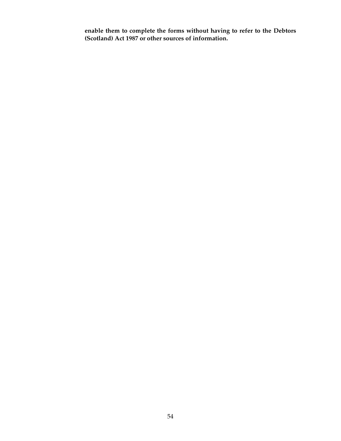**enable them to complete the forms without having to refer to the Debtors (Scotland) Act 1987 or other sources of information.**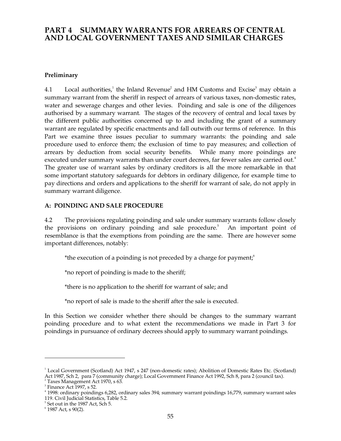# **PART 4 SUMMARY WARRANTS FOR ARREARS OF CENTRAL AND LOCAL GOVERNMENT TAXES AND SIMILAR CHARGES**

## **Preliminary**

4.1 Local authorities,<sup>1</sup> the Inland Revenue<sup>2</sup> and HM Customs and Excise<sup>3</sup> may obtain a summary warrant from the sheriff in respect of arrears of various taxes, non-domestic rates, water and sewerage charges and other levies. Poinding and sale is one of the diligences authorised by a summary warrant. The stages of the recovery of central and local taxes by the different public authorities concerned up to and including the grant of a summary warrant are regulated by specific enactments and fall outwith our terms of reference. In this Part we examine three issues peculiar to summary warrants: the poinding and sale procedure used to enforce them; the exclusion of time to pay measures; and collection of arrears by deduction from social security benefits. While many more poindings are executed under summary warrants than under court decrees, far fewer sales are carried out.<sup>4</sup> The greater use of warrant sales by ordinary creditors is all the more remarkable in that some important statutory safeguards for debtors in ordinary diligence, for example time to pay directions and orders and applications to the sheriff for warrant of sale, do not apply in summary warrant diligence.

## **A: POINDING AND SALE PROCEDURE**

4.2 The provisions regulating poinding and sale under summary warrants follow closely the provisions on ordinary poinding and sale procedure. 5 An important point of resemblance is that the exemptions from poinding are the same. There are however some important differences, notably:

\*the execution of a poinding is not preceded by a charge for payment;<sup>6</sup>

\*no report of poinding is made to the sheriff;

\*there is no application to the sheriff for warrant of sale; and

\*no report of sale is made to the sheriff after the sale is executed.

In this Section we consider whether there should be changes to the summary warrant poinding procedure and to what extent the recommendations we made in Part 3 for poindings in pursuance of ordinary decrees should apply to summary warrant poindings.

<sup>&</sup>lt;sup>1</sup> Local Government (Scotland) Act 1947, s 247 (non-domestic rates); Abolition of Domestic Rates Etc. (Scotland) Act 1987, Sch 2, para 7 (community charge); Local Government Finance Act 1992, Sch 8, para 2 (council tax).<br>
<sup>2</sup> Taxes Management Act 1970, s 63.<br>
<sup>3</sup> Finance Act 1997, s 52.<br>
<sup>4</sup> 1998: ordinary poindings 6,282, ordinary s

 $^5$  Set out in the 1987 Act, Sch 5.<br> $^6$  1987 Act, s 90(2).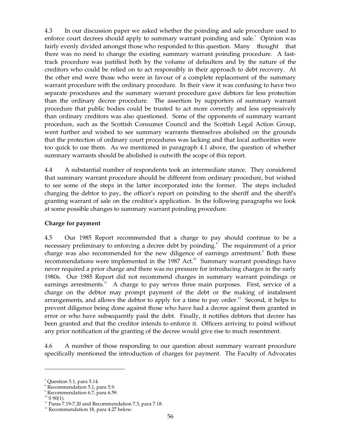4.3 In our discussion paper we asked whether the poinding and sale procedure used to enforce court decrees should apply to summary warrant poinding and sale.<sup>7</sup> Opinion was fairly evenly divided amongst those who responded to this question. Many thought that there was no need to change the existing summary warrant poinding procedure. A fasttrack procedure was justified both by the volume of defaulters and by the nature of the creditors who could be relied on to act responsibly in their approach to debt recovery. At the other end were those who were in favour of a complete replacement of the summary warrant procedure with the ordinary procedure. In their view it was confusing to have two separate procedures and the summary warrant procedure gave debtors far less protection than the ordinary decree procedure. The assertion by supporters of summary warrant procedure that public bodies could be trusted to act more correctly and less oppressively than ordinary creditors was also questioned. Some of the opponents of summary warrant procedure, such as the Scottish Consumer Council and the Scottish Legal Action Group, went further and wished to see summary warrants themselves abolished on the grounds that the protection of ordinary court procedures was lacking and that local authorities were too quick to use them. As we mentioned in paragraph 4.1 above, the question of whether summary warrants should be abolished is outwith the scope of this report.

4.4 A substantial number of respondents took an intermediate stance. They considered that summary warrant procedure should be different from ordinary procedure, but wished to see some of the steps in the latter incorporated into the former. The steps included charging the debtor to pay, the officer's report on poinding to the sheriff and the sheriff's granting warrant of sale on the creditor's application. In the following paragraphs we look at some possible changes to summary warrant poinding procedure.

## **Charge for payment**

4.5 Our 1985 Report recommended that a charge to pay should continue to be a necessary preliminary to enforcing a decree debt by poinding. 8 The requirement of a prior charge was also recommended for the new diligence of earnings arrestment.<sup>9</sup> Both these recommendations were implemented in the 1987 Act.<sup>10</sup> Summary warrant poindings have never required a prior charge and there was no pressure for introducing charges in the early 1980s. Our 1985 Report did not recommend charges in summary warrant poindings or earnings arrestments.<sup>11</sup> A charge to pay serves three main purposes. First, service of a charge on the debtor may prompt payment of the debt or the making of instalment arrangements, and allows the debtor to apply for a time to pay order.<sup>12</sup> Second, it helps to prevent diligence being done against those who have had a decree against them granted in error or who have subsequently paid the debt. Finally, it notifies debtors that decree has been granted and that the creditor intends to enforce it. Officers arriving to poind without any prior notification of the granting of the decree would give rise to much resentment.

4.6 A number of those responding to our question about summary warrant procedure specifically mentioned the introduction of charges for payment. The Faculty of Advocates

 $7$  Question 5.1, para 5.14.

 $\frac{8}{\text{Recommendation}}$  5.1, para 5.9.

<sup>&</sup>lt;sup>9</sup> Recommendation 6.7, para 6.59.

 $10^{10}$  S 90(1).

 $11$  Paras 7.19-7.20 and Recommendation 7.3, para 7.18.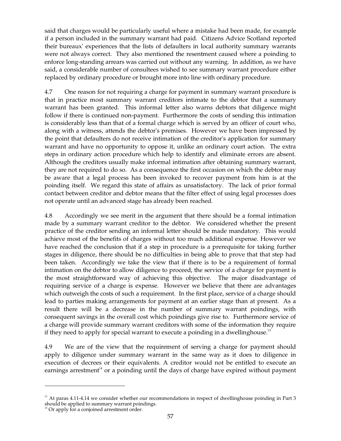said that charges would be particularly useful where a mistake had been made, for example if a person included in the summary warrant had paid. Citizens Advice Scotland reported their bureaux' experiences that the lists of defaulters in local authority summary warrants were not always correct. They also mentioned the resentment caused where a poinding to enforce long-standing arrears was carried out without any warning. In addition, as we have said, a considerable number of consultees wished to see summary warrant procedure either replaced by ordinary procedure or brought more into line with ordinary procedure.

4.7 One reason for not requiring a charge for payment in summary warrant procedure is that in practice most summary warrant creditors intimate to the debtor that a summary warrant has been granted. This informal letter also warns debtors that diligence might follow if there is continued non-payment. Furthermore the costs of sending this intimation is considerably less than that of a formal charge which is served by an officer of court who, along with a witness, attends the debtor's premises. However we have been impressed by the point that defaulters do not receive intimation of the creditor's application for summary warrant and have no opportunity to oppose it, unlike an ordinary court action. The extra steps in ordinary action procedure which help to identify and eliminate errors are absent. Although the creditors usually make informal intimation after obtaining summary warrant, they are not required to do so. As a consequence the first occasion on which the debtor may be aware that a legal process has been invoked to recover payment from him is at the poinding itself. We regard this state of affairs as unsatisfactory. The lack of prior formal contact between creditor and debtor means that the filter effect of using legal processes does not operate until an advanced stage has already been reached.

4.8 Accordingly we see merit in the argument that there should be a formal intimation made by a summary warrant creditor to the debtor. We considered whether the present practice of the creditor sending an informal letter should be made mandatory. This would achieve most of the benefits of charges without too much additional expense. However we have reached the conclusion that if a step in procedure is a prerequisite for taking further stages in diligence, there should be no difficulties in being able to prove that that step had been taken. Accordingly we take the view that if there is to be a requirement of formal intimation on the debtor to allow diligence to proceed, the service of a charge for payment is the most straightforward way of achieving this objective. The major disadvantage of requiring service of a charge is expense. However we believe that there are advantages which outweigh the costs of such a requirement. In the first place, service of a charge should lead to parties making arrangements for payment at an earlier stage than at present. As a result there will be a decrease in the number of summary warrant poindings, with consequent savings in the overall cost which poindings give rise to. Furthermore service of a charge will provide summary warrant creditors with some of the information they require if they need to apply for special warrant to execute a poinding in a dwellinghouse. $^{13}$ 

4.9 We are of the view that the requirement of serving a charge for payment should apply to diligence under summary warrant in the same way as it does to diligence in execution of decrees or their equivalents. A creditor would not be entitled to execute an earnings arrestment<sup>14</sup> or a poinding until the days of charge have expired without payment

<sup>&</sup>lt;sup>13</sup> At paras 4.11-4.14 we consider whether our recommendations in respect of dwellinghouse poinding in Part 3 should be applied to summary warrant poindings.

 $14$  Or apply for a conjoined arrestment order.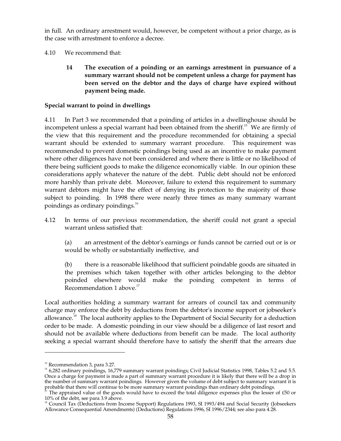in full. An ordinary arrestment would, however, be competent without a prior charge, as is the case with arrestment to enforce a decree.

4.10 We recommend that:

**14 The execution of a poinding or an earnings arrestment in pursuance of a summary warrant should not be competent unless a charge for payment has been served on the debtor and the days of charge have expired without payment being made.** 

# **Special warrant to poind in dwellings**

4.11 In Part 3 we recommended that a poinding of articles in a dwellinghouse should be incompetent unless a special warrant had been obtained from the sheriff. 15 We are firmly of the view that this requirement and the procedure recommended for obtaining a special warrant should be extended to summary warrant procedure. This requirement was recommended to prevent domestic poindings being used as an incentive to make payment where other diligences have not been considered and where there is little or no likelihood of there being sufficient goods to make the diligence economically viable. In our opinion these considerations apply whatever the nature of the debt. Public debt should not be enforced more harshly than private debt. Moreover, failure to extend this requirement to summary warrant debtors might have the effect of denying its protection to the majority of those subject to poinding. In 1998 there were nearly three times as many summary warrant poindings as ordinary poindings. 16

4.12 In terms of our previous recommendation, the sheriff could not grant a special warrant unless satisfied that:

(a) an arrestment of the debtor's earnings or funds cannot be carried out or is or would be wholly or substantially ineffective, and

(b) there is a reasonable likelihood that sufficient poindable goods are situated in the premises which taken together with other articles belonging to the debtor poinded elsewhere would make the poinding competent in terms of Recommendation 1 above. 17

Local authorities holding a summary warrant for arrears of council tax and community charge may enforce the debt by deductions from the debtor's income support or jobseeker's allowance.<sup>18</sup> The local authority applies to the Department of Social Security for a deduction order to be made. A domestic poinding in our view should be a diligence of last resort and should not be available where deductions from benefit can be made. The local authority seeking a special warrant should therefore have to satisfy the sheriff that the arrears due

<sup>&</sup>lt;sup>15</sup> Recommendation 3, para 3.27.<br><sup>16</sup> 6,282 ordinary poindings, 16,779 summary warrant poindings; Civil Judicial Statistics 1998, Tables 5.2 and 5.5. Once a charge for payment is made a part of summary warrant procedure it is likely that there will be a drop in the number of summary warrant poindings. However given the volume of debt subject to summary warrant it is

probable that there will continue to be more summary warrant poindings than ordinary debt poindings.<br>
<sup>17</sup> The appraised value of the goods would have to exceed the total diligence expenses plus the lesser of £50 or 10% of

<sup>&</sup>lt;sup>18</sup> Council Tax (Deductions from Income Support) Regulations 1993, SI 1993/494 and Social Security (Jobseekers Allowance Consequential Amendments) (Deductions) Regulations 1996, SI 1996/2344; see also para 4.28.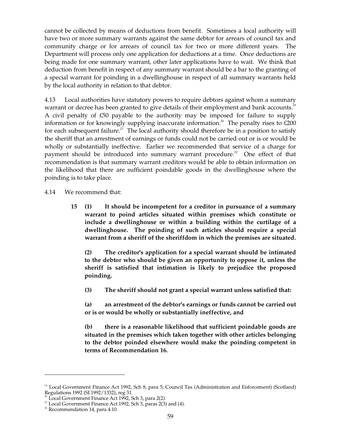cannot be collected by means of deductions from benefit. Sometimes a local authority will have two or more summary warrants against the same debtor for arrears of council tax and community charge or for arrears of council tax for two or more different years. The Department will process only one application for deductions at a time. Once deductions are being made for one summary warrant, other later applications have to wait. We think that deduction from benefit in respect of any summary warrant should be a bar to the granting of a special warrant for poinding in a dwellinghouse in respect of all summary warrants held by the local authority in relation to that debtor.

4.13 Local authorities have statutory powers to require debtors against whom a summary warrant or decree has been granted to give details of their employment and bank accounts.<sup>19</sup> A civil penalty of £50 payable to the authority may be imposed for failure to supply information or for knowingly supplying inaccurate information.<sup>20</sup> The penalty rises to  $£200$ for each subsequent failure. $21$  The local authority should therefore be in a position to satisfy the sheriff that an arrestment of earnings or funds could not be carried out or is or would be wholly or substantially ineffective. Earlier we recommended that service of a charge for payment should be introduced into summary warrant procedure.<sup>22</sup> One effect of that recommendation is that summary warrant creditors would be able to obtain information on the likelihood that there are sufficient poindable goods in the dwellinghouse where the poinding is to take place.

4.14 We recommend that:

**15 (1) It should be incompetent for a creditor in pursuance of a summary warrant to poind articles situated within premises which constitute or include a dwellinghouse or within a building within the curtilage of a dwellinghouse. The poinding of such articles should require a special warrant from a sheriff of the sheriffdom in which the premises are situated.** 

**(2) The creditor's application for a special warrant should be intimated to the debtor who should be given an opportunity to oppose it, unless the sheriff is satisfied that intimation is likely to prejudice the proposed poinding.** 

**(3) The sheriff should not grant a special warrant unless satisfied that:** 

**(a) an arrestment of the debtor's earnings or funds cannot be carried out or is or would be wholly or substantially ineffective, and** 

**(b) there is a reasonable likelihood that sufficient poindable goods are situated in the premises which taken together with other articles belonging to the debtor poinded elsewhere would make the poinding competent in terms of Recommendation 16.** 

<sup>&</sup>lt;sup>19</sup> Local Government Finance Act 1992, Sch 8, para 5; Council Tax (Administration and Enforcement) (Scotland) Regulations 1992 (SI 1992/1332), reg 31.<br>
<sup>20</sup> Local Government Finance Act 1992, Sch 3, para 2(2).<br>
<sup>21</sup> Local Government Finance Act 1992, Sch 3, paras 2(3) and (4).<br>
<sup>22</sup> Recommendation 14, para 4.10.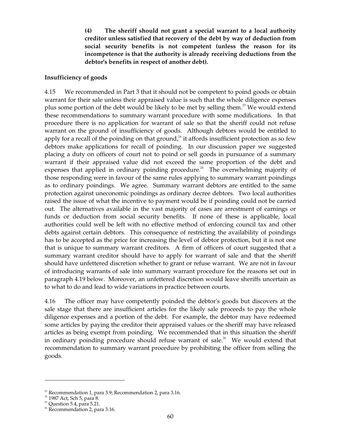**(4) The sheriff should not grant a special warrant to a local authority creditor unless satisfied that recovery of the debt by way of deduction from social security benefits is not competent (unless the reason for its incompetence is that the authority is already receiving deductions from the debtor's benefits in respect of another debt).** 

#### **Insufficiency of goods**

4.15 We recommended in Part 3 that it should not be competent to poind goods or obtain warrant for their sale unless their appraised value is such that the whole diligence expenses plus some portion of the debt would be likely to be met by selling them.<sup>23</sup> We would extend these recommendations to summary warrant procedure with some modifications. In that procedure there is no application for warrant of sale so that the sheriff could not refuse warrant on the ground of insufficiency of goods. Although debtors would be entitled to apply for a recall of the poinding on that ground, $24$  it affords insufficient protection as so few debtors make applications for recall of poinding. In our discussion paper we suggested placing a duty on officers of court not to poind or sell goods in pursuance of a summary warrant if their appraised value did not exceed the same proportion of the debt and expenses that applied in ordinary poinding procedure.<sup>25</sup> The overwhelming majority of those responding were in favour of the same rules applying to summary warrant poindings as to ordinary poindings. We agree. Summary warrant debtors are entitled to the same protection against uneconomic poindings as ordinary decree debtors. Two local authorities raised the issue of what the incentive to payment would be if poinding could not be carried out. The alternatives available in the vast majority of cases are arrestment of earnings or funds or deduction from social security benefits. If none of these is applicable, local authorities could well be left with no effective method of enforcing council tax and other debts against certain debtors. This consequence of restricting the availability of poindings has to be accepted as the price for increasing the level of debtor protection, but it is not one that is unique to summary warrant creditors. A firm of officers of court suggested that a summary warrant creditor should have to apply for warrant of sale and that the sheriff should have unfettered discretion whether to grant or refuse warrant. We are not in favour of introducing warrants of sale into summary warrant procedure for the reasons set out in paragraph 4.19 below. Moreover, an unfettered discretion would leave sheriffs uncertain as to what to do and lead to wide variations in practice between courts.

4.16 The officer may have competently poinded the debtor's goods but discovers at the sale stage that there are insufficient articles for the likely sale proceeds to pay the whole diligence expenses and a portion of the debt. For example, the debtor may have redeemed some articles by paying the creditor their appraised values or the sheriff may have released articles as being exempt from poinding. We recommended that in this situation the sheriff in ordinary poinding procedure should refuse warrant of sale.<sup>26</sup> We would extend that recommendation to summary warrant procedure by prohibiting the officer from selling the goods.

 $2<sup>23</sup>$  Recommendation 1, para 3.9; Recommendation 2, para 3.16.

<sup>&</sup>lt;sup>24</sup> 1987 Act, Sch 5, para 8.

 $25$  Question 5.4, para 5.21.

 $26$  Recommendation 2, para 3.16.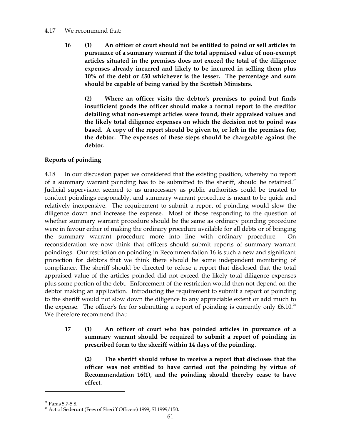## 4.17 We recommend that:

**16 (1) An officer of court should not be entitled to poind or sell articles in pursuance of a summary warrant if the total appraised value of non-exempt articles situated in the premises does not exceed the total of the diligence expenses already incurred and likely to be incurred in selling them plus 10% of the debt or £50 whichever is the lesser. The percentage and sum should be capable of being varied by the Scottish Ministers.** 

**(2) Where an officer visits the debtor's premises to poind but finds insufficient goods the officer should make a formal report to the creditor detailing what non-exempt articles were found, their appraised values and the likely total diligence expenses on which the decision not to poind was based. A copy of the report should be given to, or left in the premises for, the debtor. The expenses of these steps should be chargeable against the debtor.** 

# **Reports of poinding**

4.18 In our discussion paper we considered that the existing position, whereby no report of a summary warrant poinding has to be submitted to the sheriff, should be retained.<sup>27</sup> Judicial supervision seemed to us unnecessary as public authorities could be trusted to conduct poindings responsibly, and summary warrant procedure is meant to be quick and relatively inexpensive. The requirement to submit a report of poinding would slow the diligence down and increase the expense. Most of those responding to the question of whether summary warrant procedure should be the same as ordinary poinding procedure were in favour either of making the ordinary procedure available for all debts or of bringing the summary warrant procedure more into line with ordinary procedure. On reconsideration we now think that officers should submit reports of summary warrant poindings. Our restriction on poinding in Recommendation 16 is such a new and significant protection for debtors that we think there should be some independent monitoring of compliance. The sheriff should be directed to refuse a report that disclosed that the total appraised value of the articles poinded did not exceed the likely total diligence expenses plus some portion of the debt. Enforcement of the restriction would then not depend on the debtor making an application. Introducing the requirement to submit a report of poinding to the sheriff would not slow down the diligence to any appreciable extent or add much to the expense. The officer's fee for submitting a report of poinding is currently only  $£6.10<sup>28</sup>$ We therefore recommend that:

**17 (1) An officer of court who has poinded articles in pursuance of a summary warrant should be required to submit a report of poinding in prescribed form to the sheriff within 14 days of the poinding.** 

**(2) The sheriff should refuse to receive a report that discloses that the officer was not entitled to have carried out the poinding by virtue of Recommendation 16(1), and the poinding should thereby cease to have effect.** 

 $27$  Paras 5.7-5.8.

 $2^8$  Act of Sederunt (Fees of Sheriff Officers) 1999, SI 1999/150.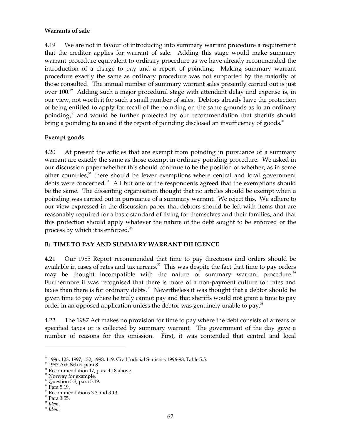## **Warrants of sale**

4.19 We are not in favour of introducing into summary warrant procedure a requirement that the creditor applies for warrant of sale. Adding this stage would make summary warrant procedure equivalent to ordinary procedure as we have already recommended the introduction of a charge to pay and a report of poinding. Making summary warrant procedure exactly the same as ordinary procedure was not supported by the majority of those consulted. The annual number of summary warrant sales presently carried out is just over  $100.^{29}$  Adding such a major procedural stage with attendant delay and expense is, in our view, not worth it for such a small number of sales. Debtors already have the protection of being entitled to apply for recall of the poinding on the same grounds as in an ordinary poinding,<sup>30</sup> and would be further protected by our recommendation that sheriffs should bring a poinding to an end if the report of poinding disclosed an insufficiency of goods. $31$ 

## **Exempt goods**

4.20 At present the articles that are exempt from poinding in pursuance of a summary warrant are exactly the same as those exempt in ordinary poinding procedure. We asked in our discussion paper whether this should continue to be the position or whether, as in some other countries, $32$  there should be fewer exemptions where central and local government debts were concerned.<sup>33</sup> All but one of the respondents agreed that the exemptions should be the same. The dissenting organisation thought that no articles should be exempt when a poinding was carried out in pursuance of a summary warrant. We reject this. We adhere to our view expressed in the discussion paper that debtors should be left with items that are reasonably required for a basic standard of living for themselves and their families, and that this protection should apply whatever the nature of the debt sought to be enforced or the process by which it is enforced. 34

## **B: TIME TO PAY AND SUMMARY WARRANT DILIGENCE**

4.21 Our 1985 Report recommended that time to pay directions and orders should be available in cases of rates and tax arrears. $35$  This was despite the fact that time to pay orders may be thought incompatible with the nature of summary warrant procedure.<sup>36</sup> Furthermore it was recognised that there is more of a non-payment culture for rates and taxes than there is for ordinary debts. $37$  Nevertheless it was thought that a debtor should be given time to pay where he truly cannot pay and that sheriffs would not grant a time to pay order in an opposed application unless the debtor was genuinely unable to pay. $^{38}$ 

4.22 The 1987 Act makes no provision for time to pay where the debt consists of arrears of specified taxes or is collected by summary warrant. The government of the day gave a number of reasons for this omission. First, it was contended that central and local

<sup>&</sup>lt;sup>29</sup> 1996, 123; 1997, 132; 1998, 119: Civil Judicial Statistics 1996-98, Table 5.5.<br><sup>30</sup> 1987 Act, Sch 5, para 8.

 $31$  Recommendation 17, para 4.18 above.

<sup>&</sup>lt;sup>32</sup> Norway for example.

 $33$  Question 5.3, para 5.19.

 $34$  Para 5.19.

<sup>&</sup>lt;sup>35</sup> Recommendations 3.3 and 3.13.

<sup>36</sup> Para 3.55.

<sup>37</sup>*Idem*. 38 *Idem.*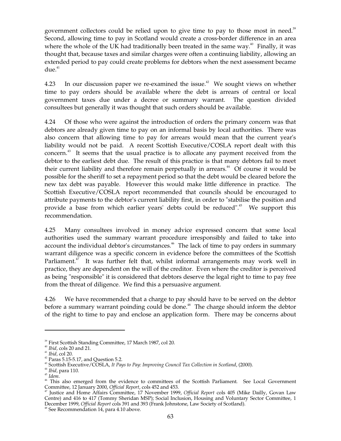government collectors could be relied upon to give time to pay to those most in need.<sup>39</sup> Second, allowing time to pay in Scotland would create a cross-border difference in an area where the whole of the UK had traditionally been treated in the same way. $40$  Finally, it was thought that, because taxes and similar charges were often a continuing liability, allowing an extended period to pay could create problems for debtors when the next assessment became due. 41

4.23 In our discussion paper we re-examined the issue.<sup> $42$ </sup> We sought views on whether time to pay orders should be available where the debt is arrears of central or local government taxes due under a decree or summary warrant. The question divided consultees but generally it was thought that such orders should be available.

4.24 Of those who were against the introduction of orders the primary concern was that debtors are already given time to pay on an informal basis by local authorities. There was also concern that allowing time to pay for arrears would mean that the current year's liability would not be paid. A recent Scottish Executive/COSLA report dealt with this concern.<sup>43</sup> It seems that the usual practice is to allocate any payment received from the debtor to the earliest debt due. The result of this practice is that many debtors fail to meet their current liability and therefore remain perpetually in arrears.<sup>44</sup> Of course it would be possible for the sheriff to set a repayment period so that the debt would be cleared before the new tax debt was payable. However this would make little difference in practice. The Scottish Executive/COSLA report recommended that councils should be encouraged to attribute payments to the debtor's current liability first, in order to "stabilise the position and provide a base from which earlier years' debts could be reduced". 45 We support this recommendation.

4.25 Many consultees involved in money advice expressed concern that some local authorities used the summary warrant procedure irresponsibly and failed to take into account the individual debtor's circumstances.<sup>46</sup> The lack of time to pay orders in summary warrant diligence was a specific concern in evidence before the committees of the Scottish Parliament.<sup>47</sup> It was further felt that, whilst informal arrangements may work well in practice, they are dependent on the will of the creditor. Even where the creditor is perceived as being "responsible" it is considered that debtors deserve the legal right to time to pay free from the threat of diligence. We find this a persuasive argument.

4.26 We have recommended that a charge to pay should have to be served on the debtor before a summary warrant poinding could be done.<sup>48</sup> The charge should inform the debtor of the right to time to pay and enclose an application form. There may be concerns about

 $^{40}$  *Ibid,* cols 20 and 21.<br> $^{41}$  *Ibid,* col 20.

 $42$  Paras 5.15-5.17, and Question 5.2.

<sup>&</sup>lt;sup>43</sup> Scottish Executive/COSLA, It Pays to Pay: Improving Council Tax Collection in Scotland, (2000).

 $44$  Ibid, para 110.

 $^{\rm 45}$  Idem.

<sup>&</sup>lt;sup>39</sup> First Scottish Standing Committee, 17 March 1987, col 20.<br><sup>40</sup> *Ibid*, cols 20 and 21.<br><sup>41</sup> *Ibid*, col 20.<br><sup>42</sup> Paras 5.15-5.17, and Question 5.2.<br><sup>43</sup> Scottish Executive/COSLA, *It Pays to Pay: Improving Council Tax* Committee, 12 January 2000, *Official Report*, cols 452 and 453. 47 Justice and Home Affairs Committee, 17 November 1999, *Official Report* cols 405 (Mike Dailly, Govan Law

Centre) and 416 to 417 (Tommy Sheridan MSP); Social Inclusion, Housing and Voluntary Sector Committee, 1 December 1999, *Official Report cols 391* and 393 (Frank Johnstone, Law Society of Scotland). <sup>48</sup> See Recommendation 14, para 4.10 above.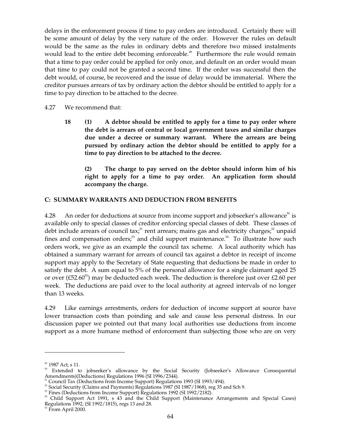delays in the enforcement process if time to pay orders are introduced. Certainly there will be some amount of delay by the very nature of the order. However the rules on default would be the same as the rules in ordinary debts and therefore two missed instalments would lead to the entire debt becoming enforceable.<sup>49</sup> Furthermore the rule would remain that a time to pay order could be applied for only once, and default on an order would mean that time to pay could not be granted a second time. If the order was successful then the debt would, of course, be recovered and the issue of delay would be immaterial. Where the creditor pursues arrears of tax by ordinary action the debtor should be entitled to apply for a time to pay direction to be attached to the decree.

## 4.27 We recommend that:

**18 (1) A debtor should be entitled to apply for a time to pay order where the debt is arrears of central or local government taxes and similar charges due under a decree or summary warrant. Where the arrears are being pursued by ordinary action the debtor should be entitled to apply for a time to pay direction to be attached to the decree.** 

**(2) The charge to pay served on the debtor should inform him of his right to apply for a time to pay order. An application form should accompany the charge.** 

### **C: SUMMARY WARRANTS AND DEDUCTION FROM BENEFITS**

4.28 An order for deductions at source from income support and jobseeker's allowance<sup>50</sup> is available only to special classes of creditor enforcing special classes of debt. These classes of debt include arrears of council tax;<sup>51</sup> rent arrears; mains gas and electricity charges;<sup>52</sup> unpaid fines and compensation orders;<sup>53</sup> and child support maintenance.<sup>54</sup> To illustrate how such orders work, we give as an example the council tax scheme. A local authority which has obtained a summary warrant for arrears of council tax against a debtor in receipt of income support may apply to the Secretary of State requesting that deductions be made in order to satisfy the debt. A sum equal to 5% of the personal allowance for a single claimant aged 25 or over (£52.60<sup>55</sup>) may be deducted each week. The deduction is therefore just over £2.60 per week. The deductions are paid over to the local authority at agreed intervals of no longer than 13 weeks.

4.29 Like earnings arrestments, orders for deduction of income support at source have lower transaction costs than poinding and sale and cause less personal distress. In our discussion paper we pointed out that many local authorities use deductions from income support as a more humane method of enforcement than subjecting those who are on very

<sup>&</sup>lt;sup>49</sup> 1987 Act, s 11.<br><sup>50</sup> Extended to jobseeker's allowance by the Social Security (Jobseeker's Allowance Consequential Amendments)(Deductions) Regulations 1996 (SI 1996/2344).

<sup>&</sup>lt;sup>51</sup> Council Tax (Deductions from Income Support) Regulations 1993 (SI 1993/494).<br><sup>52</sup> Social Security (Claims and Payments) Regulations 1987 (SI 1987/1968), reg 35 and Sch 9.<br><sup>53</sup> Fines (Deductions from Income Support) R Regulations 1992, (SI 1992/1815), regs 13 and 28.<br><sup>55</sup> From April 2000.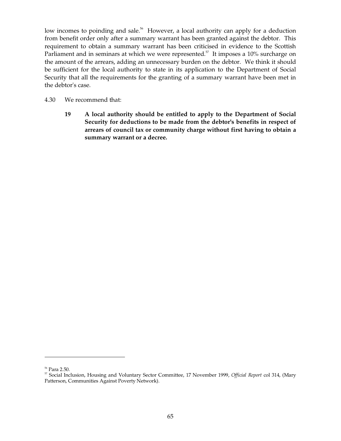low incomes to poinding and sale.<sup>56</sup> However, a local authority can apply for a deduction from benefit order only after a summary warrant has been granted against the debtor. This requirement to obtain a summary warrant has been criticised in evidence to the Scottish Parliament and in seminars at which we were represented.<sup>57</sup> It imposes a 10% surcharge on the amount of the arrears, adding an unnecessary burden on the debtor. We think it should be sufficient for the local authority to state in its application to the Department of Social Security that all the requirements for the granting of a summary warrant have been met in the debtor's case.

- 4.30 We recommend that:
	- **19 A local authority should be entitled to apply to the Department of Social Security for deductions to be made from the debtor's benefits in respect of arrears of council tax or community charge without first having to obtain a summary warrant or a decree.**

<sup>56</sup> Para 2.50.

<sup>&</sup>lt;sup>57</sup> Social Inclusion, Housing and Voluntary Sector Committee, 17 November 1999, Official Report col 314, (Mary Patterson, Communities Against Poverty Network).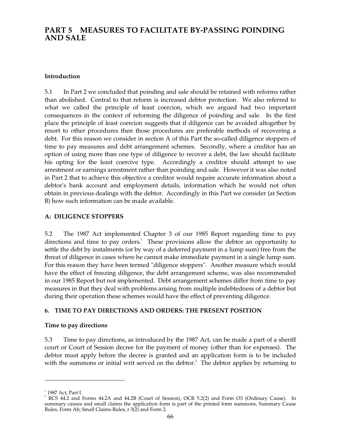# **PART 5 MEASURES TO FACILITATE BY-PASSING POINDING AND SALE**

## **Introduction**

5.1 In Part 2 we concluded that poinding and sale should be retained with reforms rather than abolished. Central to that reform is increased debtor protection. We also referred to what we called the principle of least coercion, which we argued had two important consequences in the context of reforming the diligence of poinding and sale. In the first place the principle of least coercion suggests that if diligence can be avoided altogether by resort to other procedures then those procedures are preferable methods of recovering a debt. For this reason we consider in section A of this Part the so-called diligence stoppers of time to pay measures and debt arrangement schemes. Secondly, where a creditor has an option of using more than one type of diligence to recover a debt, the law should facilitate his opting for the least coercive type. Accordingly a creditor should attempt to use arrestment or earnings arrestment rather than poinding and sale. However it was also noted in Part 2 that to achieve this objective a creditor would require accurate information about a debtor's bank account and employment details, information which he would not often obtain in previous dealings with the debtor. Accordingly in this Part we consider (at Section B) how such information can be made available.

## **A: DILIGENCE STOPPERS**

5.2 The 1987 Act implemented Chapter 3 of our 1985 Report regarding time to pay directions and time to pay orders.<sup>1</sup> These provisions allow the debtor an opportunity to settle the debt by instalments (or by way of a deferred payment in a lump sum) free from the threat of diligence in cases where he cannot make immediate payment in a single lump sum. For this reason they have been termed "diligence stoppers". Another measure which would have the effect of freezing diligence, the debt arrangement scheme, was also recommended in our 1985 Report but not implemented. Debt arrangement schemes differ from time to pay measures in that they deal with problems arising from multiple indebtedness of a debtor but during their operation these schemes would have the effect of preventing diligence.

## **6. TIME TO PAY DIRECTIONS AND ORDERS: THE PRESENT POSITION**

### **Time to pay directions**

5.3 Time to pay directions, as introduced by the 1987 Act, can be made a part of a sheriff court or Court of Session decree for the payment of money (other than for expenses). The debtor must apply before the decree is granted and an application form is to be included with the summons or initial writ served on the debtor. $^2$  The debtor applies by returning to

 $1$  1987 Act, Part I.<br><sup>2</sup> RCS 44.2 and Forms 44.2A and 44.2B (Court of Session), OCR 5.2(2) and Form O3 (Ordinary Cause). In summary causes and small claims the application form is part of the printed form summons, Summary Cause Rules, Form Ab; Small Claims Rules, r 3(2) and Form 2.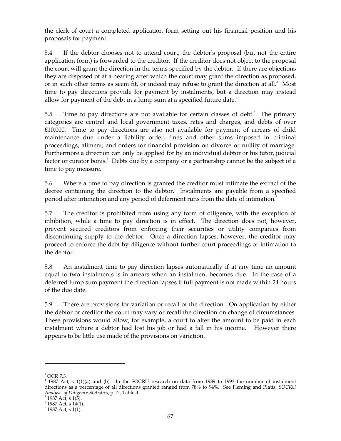the clerk of court a completed application form setting out his financial position and his proposals for payment.

5.4 If the debtor chooses not to attend court, the debtor's proposal (but not the entire application form) is forwarded to the creditor. If the creditor does not object to the proposal the court will grant the direction in the terms specified by the debtor. If there are objections they are disposed of at a hearing after which the court may grant the direction as proposed, or in such other terms as seem fit, or indeed may refuse to grant the direction at all.<sup>3</sup> Most time to pay directions provide for payment by instalments, but a direction may instead allow for payment of the debt in a lump sum at a specified future date.<sup>4</sup>

5.5 Time to pay directions are not available for certain classes of debt.<sup>5</sup> The primary categories are central and local government taxes, rates and charges, and debts of over £10,000. Time to pay directions are also not available for payment of arrears of child maintenance due under a liability order, fines and other sums imposed in criminal proceedings, aliment, and orders for financial provision on divorce or nullity of marriage. Furthermore a direction can only be applied for by an individual debtor or his tutor, judicial factor or curator bonis.<sup>6</sup> Debts due by a company or a partnership cannot be the subject of a time to pay measure.

5.6 Where a time to pay direction is granted the creditor must intimate the extract of the decree containing the direction to the debtor. Instalments are payable from a specified period after intimation and any period of deferment runs from the date of intimation.<sup>7</sup>

5.7 The creditor is prohibited from using any form of diligence, with the exception of inhibition, while a time to pay direction is in effect. The direction does not, however, prevent secured creditors from enforcing their securities or utility companies from discontinuing supply to the debtor. Once a direction lapses, however, the creditor may proceed to enforce the debt by diligence without further court proceedings or intimation to the debtor.

5.8 An instalment time to pay direction lapses automatically if at any time an amount equal to two instalments is in arrears when an instalment becomes due. In the case of a deferred lump sum payment the direction lapses if full payment is not made within 24 hours of the due date.

5.9 There are provisions for variation or recall of the direction. On application by either the debtor or creditor the court may vary or recall the direction on change of circumstances. These provisions would allow, for example, a court to alter the amount to be paid in each instalment where a debtor had lost his job or had a fall in his income. However there appears to be little use made of the provisions on variation.

 $3$  OCR 7.3.<br> $4$  1987 Act, s 1(1)(a) and (b). In the SOCRU research on data from 1989 to 1993 the number of instalment directions as a percentage of all directions granted ranged from 78% to 94%. See Fleming and Platts, *SOCRU Analysis of Diligence Statistics*, p 12, Table 4.<br><sup>5</sup> 1987 Act, s 1(5).<br><sup>6</sup> 1987 Act, s 14(1).<br><sup>7</sup> 1987 Act, s 1(1).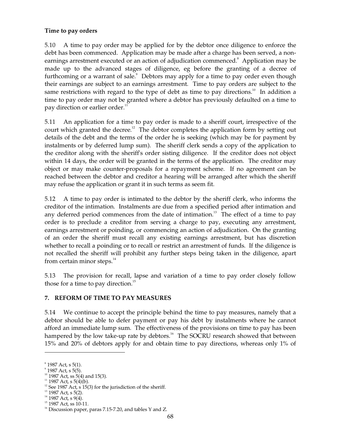## **Time to pay orders**

5.10 A time to pay order may be applied for by the debtor once diligence to enforce the debt has been commenced. Application may be made after a charge has been served, a nonearnings arrestment executed or an action of adjudication commenced.<sup>8</sup> Application may be made up to the advanced stages of diligence, eg before the granting of a decree of furthcoming or a warrant of sale.<sup>9</sup> Debtors may apply for a time to pay order even though their earnings are subject to an earnings arrestment. Time to pay orders are subject to the same restrictions with regard to the type of debt as time to pay directions.<sup>10</sup> In addition a time to pay order may not be granted where a debtor has previously defaulted on a time to pay direction or earlier order.<sup>11</sup>

5.11 An application for a time to pay order is made to a sheriff court, irrespective of the court which granted the decree.<sup>12</sup> The debtor completes the application form by setting out details of the debt and the terms of the order he is seeking (which may be for payment by instalments or by deferred lump sum). The sheriff clerk sends a copy of the application to the creditor along with the sheriff's order sisting diligence. If the creditor does not object within 14 days, the order will be granted in the terms of the application. The creditor may object or may make counter-proposals for a repayment scheme. If no agreement can be reached between the debtor and creditor a hearing will be arranged after which the sheriff may refuse the application or grant it in such terms as seem fit.

5.12 A time to pay order is intimated to the debtor by the sheriff clerk, who informs the creditor of the intimation. Instalments are due from a specified period after intimation and any deferred period commences from the date of intimation.<sup>13</sup> The effect of a time to pay order is to preclude a creditor from serving a charge to pay, executing any arrestment, earnings arrestment or poinding, or commencing an action of adjudication. On the granting of an order the sheriff must recall any existing earnings arrestment, but has discretion whether to recall a poinding or to recall or restrict an arrestment of funds. If the diligence is not recalled the sheriff will prohibit any further steps being taken in the diligence, apart from certain minor steps.<sup>14</sup>

5.13 The provision for recall, lapse and variation of a time to pay order closely follow those for a time to pay direction. 15

## **7. REFORM OF TIME TO PAY MEASURES**

5.14 We continue to accept the principle behind the time to pay measures, namely that a debtor should be able to defer payment or pay his debt by instalments where he cannot afford an immediate lump sum. The effectiveness of the provisions on time to pay has been hampered by the low take-up rate by debtors.<sup>16</sup> The SOCRU research showed that between 15% and 20% of debtors apply for and obtain time to pay directions, whereas only 1% of

 $13$  1987 Act, s 5(2).

 $8$  1987 Act, s 5(1).

 $\degree$  1987 Act, s 5(5).

 $10$  1987 Act, ss 5(4) and 15(3).

 $11$  1987 Act, s 5(4)(b).

<sup>&</sup>lt;sup>12</sup> See 1987 Act, s 15(3) for the jurisdiction of the sheriff.

 $14$  1987 Act, s 9(4).

<sup>&</sup>lt;sup>15</sup> 1987 Act, ss 10-11.

 $16$  Discussion paper, paras 7.15-7.20, and tables Y and Z.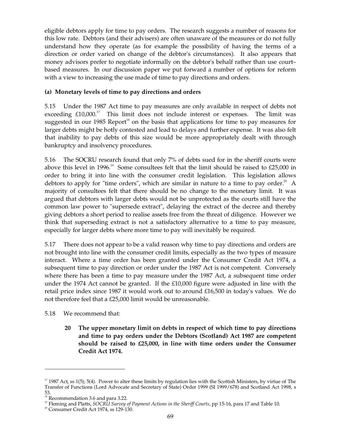eligible debtors apply for time to pay orders. The research suggests a number of reasons for this low rate. Debtors (and their advisers) are often unaware of the measures or do not fully understand how they operate (as for example the possibility of having the terms of a direction or order varied on change of the debtor's circumstances). It also appears that money advisors prefer to negotiate informally on the debtor's behalf rather than use court– based measures. In our discussion paper we put forward a number of options for reform with a view to increasing the use made of time to pay directions and orders.

## **(a) Monetary levels of time to pay directions and orders**

5.15 Under the 1987 Act time to pay measures are only available in respect of debts not exceeding  $£10,000$ .<sup>17</sup> This limit does not include interest or expenses. The limit was suggested in our 1985 Report<sup>18</sup> on the basis that applications for time to pay measures for larger debts might be hotly contested and lead to delays and further expense. It was also felt that inability to pay debts of this size would be more appropriately dealt with through bankruptcy and insolvency procedures.

5.16 The SOCRU research found that only 7% of debts sued for in the sheriff courts were above this level in 1996.<sup>19</sup> Some consultees felt that the limit should be raised to  $£25,000$  in order to bring it into line with the consumer credit legislation. This legislation allows debtors to apply for "time orders", which are similar in nature to a time to pay order.<sup>20</sup> A majority of consultees felt that there should be no change to the monetary limit. It was argued that debtors with larger debts would not be unprotected as the courts still have the common law power to "supersede extract", delaying the extract of the decree and thereby giving debtors a short period to realise assets free from the threat of diligence. However we think that superseding extract is not a satisfactory alternative to a time to pay measure, especially for larger debts where more time to pay will inevitably be required.

5.17 There does not appear to be a valid reason why time to pay directions and orders are not brought into line with the consumer credit limits, especially as the two types of measure interact. Where a time order has been granted under the Consumer Credit Act 1974, a subsequent time to pay direction or order under the 1987 Act is not competent. Conversely where there has been a time to pay measure under the 1987 Act, a subsequent time order under the 1974 Act cannot be granted. If the £10,000 figure were adjusted in line with the retail price index since 1987 it would work out to around £16,500 in today's values. We do not therefore feel that a £25,000 limit would be unreasonable.

# 5.18 We recommend that:

**20 The upper monetary limit on debts in respect of which time to pay directions and time to pay orders under the Debtors (Scotland) Act 1987 are competent should be raised to £25,000, in line with time orders under the Consumer Credit Act 1974.** 

 $17$  1987 Act, ss 1(5); 5(4). Power to alter these limits by regulation lies with the Scottish Ministers, by virtue of The Transfer of Functions (Lord Advocate and Secretary of State) Order 1999 (SI 1999/678) and Scotland Act 1998, s

<sup>53.</sup>  18 Recommendation 3.6 and para 3.22.

<sup>19</sup> Fleming and Platts, *SOCRU Survey of Payment Actions in the Sheriff Courts*, pp 15-16, para 17 and Table 10.

 $20$  Consumer Credit Act 1974, ss 129-130.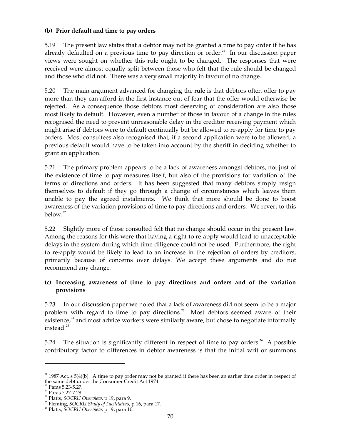## **(b) Prior default and time to pay orders**

5.19 The present law states that a debtor may not be granted a time to pay order if he has already defaulted on a previous time to pay direction or order.<sup>21</sup> In our discussion paper views were sought on whether this rule ought to be changed. The responses that were received were almost equally split between those who felt that the rule should be changed and those who did not. There was a very small majority in favour of no change.

5.20 The main argument advanced for changing the rule is that debtors often offer to pay more than they can afford in the first instance out of fear that the offer would otherwise be rejected. As a consequence those debtors most deserving of consideration are also those most likely to default. However, even a number of those in favour of a change in the rules recognised the need to prevent unreasonable delay in the creditor receiving payment which might arise if debtors were to default continually but be allowed to re-apply for time to pay orders. Most consultees also recognised that, if a second application were to be allowed, a previous default would have to be taken into account by the sheriff in deciding whether to grant an application.

5.21 The primary problem appears to be a lack of awareness amongst debtors, not just of the existence of time to pay measures itself, but also of the provisions for variation of the terms of directions and orders. It has been suggested that many debtors simply resign themselves to default if they go through a change of circumstances which leaves them unable to pay the agreed instalments. We think that more should be done to boost awareness of the variation provisions of time to pay directions and orders. We revert to this below. 22

5.22 Slightly more of those consulted felt that no change should occur in the present law. Among the reasons for this were that having a right to re-apply would lead to unacceptable delays in the system during which time diligence could not be used. Furthermore, the right to re-apply would be likely to lead to an increase in the rejection of orders by creditors, primarily because of concerns over delays. We accept these arguments and do not recommend any change.

## **(c) Increasing awareness of time to pay directions and orders and of the variation provisions**

5.23 In our discussion paper we noted that a lack of awareness did not seem to be a major problem with regard to time to pay directions. 23 Most debtors seemed aware of their existence,<sup>24</sup> and most advice workers were similarly aware, but chose to negotiate informally instead. 25

5.24 The situation is significantly different in respect of time to pay orders.<sup>26</sup> A possible contributory factor to differences in debtor awareness is that the initial writ or summons

 $21$  1987 Act, s 5(4)(b). A time to pay order may not be granted if there has been an earlier time order in respect of the same debt under the Consumer Credit Act 1974.

 $22$  Paras 5.23-5.27.

<sup>&</sup>lt;sup>23</sup> Paras 7.27-7.28.

24 Platts, *SOCRU Overview*, p 19, para 9.

<sup>25</sup> Fleming, *SOCRU Study of Facilitators*, p 16, para 17.

<sup>26</sup> Platts, *SOCRU Overview*, p 19, para 10.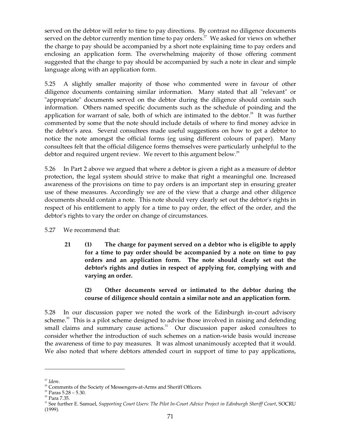served on the debtor will refer to time to pay directions. By contrast no diligence documents served on the debtor currently mention time to pay orders.<sup>27</sup> We asked for views on whether the charge to pay should be accompanied by a short note explaining time to pay orders and enclosing an application form. The overwhelming majority of those offering comment suggested that the charge to pay should be accompanied by such a note in clear and simple language along with an application form.

5.25 A slightly smaller majority of those who commented were in favour of other diligence documents containing similar information. Many stated that all "relevant" or "appropriate" documents served on the debtor during the diligence should contain such information. Others named specific documents such as the schedule of poinding and the application for warrant of sale, both of which are intimated to the debtor. $38$  It was further commented by some that the note should include details of where to find money advice in the debtor's area. Several consultees made useful suggestions on how to get a debtor to notice the note amongst the official forms (eg using different colours of paper). Many consultees felt that the official diligence forms themselves were particularly unhelpful to the debtor and required urgent review. We revert to this argument below.<sup>29</sup>

5.26 In Part 2 above we argued that where a debtor is given a right as a measure of debtor protection, the legal system should strive to make that right a meaningful one. Increased awareness of the provisions on time to pay orders is an important step in ensuring greater use of these measures. Accordingly we are of the view that a charge and other diligence documents should contain a note. This note should very clearly set out the debtor's rights in respect of his entitlement to apply for a time to pay order, the effect of the order, and the debtor's rights to vary the order on change of circumstances.

5.27 We recommend that:

**21 (1) The charge for payment served on a debtor who is eligible to apply for a time to pay order should be accompanied by a note on time to pay orders and an application form. The note should clearly set out the debtor's rights and duties in respect of applying for, complying with and varying an order.** 

# **(2) Other documents served or intimated to the debtor during the course of diligence should contain a similar note and an application form.**

5.28 In our discussion paper we noted the work of the Edinburgh in-court advisory scheme.<sup>30</sup> This is a pilot scheme designed to advise those involved in raising and defending small claims and summary cause actions.<sup>31</sup> Our discussion paper asked consultees to consider whether the introduction of such schemes on a nation-wide basis would increase the awareness of time to pay measures. It was almost unanimously accepted that it would. We also noted that where debtors attended court in support of time to pay applications,

<sup>&</sup>lt;sup>27</sup> Idem.<br><sup>28</sup> Comments of the Society of Messengers-at-Arms and Sheriff Officers.

 $29$  Paras  $5.28 - 5.30$ .

<sup>30</sup> Para 7.35.

<sup>&</sup>lt;sup>31</sup> See further E. Samuel, *Supporting Court Users: The Pilot In-Court Advice Project in Edinburgh Sheriff Court, SOCRU* (1999).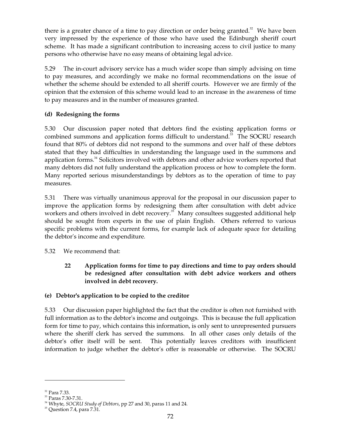there is a greater chance of a time to pay direction or order being granted. $32$  We have been very impressed by the experience of those who have used the Edinburgh sheriff court scheme. It has made a significant contribution to increasing access to civil justice to many persons who otherwise have no easy means of obtaining legal advice.

5.29 The in-court advisory service has a much wider scope than simply advising on time to pay measures, and accordingly we make no formal recommendations on the issue of whether the scheme should be extended to all sheriff courts. However we are firmly of the opinion that the extension of this scheme would lead to an increase in the awareness of time to pay measures and in the number of measures granted.

# **(d) Redesigning the forms**

5.30 Our discussion paper noted that debtors find the existing application forms or combined summons and application forms difficult to understand.<sup>33</sup> The SOCRU research found that 80% of debtors did not respond to the summons and over half of these debtors stated that they had difficulties in understanding the language used in the summons and application forms.<sup>34</sup> Solicitors involved with debtors and other advice workers reported that many debtors did not fully understand the application process or how to complete the form. Many reported serious misunderstandings by debtors as to the operation of time to pay measures.

5.31 There was virtually unanimous approval for the proposal in our discussion paper to improve the application forms by redesigning them after consultation with debt advice workers and others involved in debt recovery.<sup>35</sup> Many consultees suggested additional help should be sought from experts in the use of plain English. Others referred to various specific problems with the current forms, for example lack of adequate space for detailing the debtor's income and expenditure.

5.32 We recommend that:

**22 Application forms for time to pay directions and time to pay orders should be redesigned after consultation with debt advice workers and others involved in debt recovery.** 

# **(e) Debtor's application to be copied to the creditor**

5.33 Our discussion paper highlighted the fact that the creditor is often not furnished with full information as to the debtor's income and outgoings. This is because the full application form for time to pay, which contains this information, is only sent to unrepresented pursuers where the sheriff clerk has served the summons. In all other cases only details of the debtor's offer itself will be sent. This potentially leaves creditors with insufficient information to judge whether the debtor's offer is reasonable or otherwise. The SOCRU

<sup>&</sup>lt;sup>32</sup> Para 7.33.

<sup>33</sup> Paras 7.30-7.31.

<sup>34</sup> Whyte, *SOCRU Study of Debtors*, pp 27 and 30, paras 11 and 24.

 $35$  Question 7.4, para  $7.\overline{3}1.$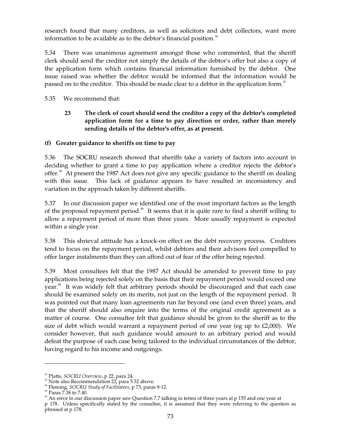research found that many creditors, as well as solicitors and debt collectors, want more information to be available as to the debtor's financial position. $36$ 

5.34 There was unanimous agreement amongst those who commented, that the sheriff clerk should send the creditor not simply the details of the debtor's offer but also a copy of the application form which contains financial information furnished by the debtor. One issue raised was whether the debtor would be informed that the information would be passed on to the creditor. This should be made clear to a debtor in the application form.<sup>37</sup>

5.35 We recommend that:

# **23 The clerk of court should send the creditor a copy of the debtor's completed application form for a time to pay direction or order, rather than merely sending details of the debtor's offer, as at present.**

## **(f) Greater guidance to sheriffs on time to pay**

5.36 The SOCRU research showed that sheriffs take a variety of factors into account in deciding whether to grant a time to pay application where a creditor rejects the debtor's offer.<sup>38</sup> At present the 1987 Act does not give any specific guidance to the sheriff on dealing with this issue. This lack of guidance appears to have resulted in inconsistency and variation in the approach taken by different sheriffs.

5.37 In our discussion paper we identified one of the most important factors as the length of the proposed repayment period.<sup>39</sup> It seems that it is quite rare to find a sheriff willing to allow a repayment period of more than three years. More usually repayment is expected within a single year.

5.38 This shrieval attitude has a knock-on effect on the debt recovery process. Creditors tend to focus on the repayment period, whilst debtors and their advisors feel compelled to offer larger instalments than they can afford out of fear of the offer being rejected.

5.39 Most consultees felt that the 1987 Act should be amended to prevent time to pay applications being rejected solely on the basis that their repayment period would exceed one year.<sup>40</sup> It was widely felt that arbitrary periods should be discouraged and that each case should be examined solely on its merits, not just on the length of the repayment period. It was pointed out that many loan agreements run far beyond one (and even three) years, and that the sheriff should also enquire into the terms of the original credit agreement as a matter of course. One consultee felt that guidance should be given to the sheriff as to the size of debt which would warrant a repayment period of one year (eg up to £2,000). We consider however, that such guidance would amount to an arbitrary period and would defeat the purpose of each case being tailored to the individual circumstances of the debtor, having regard to his income and outgoings.

<sup>&</sup>lt;sup>36</sup> Platts*, SOCRU Overview,* p 22, para 24.<br><sup>37</sup> Note also Recommendation 22, para 5.32 above.

<sup>38</sup> Fleming, *SOCRU Study of Facilitators*, p 73, paras 9-12.

<sup>39</sup> Paras 7.38 to 7.40.

 $40$  An error in our discussion paper saw Question 7.7 talking in terms of three years at p 155 and one year at p 178. Unless specifically stated by the consultee, it is assumed that they were referring to the question as phrased at p 178.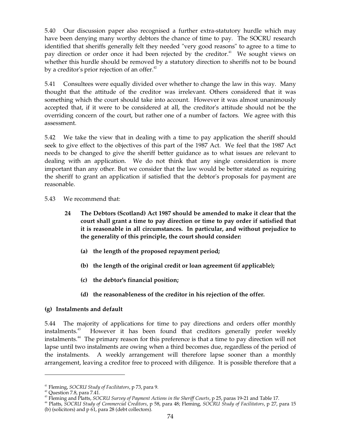5.40 Our discussion paper also recognised a further extra-statutory hurdle which may have been denying many worthy debtors the chance of time to pay. The SOCRU research identified that sheriffs generally felt they needed "very good reasons" to agree to a time to pay direction or order once it had been rejected by the creditor.<sup>41</sup> We sought views on whether this hurdle should be removed by a statutory direction to sheriffs not to be bound by a creditor's prior rejection of an offer.<sup>42</sup>

5.41 Consultees were equally divided over whether to change the law in this way. Many thought that the attitude of the creditor was irrelevant. Others considered that it was something which the court should take into account. However it was almost unanimously accepted that, if it were to be considered at all, the creditor's attitude should not be the overriding concern of the court, but rather one of a number of factors. We agree with this assessment.

5.42 We take the view that in dealing with a time to pay application the sheriff should seek to give effect to the objectives of this part of the 1987 Act. We feel that the 1987 Act needs to be changed to give the sheriff better guidance as to what issues are relevant to dealing with an application. We do not think that any single consideration is more important than any other. But we consider that the law would be better stated as requiring the sheriff to grant an application if satisfied that the debtor's proposals for payment are reasonable.

5.43 We recommend that:

- **24 The Debtors (Scotland) Act 1987 should be amended to make it clear that the court shall grant a time to pay direction or time to pay order if satisfied that it is reasonable in all circumstances. In particular, and without prejudice to the generality of this principle, the court should consider:** 
	- **(a) the length of the proposed repayment period;**
	- **(b) the length of the original credit or loan agreement (if applicable);**
	- **(c) the debtor's financial position;**
	- **(d) the reasonableness of the creditor in his rejection of the offer.**

# **(g) Instalments and default**

5.44 The majority of applications for time to pay directions and orders offer monthly instalments. However it has been found that creditors generally prefer weekly instalments. 44 The primary reason for this preference is that a time to pay direction will not lapse until two instalments are owing when a third becomes due, regardless of the period of the instalments. A weekly arrangement will therefore lapse sooner than a monthly arrangement, leaving a creditor free to proceed with diligence. It is possible therefore that a

<sup>41</sup> Fleming, *SOCRU Study of Facilitators*, p 73, para 9.

 $42$  Question 7.8, para 7.41.

<sup>&</sup>lt;sup>43</sup> Fleming and Platts, SOCRU S*urvey of Payment Actions in the Sheriff Courts,* p 25, paras 19-21 and Table 17.<br><sup>44</sup> Platts, SOCRU Study of Commercial Creditors, p 58, para 48; Fleming, SOCRU Study of Facilitators, p 27,

<sup>(</sup>b) (solicitors) and p 61, para 28 (debt collectors).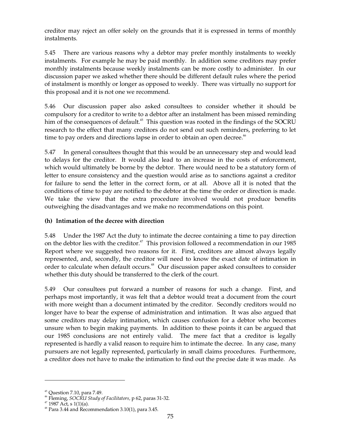creditor may reject an offer solely on the grounds that it is expressed in terms of monthly instalments.

5.45 There are various reasons why a debtor may prefer monthly instalments to weekly instalments. For example he may be paid monthly. In addition some creditors may prefer monthly instalments because weekly instalments can be more costly to administer. In our discussion paper we asked whether there should be different default rules where the period of instalment is monthly or longer as opposed to weekly. There was virtually no support for this proposal and it is not one we recommend.

5.46 Our discussion paper also asked consultees to consider whether it should be compulsory for a creditor to write to a debtor after an instalment has been missed reminding him of the consequences of default.<sup>45</sup> This question was rooted in the findings of the SOCRU research to the effect that many creditors do not send out such reminders, preferring to let time to pay orders and directions lapse in order to obtain an open decree.<sup>46</sup>

5.47 In general consultees thought that this would be an unnecessary step and would lead to delays for the creditor. It would also lead to an increase in the costs of enforcement, which would ultimately be borne by the debtor. There would need to be a statutory form of letter to ensure consistency and the question would arise as to sanctions against a creditor for failure to send the letter in the correct form, or at all. Above all it is noted that the conditions of time to pay are notified to the debtor at the time the order or direction is made. We take the view that the extra procedure involved would not produce benefits outweighing the disadvantages and we make no recommendations on this point.

# **(h) Intimation of the decree with direction**

5.48 Under the 1987 Act the duty to intimate the decree containing a time to pay direction on the debtor lies with the creditor.<sup>47</sup> This provision followed a recommendation in our 1985 Report where we suggested two reasons for it. First, creditors are almost always legally represented, and, secondly, the creditor will need to know the exact date of intimation in order to calculate when default occurs.<sup>48</sup> Our discussion paper asked consultees to consider whether this duty should be transferred to the clerk of the court.

5.49 Our consultees put forward a number of reasons for such a change. First, and perhaps most importantly, it was felt that a debtor would treat a document from the court with more weight than a document intimated by the creditor. Secondly creditors would no longer have to bear the expense of administration and intimation. It was also argued that some creditors may delay intimation, which causes confusion for a debtor who becomes unsure when to begin making payments. In addition to these points it can be argued that our 1985 conclusions are not entirely valid. The mere fact that a creditor is legally represented is hardly a valid reason to require him to intimate the decree. In any case, many pursuers are not legally represented, particularly in small claims procedures. Furthermore, a creditor does not have to make the intimation to find out the precise date it was made. As

<sup>&</sup>lt;sup>45</sup> Question 7.10, para 7.49.<br><sup>46</sup> Fleming, *SOCRU Study of Facilitators,* p 62, paras 31-32.<br><sup>47</sup> 1987 Act, s 1(1)(a).

 $48$  Para 3.44 and Recommendation 3.10(1), para 3.45.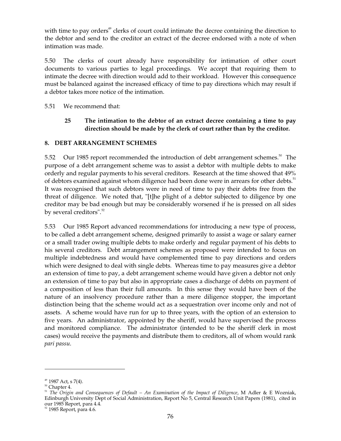with time to pay orders<sup>49</sup> clerks of court could intimate the decree containing the direction to the debtor and send to the creditor an extract of the decree endorsed with a note of when intimation was made.

5.50 The clerks of court already have responsibility for intimation of other court documents to various parties to legal proceedings. We accept that requiring them to intimate the decree with direction would add to their workload. However this consequence must be balanced against the increased efficacy of time to pay directions which may result if a debtor takes more notice of the intimation.

5.51 We recommend that:

# **25 The intimation to the debtor of an extract decree containing a time to pay direction should be made by the clerk of court rather than by the creditor.**

## **8. DEBT ARRANGEMENT SCHEMES**

5.52 Our 1985 report recommended the introduction of debt arrangement schemes.<sup>50</sup> The purpose of a debt arrangement scheme was to assist a debtor with multiple debts to make orderly and regular payments to his several creditors. Research at the time showed that 49% of debtors examined against whom diligence had been done were in arrears for other debts.<sup>51</sup> It was recognised that such debtors were in need of time to pay their debts free from the threat of diligence. We noted that, "[t]he plight of a debtor subjected to diligence by one creditor may be bad enough but may be considerably worsened if he is pressed on all sides by several creditors".<sup>52</sup>

5.53 Our 1985 Report advanced recommendations for introducing a new type of process, to be called a debt arrangement scheme, designed primarily to assist a wage or salary earner or a small trader owing multiple debts to make orderly and regular payment of his debts to his several creditors. Debt arrangement schemes as proposed were intended to focus on multiple indebtedness and would have complemented time to pay directions and orders which were designed to deal with single debts. Whereas time to pay measures give a debtor an extension of time to pay, a debt arrangement scheme would have given a debtor not only an extension of time to pay but also in appropriate cases a discharge of debts on payment of a composition of less than their full amounts. In this sense they would have been of the nature of an insolvency procedure rather than a mere diligence stopper, the important distinction being that the scheme would act as a sequestration over income only and not of assets. A scheme would have run for up to three years, with the option of an extension to five years. An administrator, appointed by the sheriff, would have supervised the process and monitored compliance. The administrator (intended to be the sheriff clerk in most cases) would receive the payments and distribute them to creditors, all of whom would rank *pari passu*.

<sup>&</sup>lt;sup>49</sup> 1987 Act, s 7(4).<br><sup>50</sup> Chapter 4.<br><sup>51</sup> *The Origin and Consequences of Default – An Examination of the Impact of Diligence, M Adler & E Wozniak,* Edinburgh University Dept of Social Administration, Report No 5, Central Research Unit Papers (1981), cited in<br>our 1985 Report, para 4.4.

<sup>&</sup>lt;sup>52</sup> 1985 Report, para 4.6.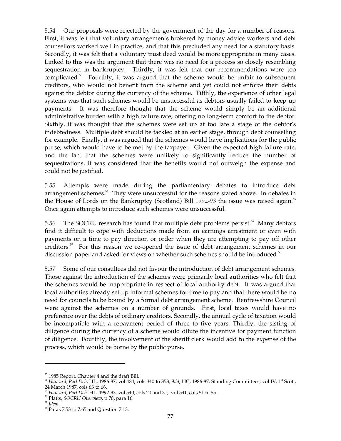5.54 Our proposals were rejected by the government of the day for a number of reasons. First, it was felt that voluntary arrangements brokered by money advice workers and debt counsellors worked well in practice, and that this precluded any need for a statutory basis. Secondly, it was felt that a voluntary trust deed would be more appropriate in many cases. Linked to this was the argument that there was no need for a process so closely resembling sequestration in bankruptcy. Thirdly, it was felt that our recommendations were too complicated. 53 Fourthly, it was argued that the scheme would be unfair to subsequent creditors, who would not benefit from the scheme and yet could not enforce their debts against the debtor during the currency of the scheme. Fifthly, the experience of other legal systems was that such schemes would be unsuccessful as debtors usually failed to keep up payments. It was therefore thought that the scheme would simply be an additional administrative burden with a high failure rate, offering no long-term comfort to the debtor. Sixthly, it was thought that the schemes were set up at too late a stage of the debtor's indebtedness. Multiple debt should be tackled at an earlier stage, through debt counselling for example. Finally, it was argued that the schemes would have implications for the public purse, which would have to be met by the taxpayer. Given the expected high failure rate, and the fact that the schemes were unlikely to significantly reduce the number of sequestrations, it was considered that the benefits would not outweigh the expense and could not be justified.

5.55 Attempts were made during the parliamentary debates to introduce debt arrangement schemes.<sup>54</sup> They were unsuccessful for the reasons stated above. In debates in the House of Lords on the Bankruptcy (Scotland) Bill 1992-93 the issue was raised again.<sup>55</sup> Once again attempts to introduce such schemes were unsuccessful.

5.56 The SOCRU research has found that multiple debt problems persist.<sup>56</sup> Many debtors find it difficult to cope with deductions made from an earnings arrestment or even with payments on a time to pay direction or order when they are attempting to pay off other creditors.<sup>57</sup> For this reason we re-opened the issue of debt arrangement schemes in our discussion paper and asked for views on whether such schemes should be introduced.<sup>58</sup>

5.57 Some of our consultees did not favour the introduction of debt arrangement schemes. Those against the introduction of the schemes were primarily local authorities who felt that the schemes would be inappropriate in respect of local authority debt. It was argued that local authorities already set up informal schemes for time to pay and that there would be no need for councils to be bound by a formal debt arrangement scheme. Renfrewshire Council were against the schemes on a number of grounds. First, local taxes would have no preference over the debts of ordinary creditors. Secondly, the annual cycle of taxation would be incompatible with a repayment period of three to five years. Thirdly, the sisting of diligence during the currency of a scheme would dilute the incentive for payment function of diligence. Fourthly, the involvement of the sheriff clerk would add to the expense of the process, which would be borne by the public purse.

<sup>&</sup>lt;sup>53</sup> 1985 Report, Chapter 4 and the draft Bill.<br><sup>54</sup> *Hansard, Parl Deb,* HL, 1986-87, vol 484, cols 340 to 353; *ibid,* HC, 1986-87, Standing Committees, vol IV, 1<sup>st</sup> Scot.,<br>24 March 1987, cols 63 to 66.

<sup>&</sup>lt;sup>55</sup> Hansard, Parl Deb, HL, 1992-93, vol 540, cols 20 and 31; vol 541, cols 51 to 55.<br><sup>56</sup> Platts, SOCRU Overview, p 70, para 16.<br><sup>57</sup> Idem.<br><sup>58</sup> Paras 7.53 to 7.65 and Question 7.13.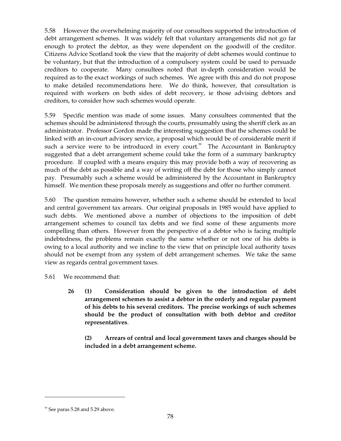5.58 However the overwhelming majority of our consultees supported the introduction of debt arrangement schemes. It was widely felt that voluntary arrangements did not go far enough to protect the debtor, as they were dependent on the goodwill of the creditor. Citizens Advice Scotland took the view that the majority of debt schemes would continue to be voluntary, but that the introduction of a compulsory system could be used to persuade creditors to cooperate. Many consultees noted that in-depth consideration would be required as to the exact workings of such schemes. We agree with this and do not propose to make detailed recommendations here. We do think, however, that consultation is required with workers on both sides of debt recovery, ie those advising debtors and creditors, to consider how such schemes would operate.

5.59 Specific mention was made of some issues. Many consultees commented that the schemes should be administered through the courts, presumably using the sheriff clerk as an administrator. Professor Gordon made the interesting suggestion that the schemes could be linked with an in-court advisory service, a proposal which would be of considerable merit if such a service were to be introduced in every court.<sup>59</sup> The Accountant in Bankruptcy suggested that a debt arrangement scheme could take the form of a summary bankruptcy procedure. If coupled with a means enquiry this may provide both a way of recovering as much of the debt as possible and a way of writing off the debt for those who simply cannot pay. Presumably such a scheme would be administered by the Accountant in Bankruptcy himself. We mention these proposals merely as suggestions and offer no further comment.

5.60 The question remains however, whether such a scheme should be extended to local and central government tax arrears. Our original proposals in 1985 would have applied to such debts. We mentioned above a number of objections to the imposition of debt arrangement schemes to council tax debts and we find some of these arguments more compelling than others. However from the perspective of a debtor who is facing multiple indebtedness, the problems remain exactly the same whether or not one of his debts is owing to a local authority and we incline to the view that on principle local authority taxes should not be exempt from any system of debt arrangement schemes. We take the same view as regards central government taxes.

- 5.61 We recommend that:
	- **26 (1) Consideration should be given to the introduction of debt arrangement schemes to assist a debtor in the orderly and regular payment of his debts to his several creditors. The precise workings of such schemes should be the product of consultation with both debtor and creditor representatives**.

**(2) Arrears of central and local government taxes and charges should be included in a debt arrangement scheme.** 

<sup>&</sup>lt;sup>59</sup> See paras 5.28 and 5.29 above.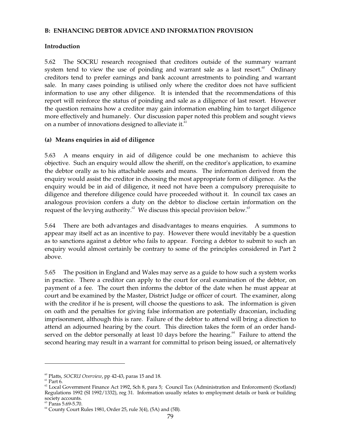## **B: ENHANCING DEBTOR ADVICE AND INFORMATION PROVISION**

## **Introduction**

5.62 The SOCRU research recognised that creditors outside of the summary warrant system tend to view the use of poinding and warrant sale as a last resort.<sup>60</sup> Ordinary creditors tend to prefer earnings and bank account arrestments to poinding and warrant sale. In many cases poinding is utilised only where the creditor does not have sufficient information to use any other diligence. It is intended that the recommendations of this report will reinforce the status of poinding and sale as a diligence of last resort. However the question remains how a creditor may gain information enabling him to target diligence more effectively and humanely. Our discussion paper noted this problem and sought views on a number of innovations designed to alleviate it.<sup>61</sup>

## **(a) Means enquiries in aid of diligence**

5.63 A means enquiry in aid of diligence could be one mechanism to achieve this objective. Such an enquiry would allow the sheriff, on the creditor's application, to examine the debtor orally as to his attachable assets and means. The information derived from the enquiry would assist the creditor in choosing the most appropriate form of diligence. As the enquiry would be in aid of diligence, it need not have been a compulsory prerequisite to diligence and therefore diligence could have proceeded without it. In council tax cases an analogous provision confers a duty on the debtor to disclose certain information on the request of the levying authority.<sup>62</sup> We discuss this special provision below.<sup>63</sup>

5.64 There are both advantages and disadvantages to means enquiries. A summons to appear may itself act as an incentive to pay. However there would inevitably be a question as to sanctions against a debtor who fails to appear. Forcing a debtor to submit to such an enquiry would almost certainly be contrary to some of the principles considered in Part 2 above.

5.65 The position in England and Wales may serve as a guide to how such a system works in practice. There a creditor can apply to the court for oral examination of the debtor, on payment of a fee. The court then informs the debtor of the date when he must appear at court and be examined by the Master, District Judge or officer of court. The examiner, along with the creditor if he is present, will choose the questions to ask. The information is given on oath and the penalties for giving false information are potentially draconian, including imprisonment, although this is rare. Failure of the debtor to attend will bring a direction to attend an adjourned hearing by the court. This direction takes the form of an order handserved on the debtor personally at least 10 days before the hearing.<sup>64</sup> Failure to attend the second hearing may result in a warrant for committal to prison being issued, or alternatively

<sup>&</sup>lt;sup>60</sup> Platts, *SOCRU Overview,* pp 42-43, paras 15 and 18.<br><sup>61</sup> Part 6.<br><sup>62</sup> Local Government Finance Act 1992, Sch 8, para 5; Council Tax (Administration and Enforcement) (Scotland) Regulations 1992 (SI 1992/1332), reg 31. Information usually relates to employment details or bank or building society accounts.<br><sup>69</sup> Paras 5.69-5.70.

 $<sup>64</sup>$  County Court Rules 1981, Order 25, rule 3(4), (5A) and (5B).</sup>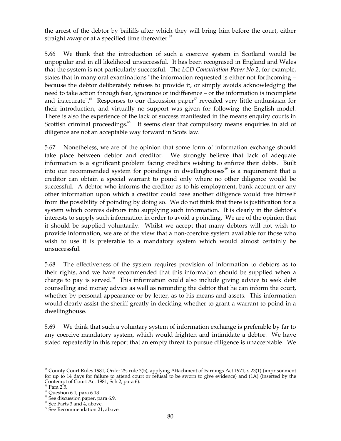the arrest of the debtor by bailiffs after which they will bring him before the court, either straight away or at a specified time thereafter.<sup>65</sup>

5.66 We think that the introduction of such a coercive system in Scotland would be unpopular and in all likelihood unsuccessful. It has been recognised in England and Wales that the system is not particularly successful. The *LCD Consultation Paper No 2*, for example, states that in many oral examinations "the information requested is either not forthcoming – because the debtor deliberately refuses to provide it, or simply avoids acknowledging the need to take action through fear, ignorance or indifference – or the information is incomplete and inaccurate".<sup>66</sup> Responses to our discussion paper<sup>67</sup> revealed very little enthusiasm for their introduction, and virtually no support was given for following the English model. There is also the experience of the lack of success manifested in the means enquiry courts in Scottish criminal proceedings.<sup>68</sup> It seems clear that compulsory means enquiries in aid of diligence are not an acceptable way forward in Scots law.

5.67 Nonetheless, we are of the opinion that some form of information exchange should take place between debtor and creditor. We strongly believe that lack of adequate information is a significant problem facing creditors wishing to enforce their debts. Built into our recommended system for poindings in dwellinghouses<sup>69</sup> is a requirement that a creditor can obtain a special warrant to poind only where no other diligence would be successful. A debtor who informs the creditor as to his employment, bank account or any other information upon which a creditor could base another diligence would free himself from the possibility of poinding by doing so. We do not think that there is justification for a system which coerces debtors into supplying such information. It is clearly in the debtor's interests to supply such information in order to avoid a poinding. We are of the opinion that it should be supplied voluntarily. Whilst we accept that many debtors will not wish to provide information, we are of the view that a non-coercive system available for those who wish to use it is preferable to a mandatory system which would almost certainly be unsuccessful.

5.68 The effectiveness of the system requires provision of information to debtors as to their rights, and we have recommended that this information should be supplied when a charge to pay is served.<sup>70</sup> This information could also include giving advice to seek debt counselling and money advice as well as reminding the debtor that he can inform the court, whether by personal appearance or by letter, as to his means and assets. This information would clearly assist the sheriff greatly in deciding whether to grant a warrant to poind in a dwellinghouse.

5.69 We think that such a voluntary system of information exchange is preferable by far to any coercive mandatory system, which would frighten and intimidate a debtor. We have stated repeatedly in this report that an empty threat to pursue diligence is unacceptable. We

 $65$  County Court Rules 1981, Order 25, rule 3(5), applying Attachment of Earnings Act 1971, s 23(1) (imprisonment for up to 14 days for failure to attend court or refusal to be sworn to give evidence) and (1A) (inserted by the Contempt of Court Act 1981, Sch 2, para 6). 66 Para 2.5.

 $67$  Question 6.1, para 6.13.

<sup>&</sup>lt;sup>68</sup> See discussion paper, para 6.9.

<sup>69</sup> See Parts 3 and 4, above.

 $70$  See Recommendation 21, above.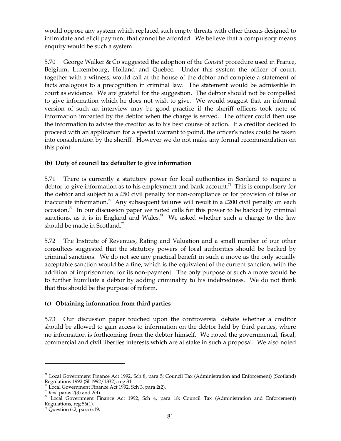would oppose any system which replaced such empty threats with other threats designed to intimidate and elicit payment that cannot be afforded. We believe that a compulsory means enquiry would be such a system.

5.70 George Walker & Co suggested the adoption of the *Constat* procedure used in France, Belgium, Luxembourg, Holland and Quebec. Under this system the officer of court, together with a witness, would call at the house of the debtor and complete a statement of facts analogous to a precognition in criminal law. The statement would be admissible in court as evidence. We are grateful for the suggestion. The debtor should not be compelled to give information which he does not wish to give. We would suggest that an informal version of such an interview may be good practice if the sheriff officers took note of information imparted by the debtor when the charge is served. The officer could then use the information to advise the creditor as to his best course of action. If a creditor decided to proceed with an application for a special warrant to poind, the officer's notes could be taken into consideration by the sheriff. However we do not make any formal recommendation on this point.

# **(b) Duty of council tax defaulter to give information**

5.71 There is currently a statutory power for local authorities in Scotland to require a debtor to give information as to his employment and bank account.<sup>71</sup> This is compulsory for the debtor and subject to a £50 civil penalty for non-compliance or for provision of false or inaccurate information.<sup>72</sup> Any subsequent failures will result in a £200 civil penalty on each occasion.<sup>73</sup> In our discussion paper we noted calls for this power to be backed by criminal sanctions, as it is in England and Wales.<sup>74</sup> We asked whether such a change to the law should be made in Scotland. 75

5.72 The Institute of Revenues, Rating and Valuation and a small number of our other consultees suggested that the statutory powers of local authorities should be backed by criminal sanctions. We do not see any practical benefit in such a move as the only socially acceptable sanction would be a fine, which is the equivalent of the current sanction, with the addition of imprisonment for its non-payment. The only purpose of such a move would be to further humiliate a debtor by adding criminality to his indebtedness. We do not think that this should be the purpose of reform.

# **(c) Obtaining information from third parties**

5.73 Our discussion paper touched upon the controversial debate whether a creditor should be allowed to gain access to information on the debtor held by third parties, where no information is forthcoming from the debtor himself. We noted the governmental, fiscal, commercial and civil liberties interests which are at stake in such a proposal. We also noted

<sup>&</sup>lt;sup>71</sup> Local Government Finance Act 1992, Sch 8, para 5; Council Tax (Administration and Enforcement) (Scotland) Regulations 1992 (SI 1992/1332), reg 31.<br><sup>72</sup> Local Government Finance Act 1992, Sch 3, para 2(2).

<sup>&</sup>lt;sup>73</sup> *Ibid*, paras 2(3) and 2(4).<br><sup>74</sup> Local Government Finance Act 1992, Sch 4, para 18; Council Tax (Administration and Enforcement) Regulations, reg 56(1).<br><sup>75</sup> Question 6.2, para 6.19.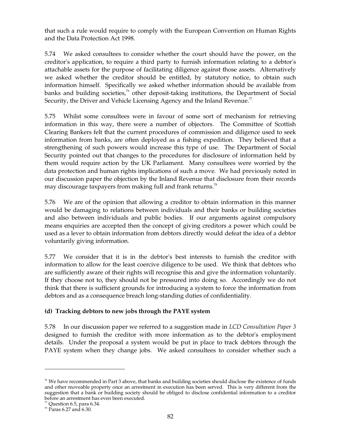that such a rule would require to comply with the European Convention on Human Rights and the Data Protection Act 1998.

5.74 We asked consultees to consider whether the court should have the power, on the creditor's application, to require a third party to furnish information relating to a debtor's attachable assets for the purpose of facilitating diligence against those assets. Alternatively we asked whether the creditor should be entitled, by statutory notice, to obtain such information himself. Specifically we asked whether information should be available from banks and building societies,<sup>76</sup> other deposit-taking institutions, the Department of Social Security, the Driver and Vehicle Licensing Agency and the Inland Revenue. $77$ 

5.75 Whilst some consultees were in favour of some sort of mechanism for retrieving information in this way, there were a number of objectors. The Committee of Scottish Clearing Bankers felt that the current procedures of commission and diligence used to seek information from banks, are often deployed as a fishing expedition. They believed that a strengthening of such powers would increase this type of use. The Department of Social Security pointed out that changes to the procedures for disclosure of information held by them would require action by the UK Parliament. Many consultees were worried by the data protection and human rights implications of such a move. We had previously noted in our discussion paper the objection by the Inland Revenue that disclosure from their records may discourage taxpayers from making full and frank returns. $^{78}$ 

5.76 We are of the opinion that allowing a creditor to obtain information in this manner would be damaging to relations between individuals and their banks or building societies and also between individuals and public bodies. If our arguments against compulsory means enquiries are accepted then the concept of giving creditors a power which could be used as a lever to obtain information from debtors directly would defeat the idea of a debtor voluntarily giving information.

5.77 We consider that it is in the debtor's best interests to furnish the creditor with information to allow for the least coercive diligence to be used. We think that debtors who are sufficiently aware of their rights will recognise this and give the information voluntarily. If they choose not to, they should not be pressured into doing so. Accordingly we do not think that there is sufficient grounds for introducing a system to force the information from debtors and as a consequence breach long-standing duties of confidentiality.

# **(d) Tracking debtors to new jobs through the PAYE system**

5.78 In our discussion paper we referred to a suggestion made in *LCD Consultation Paper 3*  designed to furnish the creditor with more information as to the debtor's employment details. Under the proposal a system would be put in place to track debtors through the PAYE system when they change jobs. We asked consultees to consider whether such a

 $76$  We have recommended in Part 3 above, that banks and building societies should disclose the existence of funds and other moveable property once an arrestment in execution has been served. This is very different from the suggestion that a bank or building society should be obliged to disclose confidential information to a creditor before an arrestment has even been executed.

 $^{77}$  Question 6.5, para 6.34.

 $^{78}$  Paras 6.27 and 6.30.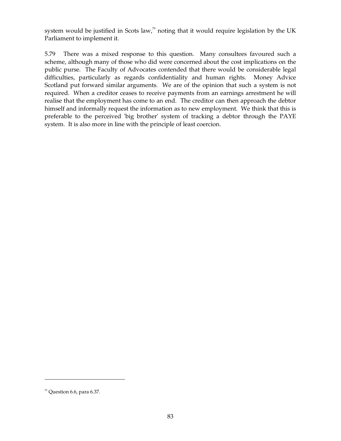system would be justified in Scots law,<sup>79</sup> noting that it would require legislation by the UK Parliament to implement it.

5.79 There was a mixed response to this question. Many consultees favoured such a scheme, although many of those who did were concerned about the cost implications on the public purse. The Faculty of Advocates contended that there would be considerable legal difficulties, particularly as regards confidentiality and human rights. Money Advice Scotland put forward similar arguments. We are of the opinion that such a system is not required. When a creditor ceases to receive payments from an earnings arrestment he will realise that the employment has come to an end. The creditor can then approach the debtor himself and informally request the information as to new employment. We think that this is preferable to the perceived 'big brother' system of tracking a debtor through the PAYE system. It is also more in line with the principle of least coercion.

 $79$  Question 6.6, para 6.37.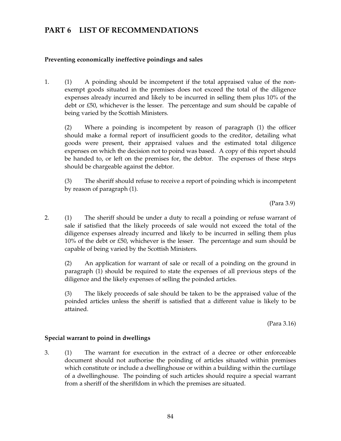# **PART 6 LIST OF RECOMMENDATIONS**

## **Preventing economically ineffective poindings and sales**

1. (1) A poinding should be incompetent if the total appraised value of the nonexempt goods situated in the premises does not exceed the total of the diligence expenses already incurred and likely to be incurred in selling them plus 10% of the debt or £50, whichever is the lesser. The percentage and sum should be capable of being varied by the Scottish Ministers.

(2) Where a poinding is incompetent by reason of paragraph (1) the officer should make a formal report of insufficient goods to the creditor, detailing what goods were present, their appraised values and the estimated total diligence expenses on which the decision not to poind was based. A copy of this report should be handed to, or left on the premises for, the debtor. The expenses of these steps should be chargeable against the debtor.

(3) The sheriff should refuse to receive a report of poinding which is incompetent by reason of paragraph (1).

(Para 3.9)

2. (1) The sheriff should be under a duty to recall a poinding or refuse warrant of sale if satisfied that the likely proceeds of sale would not exceed the total of the diligence expenses already incurred and likely to be incurred in selling them plus 10% of the debt or £50, whichever is the lesser. The percentage and sum should be capable of being varied by the Scottish Ministers.

(2) An application for warrant of sale or recall of a poinding on the ground in paragraph (1) should be required to state the expenses of all previous steps of the diligence and the likely expenses of selling the poinded articles.

(3) The likely proceeds of sale should be taken to be the appraised value of the poinded articles unless the sheriff is satisfied that a different value is likely to be attained.

(Para 3.16)

## **Special warrant to poind in dwellings**

3. (1) The warrant for execution in the extract of a decree or other enforceable document should not authorise the poinding of articles situated within premises which constitute or include a dwellinghouse or within a building within the curtilage of a dwellinghouse. The poinding of such articles should require a special warrant from a sheriff of the sheriffdom in which the premises are situated.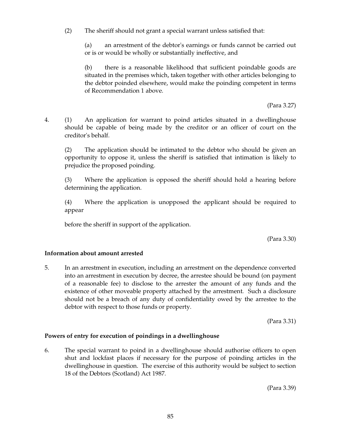(2) The sheriff should not grant a special warrant unless satisfied that:

(a) an arrestment of the debtor's earnings or funds cannot be carried out or is or would be wholly or substantially ineffective, and

(b) there is a reasonable likelihood that sufficient poindable goods are situated in the premises which, taken together with other articles belonging to the debtor poinded elsewhere, would make the poinding competent in terms of Recommendation 1 above.

(Para 3.27)

4. (1) An application for warrant to poind articles situated in a dwellinghouse should be capable of being made by the creditor or an officer of court on the creditor's behalf.

(2) The application should be intimated to the debtor who should be given an opportunity to oppose it, unless the sheriff is satisfied that intimation is likely to prejudice the proposed poinding.

(3) Where the application is opposed the sheriff should hold a hearing before determining the application.

(4) Where the application is unopposed the applicant should be required to appear

before the sheriff in support of the application.

(Para 3.30)

## **Information about amount arrested**

5. In an arrestment in execution, including an arrestment on the dependence converted into an arrestment in execution by decree, the arrestee should be bound (on payment of a reasonable fee) to disclose to the arrester the amount of any funds and the existence of other moveable property attached by the arrestment. Such a disclosure should not be a breach of any duty of confidentiality owed by the arrestee to the debtor with respect to those funds or property.

(Para 3.31)

## **Powers of entry for execution of poindings in a dwellinghouse**

6. The special warrant to poind in a dwellinghouse should authorise officers to open shut and lockfast places if necessary for the purpose of poinding articles in the dwellinghouse in question. The exercise of this authority would be subject to section 18 of the Debtors (Scotland) Act 1987.

(Para 3.39)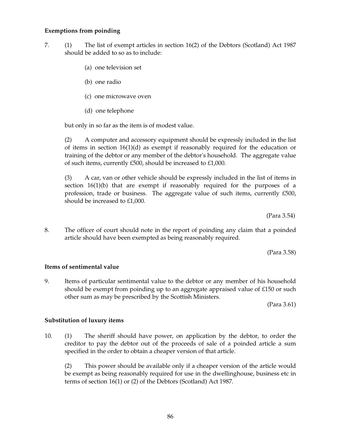### **Exemptions from poinding**

- 7. (1) The list of exempt articles in section 16(2) of the Debtors (Scotland) Act 1987 should be added to so as to include:
	- (a) one television set
	- (b) one radio
	- (c) one microwave oven
	- (d) one telephone

but only in so far as the item is of modest value.

(2) A computer and accessory equipment should be expressly included in the list of items in section  $16(1)(d)$  as exempt if reasonably required for the education or training of the debtor or any member of the debtor's household. The aggregate value of such items, currently £500, should be increased to £1,000.

(3) A car, van or other vehicle should be expressly included in the list of items in section  $16(1)(b)$  that are exempt if reasonably required for the purposes of a profession, trade or business. The aggregate value of such items, currently £500, should be increased to £1,000.

(Para 3.54)

8. The officer of court should note in the report of poinding any claim that a poinded article should have been exempted as being reasonably required.

(Para 3.58)

### **Items of sentimental value**

9. Items of particular sentimental value to the debtor or any member of his household should be exempt from poinding up to an aggregate appraised value of £150 or such other sum as may be prescribed by the Scottish Ministers.

(Para 3.61)

### **Substitution of luxury items**

10. (1) The sheriff should have power, on application by the debtor, to order the creditor to pay the debtor out of the proceeds of sale of a poinded article a sum specified in the order to obtain a cheaper version of that article.

(2) This power should be available only if a cheaper version of the article would be exempt as being reasonably required for use in the dwellinghouse, business etc in terms of section 16(1) or (2) of the Debtors (Scotland) Act 1987.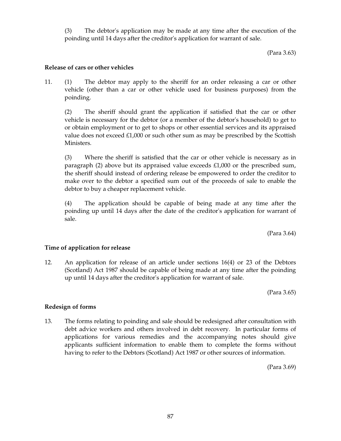(3) The debtor's application may be made at any time after the execution of the poinding until 14 days after the creditor's application for warrant of sale.

(Para 3.63)

## **Release of cars or other vehicles**

11. (1) The debtor may apply to the sheriff for an order releasing a car or other vehicle (other than a car or other vehicle used for business purposes) from the poinding.

(2) The sheriff should grant the application if satisfied that the car or other vehicle is necessary for the debtor (or a member of the debtor's household) to get to or obtain employment or to get to shops or other essential services and its appraised value does not exceed  $\pounds1,000$  or such other sum as may be prescribed by the Scottish Ministers.

(3) Where the sheriff is satisfied that the car or other vehicle is necessary as in paragraph (2) above but its appraised value exceeds  $£1,000$  or the prescribed sum, the sheriff should instead of ordering release be empowered to order the creditor to make over to the debtor a specified sum out of the proceeds of sale to enable the debtor to buy a cheaper replacement vehicle.

(4) The application should be capable of being made at any time after the poinding up until 14 days after the date of the creditor's application for warrant of sale.

(Para 3.64)

### **Time of application for release**

12. An application for release of an article under sections 16(4) or 23 of the Debtors (Scotland) Act 1987 should be capable of being made at any time after the poinding up until 14 days after the creditor's application for warrant of sale.

(Para 3.65)

### **Redesign of forms**

13. The forms relating to poinding and sale should be redesigned after consultation with debt advice workers and others involved in debt recovery. In particular forms of applications for various remedies and the accompanying notes should give applicants sufficient information to enable them to complete the forms without having to refer to the Debtors (Scotland) Act 1987 or other sources of information.

(Para 3.69)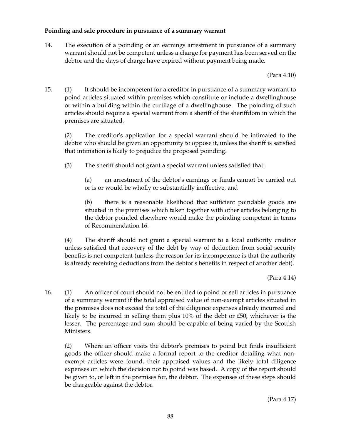## **Poinding and sale procedure in pursuance of a summary warrant**

14. The execution of a poinding or an earnings arrestment in pursuance of a summary warrant should not be competent unless a charge for payment has been served on the debtor and the days of charge have expired without payment being made.

(Para 4.10)

15. (1) It should be incompetent for a creditor in pursuance of a summary warrant to poind articles situated within premises which constitute or include a dwellinghouse or within a building within the curtilage of a dwellinghouse. The poinding of such articles should require a special warrant from a sheriff of the sheriffdom in which the premises are situated.

(2) The creditor's application for a special warrant should be intimated to the debtor who should be given an opportunity to oppose it, unless the sheriff is satisfied that intimation is likely to prejudice the proposed poinding.

(3) The sheriff should not grant a special warrant unless satisfied that:

(a) an arrestment of the debtor's earnings or funds cannot be carried out or is or would be wholly or substantially ineffective, and

(b) there is a reasonable likelihood that sufficient poindable goods are situated in the premises which taken together with other articles belonging to the debtor poinded elsewhere would make the poinding competent in terms of Recommendation 16.

(4) The sheriff should not grant a special warrant to a local authority creditor unless satisfied that recovery of the debt by way of deduction from social security benefits is not competent (unless the reason for its incompetence is that the authority is already receiving deductions from the debtor's benefits in respect of another debt).

(Para 4.14)

16. (1) An officer of court should not be entitled to poind or sell articles in pursuance of a summary warrant if the total appraised value of non-exempt articles situated in the premises does not exceed the total of the diligence expenses already incurred and likely to be incurred in selling them plus  $10\%$  of the debt or £50, whichever is the lesser. The percentage and sum should be capable of being varied by the Scottish Ministers.

(2) Where an officer visits the debtor's premises to poind but finds insufficient goods the officer should make a formal report to the creditor detailing what nonexempt articles were found, their appraised values and the likely total diligence expenses on which the decision not to poind was based. A copy of the report should be given to, or left in the premises for, the debtor. The expenses of these steps should be chargeable against the debtor.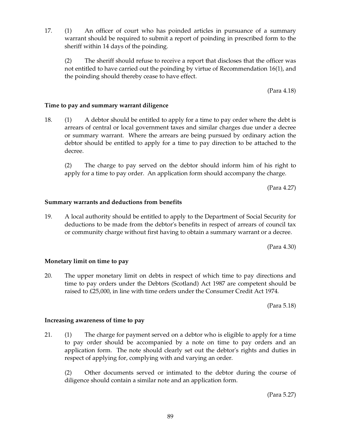17. (1) An officer of court who has poinded articles in pursuance of a summary warrant should be required to submit a report of poinding in prescribed form to the sheriff within 14 days of the poinding.

(2) The sheriff should refuse to receive a report that discloses that the officer was not entitled to have carried out the poinding by virtue of Recommendation 16(1), and the poinding should thereby cease to have effect.

(Para 4.18)

### **Time to pay and summary warrant diligence**

18. (1) A debtor should be entitled to apply for a time to pay order where the debt is arrears of central or local government taxes and similar charges due under a decree or summary warrant. Where the arrears are being pursued by ordinary action the debtor should be entitled to apply for a time to pay direction to be attached to the decree.

(2) The charge to pay served on the debtor should inform him of his right to apply for a time to pay order. An application form should accompany the charge.

(Para 4.27)

### **Summary warrants and deductions from benefits**

19. A local authority should be entitled to apply to the Department of Social Security for deductions to be made from the debtor's benefits in respect of arrears of council tax or community charge without first having to obtain a summary warrant or a decree.

(Para 4.30)

### **Monetary limit on time to pay**

20. The upper monetary limit on debts in respect of which time to pay directions and time to pay orders under the Debtors (Scotland) Act 1987 are competent should be raised to £25,000, in line with time orders under the Consumer Credit Act 1974.

(Para 5.18)

#### **Increasing awareness of time to pay**

21. (1) The charge for payment served on a debtor who is eligible to apply for a time to pay order should be accompanied by a note on time to pay orders and an application form. The note should clearly set out the debtor's rights and duties in respect of applying for, complying with and varying an order.

(2) Other documents served or intimated to the debtor during the course of diligence should contain a similar note and an application form.

(Para 5.27)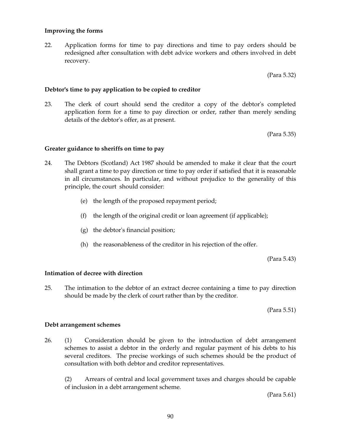## 90

### **Improving the forms**

22. Application forms for time to pay directions and time to pay orders should be redesigned after consultation with debt advice workers and others involved in debt recovery.

(Para 5.32)

### **Debtor's time to pay application to be copied to creditor**

23. The clerk of court should send the creditor a copy of the debtor's completed application form for a time to pay direction or order, rather than merely sending details of the debtor's offer, as at present.

(Para 5.35)

### **Greater guidance to sheriffs on time to pay**

- 24. The Debtors (Scotland) Act 1987 should be amended to make it clear that the court shall grant a time to pay direction or time to pay order if satisfied that it is reasonable in all circumstances. In particular, and without prejudice to the generality of this principle, the court should consider:
	- (e) the length of the proposed repayment period;
	- (f) the length of the original credit or loan agreement (if applicable);
	- (g) the debtor's financial position;
	- (h) the reasonableness of the creditor in his rejection of the offer.

(Para 5.43)

### **Intimation of decree with direction**

25. The intimation to the debtor of an extract decree containing a time to pay direction should be made by the clerk of court rather than by the creditor.

(Para 5.51)

### **Debt arrangement schemes**

26. (1) Consideration should be given to the introduction of debt arrangement schemes to assist a debtor in the orderly and regular payment of his debts to his several creditors. The precise workings of such schemes should be the product of consultation with both debtor and creditor representatives.

(2) Arrears of central and local government taxes and charges should be capable of inclusion in a debt arrangement scheme.

(Para 5.61)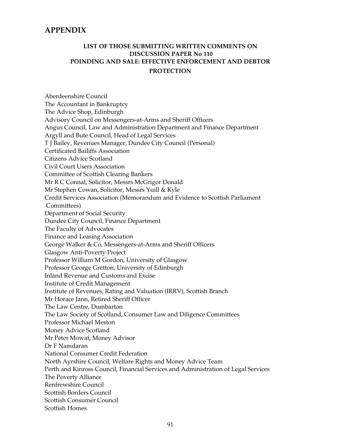# **APPENDIX**

# **LIST OF THOSE SUBMITTING WRITTEN COMMENTS ON DISCUSSION PAPER No 110 POINDING AND SALE: EFFECTIVE ENFORCEMENT AND DEBTOR PROTECTION**

Aberdeenshire Council The Accountant in Bankruptcy The Advice Shop, Edinburgh Advisory Council on Messengers-at-Arms and Sheriff Officers Angus Council, Law and Administration Department and Finance Department Argyll and Bute Council, Head of Legal Services T J Bailey, Revenues Manager, Dundee City Council (Personal) Certificated Bailiffs Association Citizens Advice Scotland Civil Court Users Association Committee of Scottish Clearing Bankers Mr R C Connal, Solicitor, Messrs McGrigor Donald Mr Stephen Cowan, Solicitor, Messrs Yuill & Kyle Credit Services Association (Memorandum and Evidence to Scottish Parliament Committees) Department of Social Security Dundee City Council, Finance Department The Faculty of Advocates Finance and Leasing Association George Walker & Co, Messengers-at-Arms and Sheriff Officers Glasgow Anti-Poverty Project Professor William M Gordon, University of Glasgow Professor George Gretton, University of Edinburgh Inland Revenue and Customs and Excise Institute of Credit Management Institute of Revenues, Rating and Valuation (IRRV), Scottish Branch Mr Horace Jann, Retired Sheriff Officer The Law Centre, Dumbarton The Law Society of Scotland, Consumer Law and Diligence Committees Professor Michael Meston Money Advice Scotland Mr Peter Mowat, Money Advisor Dr F Namdaran National Consumer Credit Federation North Ayrshire Council, Welfare Rights and Money Advice Team Perth and Kinross Council, Financial Services and Administration of Legal Services The Poverty Alliance Renfrewshire Council Scottish Borders Council Scottish Consumer Council Scottish Homes